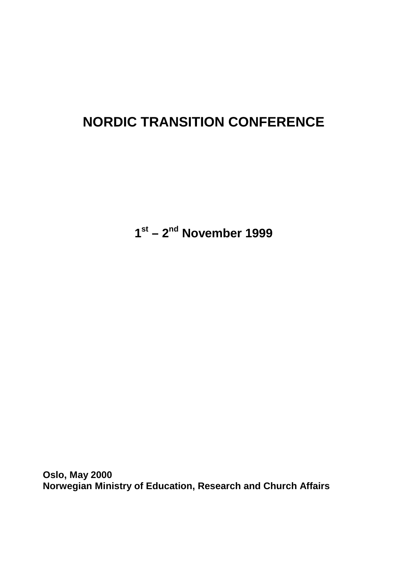# **NORDIC TRANSITION CONFERENCE**

**1st – 2nd November 1999**

**Oslo, May 2000 Norwegian Ministry of Education, Research and Church Affairs**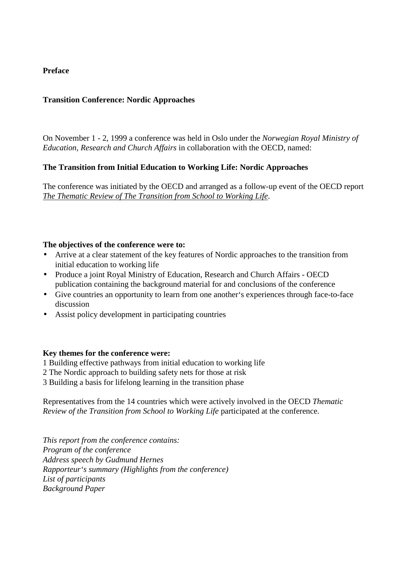## **Preface**

## **Transition Conference: Nordic Approaches**

On November 1 - 2, 1999 a conference was held in Oslo under the *Norwegian Royal Ministry of Education, Research and Church Affairs* in collaboration with the OECD, named:

## **The Transition from Initial Education to Working Life: Nordic Approaches**

The conference was initiated by the OECD and arranged as a follow-up event of the OECD report *The Thematic Review of The Transition from School to Working Life*.

### **The objectives of the conference were to:**

- Arrive at a clear statement of the key features of Nordic approaches to the transition from initial education to working life
- Produce a joint Royal Ministry of Education, Research and Church Affairs OECD publication containing the background material for and conclusions of the conference
- Give countries an opportunity to learn from one another's experiences through face-to-face discussion
- Assist policy development in participating countries

#### **Key themes for the conference were:**

- 1 Building effective pathways from initial education to working life
- 2 The Nordic approach to building safety nets for those at risk
- 3 Building a basis for lifelong learning in the transition phase

Representatives from the 14 countries which were actively involved in the OECD *Thematic Review of the Transition from School to Working Life* participated at the conference.

*This report from the conference contains: Program of the conference Address speech by Gudmund Hernes Rapporteur's summary (Highlights from the conference) List of participants Background Paper*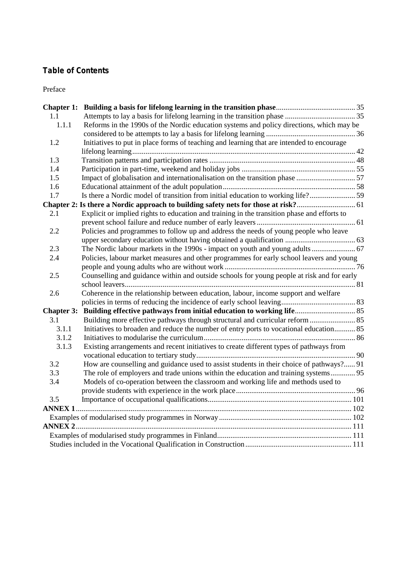## **Table of Contents**

Preface

| 1.1   |                                                                                             |  |
|-------|---------------------------------------------------------------------------------------------|--|
| 1.1.1 | Reforms in the 1990s of the Nordic education systems and policy directions, which may be    |  |
|       |                                                                                             |  |
| 1.2   | Initiatives to put in place forms of teaching and learning that are intended to encourage   |  |
|       |                                                                                             |  |
| 1.3   |                                                                                             |  |
| 1.4   |                                                                                             |  |
| 1.5   | Impact of globalisation and internationalisation on the transition phase 57                 |  |
| 1.6   |                                                                                             |  |
| 1.7   | Is there a Nordic model of transition from initial education to working life?59             |  |
|       | Chapter 2: Is there a Nordic approach to building safety nets for those at risk? 61         |  |
| 2.1   | Explicit or implied rights to education and training in the transition phase and efforts to |  |
|       |                                                                                             |  |
| 2.2   | Policies and programmes to follow up and address the needs of young people who leave        |  |
|       |                                                                                             |  |
| 2.3   |                                                                                             |  |
| 2.4   | Policies, labour market measures and other programmes for early school leavers and young    |  |
|       |                                                                                             |  |
| 2.5   | Counselling and guidance within and outside schools for young people at risk and for early  |  |
|       |                                                                                             |  |
| 2.6   | Coherence in the relationship between education, labour, income support and welfare         |  |
|       |                                                                                             |  |
|       |                                                                                             |  |
| 3.1   |                                                                                             |  |
| 3.1.1 | Initiatives to broaden and reduce the number of entry ports to vocational education 85      |  |
| 3.1.2 |                                                                                             |  |
| 3.1.3 | Existing arrangements and recent initiatives to create different types of pathways from     |  |
|       |                                                                                             |  |
| 3.2   | How are counselling and guidance used to assist students in their choice of pathways? 91    |  |
| 3.3   | The role of employers and trade unions within the education and training systems 95         |  |
| 3.4   | Models of co-operation between the classroom and working life and methods used to           |  |
|       |                                                                                             |  |
| 3.5   |                                                                                             |  |
|       |                                                                                             |  |
|       |                                                                                             |  |
|       |                                                                                             |  |
|       |                                                                                             |  |
|       |                                                                                             |  |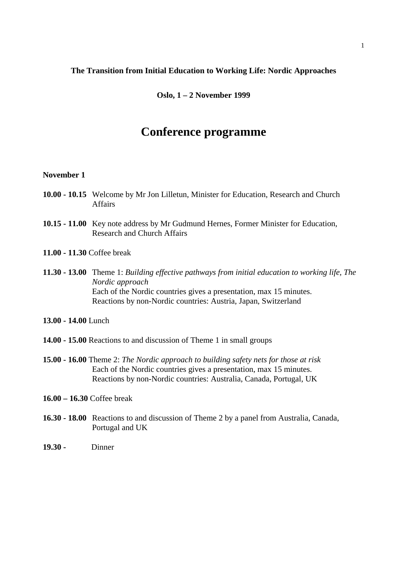#### **The Transition from Initial Education to Working Life: Nordic Approaches**

**Oslo, 1 – 2 November 1999**

## **Conference programme**

#### **November 1**

- **10.00 10.15** Welcome by Mr Jon Lilletun, Minister for Education, Research and Church Affairs
- **10.15 11.00** Key note address by Mr Gudmund Hernes, Former Minister for Education, Research and Church Affairs
- **11.00 11.30** Coffee break
- **11.30 13.00** Theme 1: *Building effective pathways from initial education to working life, The Nordic approach* Each of the Nordic countries gives a presentation, max 15 minutes. Reactions by non-Nordic countries: Austria, Japan, Switzerland
- **13.00 14.00** Lunch
- **14.00 15.00** Reactions to and discussion of Theme 1 in small groups
- **15.00 16.00** Theme 2: *The Nordic approach to building safety nets for those at risk* Each of the Nordic countries gives a presentation, max 15 minutes. Reactions by non-Nordic countries: Australia, Canada, Portugal, UK
- **16.00 16.30** Coffee break
- **16.30 18.00** Reactions to and discussion of Theme 2 by a panel from Australia, Canada, Portugal and UK
- **19.30** Dinner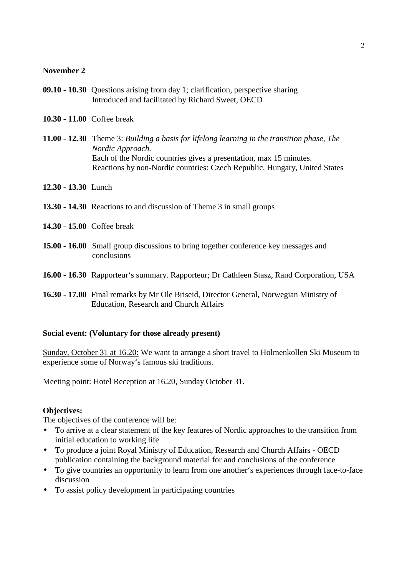#### **November 2**

- **09.10 10.30** Questions arising from day 1; clarification, perspective sharing Introduced and facilitated by Richard Sweet, OECD
- **10.30 11.00** Coffee break
- **11.00 12.30** Theme 3: *Building a basis for lifelong learning in the transition phase, The Nordic Approach.* Each of the Nordic countries gives a presentation, max 15 minutes. Reactions by non-Nordic countries: Czech Republic, Hungary, United States
- **12.30 13.30** Lunch
- **13.30 14.30** Reactions to and discussion of Theme 3 in small groups
- **14.30 15.00** Coffee break
- **15.00 16.00** Small group discussions to bring together conference key messages and conclusions
- **16.00 16.30** Rapporteur's summary. Rapporteur; Dr Cathleen Stasz, Rand Corporation, USA
- **16.30 17.00** Final remarks by Mr Ole Briseid, Director General, Norwegian Ministry of Education, Research and Church Affairs

#### **Social event: (Voluntary for those already present)**

Sunday, October 31 at 16.20: We want to arrange a short travel to Holmenkollen Ski Museum to experience some of Norway's famous ski traditions.

Meeting point: Hotel Reception at 16.20, Sunday October 31.

#### **Objectives:**

The objectives of the conference will be:

- To arrive at a clear statement of the key features of Nordic approaches to the transition from initial education to working life
- To produce a joint Royal Ministry of Education, Research and Church Affairs OECD publication containing the background material for and conclusions of the conference
- To give countries an opportunity to learn from one another's experiences through face-to-face discussion
- To assist policy development in participating countries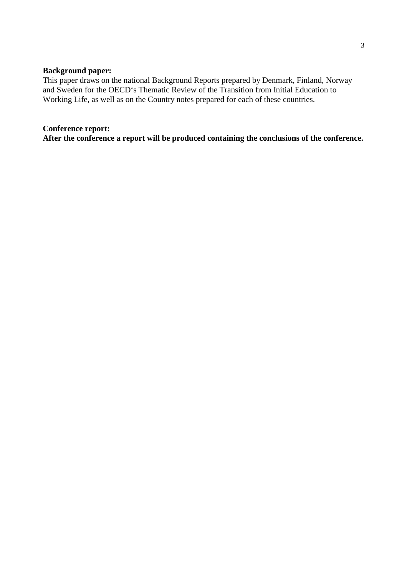## **Background paper:**

This paper draws on the national Background Reports prepared by Denmark, Finland, Norway and Sweden for the OECD's Thematic Review of the Transition from Initial Education to Working Life, as well as on the Country notes prepared for each of these countries.

#### **Conference report:**

**After the conference a report will be produced containing the conclusions of the conference.**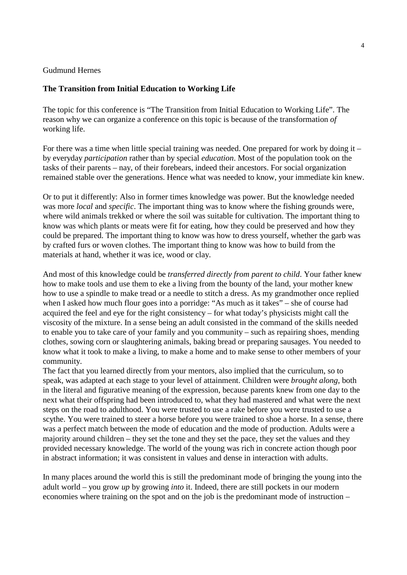#### Gudmund Hernes

#### **The Transition from Initial Education to Working Life**

The topic for this conference is "The Transition from Initial Education to Working Life". The reason why we can organize a conference on this topic is because of the transformation *of* working life.

For there was a time when little special training was needed. One prepared for work by doing it – by everyday *participation* rather than by special *education*. Most of the population took on the tasks of their parents – nay, of their forebears, indeed their ancestors. For social organization remained stable over the generations. Hence what was needed to know, your immediate kin knew.

Or to put it differently: Also in former times knowledge was power. But the knowledge needed was more *local* and *specific*. The important thing was to know where the fishing grounds were, where wild animals trekked or where the soil was suitable for cultivation. The important thing to know was which plants or meats were fit for eating, how they could be preserved and how they could be prepared. The important thing to know was how to dress yourself, whether the garb was by crafted furs or woven clothes. The important thing to know was how to build from the materials at hand, whether it was ice, wood or clay.

And most of this knowledge could be *transferred directly from parent to child*. Your father knew how to make tools and use them to eke a living from the bounty of the land, your mother knew how to use a spindle to make tread or a needle to stitch a dress. As my grandmother once replied when I asked how much flour goes into a porridge: "As much as it takes" – she of course had acquired the feel and eye for the right consistency – for what today's physicists might call the viscosity of the mixture. In a sense being an adult consisted in the command of the skills needed to enable you to take care of your family and you community – such as repairing shoes, mending clothes, sowing corn or slaughtering animals, baking bread or preparing sausages. You needed to know what it took to make a living, to make a home and to make sense to other members of your community.

The fact that you learned directly from your mentors, also implied that the curriculum, so to speak, was adapted at each stage to your level of attainment. Children were *brought along*, both in the literal and figurative meaning of the expression, because parents knew from one day to the next what their offspring had been introduced to, what they had mastered and what were the next steps on the road to adulthood. You were trusted to use a rake before you were trusted to use a scythe. You were trained to steer a horse before you were trained to shoe a horse. In a sense, there was a perfect match between the mode of education and the mode of production. Adults were a majority around children – they set the tone and they set the pace, they set the values and they provided necessary knowledge. The world of the young was rich in concrete action though poor in abstract information; it was consistent in values and dense in interaction with adults.

In many places around the world this is still the predominant mode of bringing the young into the adult world – you grow *up* by growing *into* it. Indeed, there are still pockets in our modern economies where training on the spot and on the job is the predominant mode of instruction –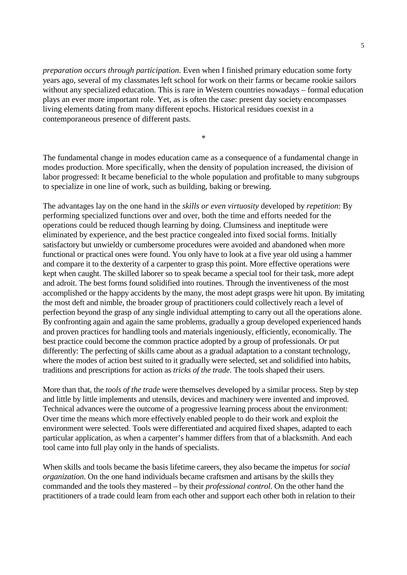*preparation occurs through participation*. Even when I finished primary education some forty years ago, several of my classmates left school for work on their farms or became rookie sailors without any specialized education. This is rare in Western countries nowadays – formal education plays an ever more important role. Yet, as is often the case: present day society encompasses living elements dating from many different epochs. Historical residues coexist in a contemporaneous presence of different pasts.

\*

The fundamental change in modes education came as a consequence of a fundamental change in modes production. More specifically, when the density of population increased, the division of labor progressed: It became beneficial to the whole population and profitable to many subgroups to specialize in one line of work, such as building, baking or brewing.

The advantages lay on the one hand in the *skills or even virtuosity* developed by *repetition*: By performing specialized functions over and over, both the time and efforts needed for the operations could be reduced though learning by doing. Clumsiness and ineptitude were eliminated by experience, and the best practice congealed into fixed social forms. Initially satisfactory but unwieldy or cumbersome procedures were avoided and abandoned when more functional or practical ones were found. You only have to look at a five year old using a hammer and compare it to the dexterity of a carpenter to grasp this point. More effective operations were kept when caught. The skilled laborer so to speak became a special tool for their task, more adept and adroit. The best forms found solidified into routines. Through the inventiveness of the most accomplished or the happy accidents by the many, the most adept grasps were hit upon. By imitating the most deft and nimble, the broader group of practitioners could collectively reach a level of perfection beyond the grasp of any single individual attempting to carry out all the operations alone. By confronting again and again the same problems, gradually a group developed experienced hands and proven practices for handling tools and materials ingeniously, efficiently, economically. The best practice could become the common practice adopted by a group of professionals. Or put differently: The perfecting of skills came about as a gradual adaptation to a constant technology, where the modes of action best suited to it gradually were selected, set and solidified into habits, traditions and prescriptions for action as *tricks of the trade*. The tools shaped their users.

More than that, the *tools of the trade* were themselves developed by a similar process. Step by step and little by little implements and utensils, devices and machinery were invented and improved. Technical advances were the outcome of a progressive learning process about the environment: Over time the means which more effectively enabled people to do their work and exploit the environment were selected. Tools were differentiated and acquired fixed shapes, adapted to each particular application, as when a carpenter's hammer differs from that of a blacksmith. And each tool came into full play only in the hands of specialists.

When skills and tools became the basis lifetime careers, they also became the impetus for *social organization*. On the one hand individuals became craftsmen and artisans by the skills they commanded and the tools they mastered – by their *professional control*. On the other hand the practitioners of a trade could learn from each other and support each other both in relation to their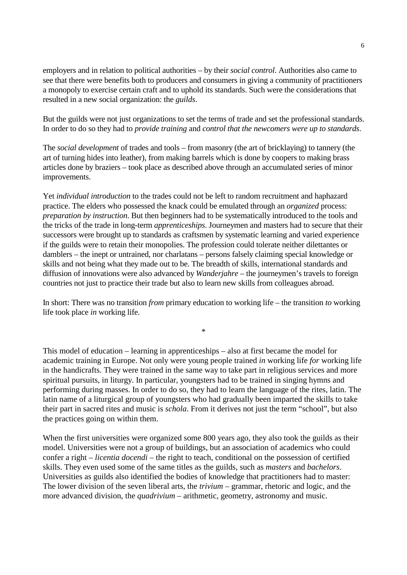employers and in relation to political authorities – by their *social control*. Authorities also came to see that there were benefits both to producers and consumers in giving a community of practitioners a monopoly to exercise certain craft and to uphold its standards. Such were the considerations that resulted in a new social organization: the *guilds*.

But the guilds were not just organizations to set the terms of trade and set the professional standards. In order to do so they had to *provide training* and *control that the newcomers were up to standards*.

The *social development* of trades and tools – from masonry (the art of bricklaying) to tannery (the art of turning hides into leather), from making barrels which is done by coopers to making brass articles done by braziers – took place as described above through an accumulated series of minor improvements.

Yet *individual introduction* to the trades could not be left to random recruitment and haphazard practice. The elders who possessed the knack could be emulated through an *organized* process: *preparation by instruction*. But then beginners had to be systematically introduced to the tools and the tricks of the trade in long-term *apprenticeships*. Journeymen and masters had to secure that their successors were brought up to standards as craftsmen by systematic learning and varied experience if the guilds were to retain their monopolies. The profession could tolerate neither dilettantes or damblers – the inept or untrained, nor charlatans – persons falsely claiming special knowledge or skills and not being what they made out to be. The breadth of skills, international standards and diffusion of innovations were also advanced by *Wanderjahre* – the journeymen's travels to foreign countries not just to practice their trade but also to learn new skills from colleagues abroad.

In short: There was no transition *from* primary education to working life – the transition *to* working life took place *in* working life.

\*

This model of education – learning in apprenticeships – also at first became the model for academic training in Europe. Not only were young people trained *in* working life *for* working life in the handicrafts. They were trained in the same way to take part in religious services and more spiritual pursuits, in liturgy. In particular, youngsters had to be trained in singing hymns and performing during masses. In order to do so, they had to learn the language of the rites, latin. The latin name of a liturgical group of youngsters who had gradually been imparted the skills to take their part in sacred rites and music is *schola*. From it derives not just the term "school", but also the practices going on within them.

When the first universities were organized some 800 years ago, they also took the guilds as their model. Universities were not a group of buildings, but an association of academics who could confer a right – *licentia docendi* – the right to teach, conditional on the possession of certified skills. They even used some of the same titles as the guilds, such as *masters* and *bachelors*. Universities as guilds also identified the bodies of knowledge that practitioners had to master: The lower division of the seven liberal arts, the *trivium* – grammar, rhetoric and logic, and the more advanced division, the *quadrivium* – arithmetic, geometry, astronomy and music.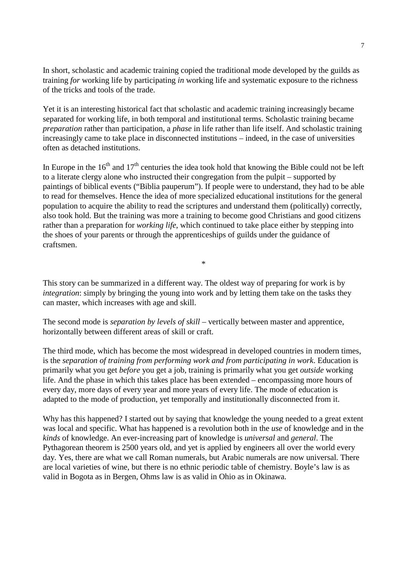In short, scholastic and academic training copied the traditional mode developed by the guilds as training *for* working life by participating *in* working life and systematic exposure to the richness of the tricks and tools of the trade.

Yet it is an interesting historical fact that scholastic and academic training increasingly became separated for working life, in both temporal and institutional terms. Scholastic training became *preparation* rather than participation, a *phase* in life rather than life itself. And scholastic training increasingly came to take place in disconnected institutions – indeed, in the case of universities often as detached institutions.

In Europe in the  $16<sup>th</sup>$  and  $17<sup>th</sup>$  centuries the idea took hold that knowing the Bible could not be left to a literate clergy alone who instructed their congregation from the pulpit – supported by paintings of biblical events ("Biblia pauperum"). If people were to understand, they had to be able to read for themselves. Hence the idea of more specialized educational institutions for the general population to acquire the ability to read the scriptures and understand them (politically) correctly, also took hold. But the training was more a training to become good Christians and good citizens rather than a preparation for *working life*, which continued to take place either by stepping into the shoes of your parents or through the apprenticeships of guilds under the guidance of craftsmen.

\*

This story can be summarized in a different way. The oldest way of preparing for work is by *integration*: simply by bringing the young into work and by letting them take on the tasks they can master, which increases with age and skill.

The second mode is *separation by levels of skill* – vertically between master and apprentice, horizontally between different areas of skill or craft.

The third mode, which has become the most widespread in developed countries in modern times, is the *separation of training from performing work and from participating in work*. Education is primarily what you get *before* you get a job, training is primarily what you get *outside* working life. And the phase in which this takes place has been extended – encompassing more hours of every day, more days of every year and more years of every life. The mode of education is adapted to the mode of production, yet temporally and institutionally disconnected from it.

Why has this happened? I started out by saying that knowledge the young needed to a great extent was local and specific. What has happened is a revolution both in the *use* of knowledge and in the *kinds* of knowledge. An ever-increasing part of knowledge is *universal* and *general*. The Pythagorean theorem is 2500 years old, and yet is applied by engineers all over the world every day. Yes, there are what we call Roman numerals, but Arabic numerals are now universal. There are local varieties of wine, but there is no ethnic periodic table of chemistry. Boyle's law is as valid in Bogota as in Bergen, Ohms law is as valid in Ohio as in Okinawa.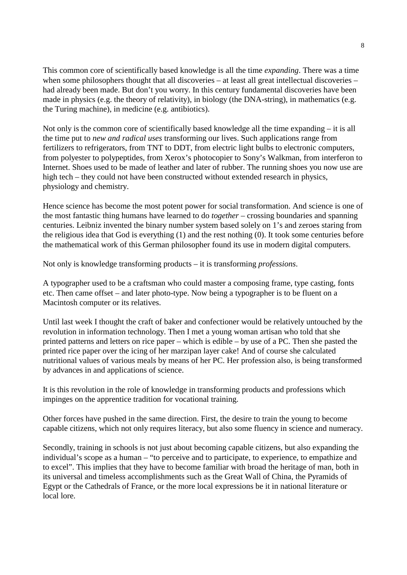This common core of scientifically based knowledge is all the time *expanding*. There was a time when some philosophers thought that all discoveries – at least all great intellectual discoveries – had already been made. But don't you worry. In this century fundamental discoveries have been made in physics (e.g. the theory of relativity), in biology (the DNA-string), in mathematics (e.g. the Turing machine), in medicine (e.g. antibiotics).

Not only is the common core of scientifically based knowledge all the time expanding – it is all the time put to *new and radical uses* transforming our lives. Such applications range from fertilizers to refrigerators, from TNT to DDT, from electric light bulbs to electronic computers, from polyester to polypeptides, from Xerox's photocopier to Sony's Walkman, from interferon to Internet. Shoes used to be made of leather and later of rubber. The running shoes you now use are high tech – they could not have been constructed without extended research in physics, physiology and chemistry.

Hence science has become the most potent power for social transformation. And science is one of the most fantastic thing humans have learned to do *together* – crossing boundaries and spanning centuries. Leibniz invented the binary number system based solely on 1's and zeroes staring from the religious idea that God is everything (1) and the rest nothing (0). It took some centuries before the mathematical work of this German philosopher found its use in modern digital computers.

Not only is knowledge transforming products – it is transforming *professions*.

A typographer used to be a craftsman who could master a composing frame, type casting, fonts etc. Then came offset – and later photo-type. Now being a typographer is to be fluent on a Macintosh computer or its relatives.

Until last week I thought the craft of baker and confectioner would be relatively untouched by the revolution in information technology. Then I met a young woman artisan who told that she printed patterns and letters on rice paper – which is edible – by use of a PC. Then she pasted the printed rice paper over the icing of her marzipan layer cake! And of course she calculated nutritional values of various meals by means of her PC. Her profession also, is being transformed by advances in and applications of science.

It is this revolution in the role of knowledge in transforming products and professions which impinges on the apprentice tradition for vocational training.

Other forces have pushed in the same direction. First, the desire to train the young to become capable citizens, which not only requires literacy, but also some fluency in science and numeracy.

Secondly, training in schools is not just about becoming capable citizens, but also expanding the individual's scope as a human – "to perceive and to participate, to experience, to empathize and to excel". This implies that they have to become familiar with broad the heritage of man, both in its universal and timeless accomplishments such as the Great Wall of China, the Pyramids of Egypt or the Cathedrals of France, or the more local expressions be it in national literature or local lore.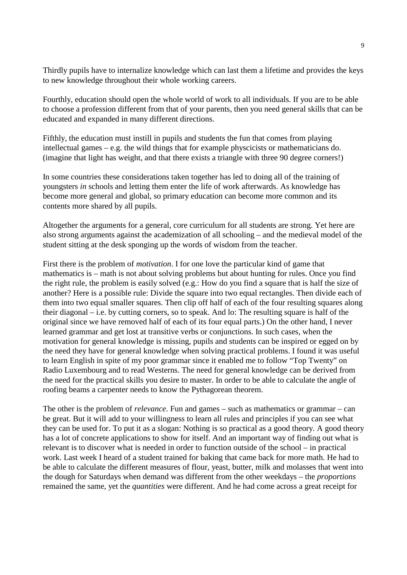Thirdly pupils have to internalize knowledge which can last them a lifetime and provides the keys to new knowledge throughout their whole working careers.

Fourthly, education should open the whole world of work to all individuals. If you are to be able to choose a profession different from that of your parents, then you need general skills that can be educated and expanded in many different directions.

Fifthly, the education must instill in pupils and students the fun that comes from playing intellectual games – e.g. the wild things that for example physcicists or mathematicians do. (imagine that light has weight, and that there exists a triangle with three 90 degree corners!)

In some countries these considerations taken together has led to doing all of the training of youngsters *in* schools and letting them enter the life of work afterwards. As knowledge has become more general and global, so primary education can become more common and its contents more shared by all pupils.

Altogether the arguments for a general, core curriculum for all students are strong. Yet here are also strong arguments against the academization of all schooling – and the medieval model of the student sitting at the desk sponging up the words of wisdom from the teacher.

First there is the problem of *motivation*. I for one love the particular kind of game that mathematics is – math is not about solving problems but about hunting for rules. Once you find the right rule, the problem is easily solved (e.g.: How do you find a square that is half the size of another? Here is a possible rule: Divide the square into two equal rectangles. Then divide each of them into two equal smaller squares. Then clip off half of each of the four resulting squares along their diagonal – i.e. by cutting corners, so to speak. And lo: The resulting square is half of the original since we have removed half of each of its four equal parts.) On the other hand, I never learned grammar and get lost at transitive verbs or conjunctions. In such cases, when the motivation for general knowledge is missing, pupils and students can be inspired or egged on by the need they have for general knowledge when solving practical problems. I found it was useful to learn English in spite of my poor grammar since it enabled me to follow "Top Twenty" on Radio Luxembourg and to read Westerns. The need for general knowledge can be derived from the need for the practical skills you desire to master. In order to be able to calculate the angle of roofing beams a carpenter needs to know the Pythagorean theorem.

The other is the problem of *relevance*. Fun and games – such as mathematics or grammar – can be great. But it will add to your willingness to learn all rules and principles if you can see what they can be used for. To put it as a slogan: Nothing is so practical as a good theory. A good theory has a lot of concrete applications to show for itself. And an important way of finding out what is relevant is to discover what is needed in order to function outside of the school – in practical work. Last week I heard of a student trained for baking that came back for more math. He had to be able to calculate the different measures of flour, yeast, butter, milk and molasses that went into the dough for Saturdays when demand was different from the other weekdays – the *proportions* remained the same, yet the *quantities* were different. And he had come across a great receipt for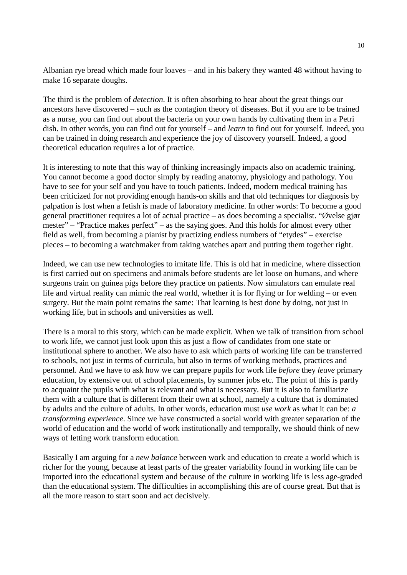Albanian rye bread which made four loaves – and in his bakery they wanted 48 without having to make 16 separate doughs.

The third is the problem of *detection*. It is often absorbing to hear about the great things our ancestors have discovered – such as the contagion theory of diseases. But if you are to be trained as a nurse, you can find out about the bacteria on your own hands by cultivating them in a Petri dish. In other words, you can find out for yourself – and *learn* to find out for yourself. Indeed, you can be trained in doing research and experience the joy of discovery yourself. Indeed, a good theoretical education requires a lot of practice.

It is interesting to note that this way of thinking increasingly impacts also on academic training. You cannot become a good doctor simply by reading anatomy, physiology and pathology. You have to see for your self and you have to touch patients. Indeed, modern medical training has been criticized for not providing enough hands-on skills and that old techniques for diagnosis by palpation is lost when a fetish is made of laboratory medicine. In other words: To become a good general practitioner requires a lot of actual practice – as does becoming a specialist. "Øvelse gjør mester" – "Practice makes perfect" – as the saying goes. And this holds for almost every other field as well, from becoming a pianist by practizing endless numbers of "etydes" – exercise pieces – to becoming a watchmaker from taking watches apart and putting them together right.

Indeed, we can use new technologies to imitate life. This is old hat in medicine, where dissection is first carried out on specimens and animals before students are let loose on humans, and where surgeons train on guinea pigs before they practice on patients. Now simulators can emulate real life and virtual reality can mimic the real world, whether it is for flying or for welding – or even surgery. But the main point remains the same: That learning is best done by doing, not just in working life, but in schools and universities as well.

There is a moral to this story, which can be made explicit. When we talk of transition from school to work life, we cannot just look upon this as just a flow of candidates from one state or institutional sphere to another. We also have to ask which parts of working life can be transferred to schools, not just in terms of curricula, but also in terms of working methods, practices and personnel. And we have to ask how we can prepare pupils for work life *before* they *leave* primary education, by extensive out of school placements, by summer jobs etc. The point of this is partly to acquaint the pupils with what is relevant and what is necessary. But it is also to familiarize them with a culture that is different from their own at school, namely a culture that is dominated by adults and the culture of adults. In other words, education must *use work* as what it can be: *a transforming experience*. Since we have constructed a social world with greater separation of the world of education and the world of work institutionally and temporally, we should think of new ways of letting work transform education.

Basically I am arguing for a *new balance* between work and education to create a world which is richer for the young, because at least parts of the greater variability found in working life can be imported into the educational system and because of the culture in working life is less age-graded than the educational system. The difficulties in accomplishing this are of course great. But that is all the more reason to start soon and act decisively.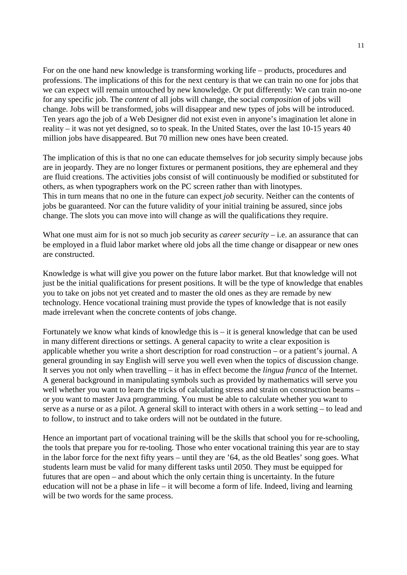For on the one hand new knowledge is transforming working life – products, procedures and professions. The implications of this for the next century is that we can train no one for jobs that we can expect will remain untouched by new knowledge. Or put differently: We can train no-one for any specific job. The *content* of all jobs will change, the social *composition* of jobs will change. Jobs will be transformed, jobs will disappear and new types of jobs will be introduced. Ten years ago the job of a Web Designer did not exist even in anyone's imagination let alone in reality – it was not yet designed, so to speak. In the United States, over the last 10-15 years 40 million jobs have disappeared. But 70 million new ones have been created.

The implication of this is that no one can educate themselves for job security simply because jobs are in jeopardy. They are no longer fixtures or permanent positions, they are ephemeral and they are fluid creations. The activities jobs consist of will continuously be modified or substituted for others, as when typographers work on the PC screen rather than with linotypes. This in turn means that no one in the future can expect *job* security. Neither can the contents of jobs be guaranteed. Nor can the future validity of your initial training be assured, since jobs change. The slots you can move into will change as will the qualifications they require.

What one must aim for is not so much job security as *career security* – i.e. an assurance that can be employed in a fluid labor market where old jobs all the time change or disappear or new ones are constructed.

Knowledge is what will give you power on the future labor market. But that knowledge will not just be the initial qualifications for present positions. It will be the type of knowledge that enables you to take on jobs not yet created and to master the old ones as they are remade by new technology. Hence vocational training must provide the types of knowledge that is not easily made irrelevant when the concrete contents of jobs change.

Fortunately we know what kinds of knowledge this is – it is general knowledge that can be used in many different directions or settings. A general capacity to write a clear exposition is applicable whether you write a short description for road construction – or a patient's journal. A general grounding in say English will serve you well even when the topics of discussion change. It serves you not only when travelling – it has in effect become the *lingua franca* of the Internet. A general background in manipulating symbols such as provided by mathematics will serve you well whether you want to learn the tricks of calculating stress and strain on construction beams – or you want to master Java programming. You must be able to calculate whether you want to serve as a nurse or as a pilot. A general skill to interact with others in a work setting – to lead and to follow, to instruct and to take orders will not be outdated in the future.

Hence an important part of vocational training will be the skills that school you for re-schooling, the tools that prepare you for re-tooling. Those who enter vocational training this year are to stay in the labor force for the next fifty years – until they are '64, as the old Beatles' song goes. What students learn must be valid for many different tasks until 2050. They must be equipped for futures that are open – and about which the only certain thing is uncertainty. In the future education will not be a phase in life – it will become a form of life. Indeed, living and learning will be two words for the same process.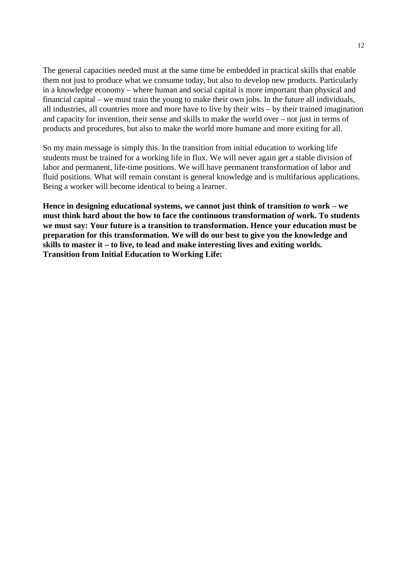The general capacities needed must at the same time be embedded in practical skills that enable them not just to produce what we consume today, but also to develop new products. Particularly in a knowledge economy – where human and social capital is more important than physical and financial capital – we must train the young to make their own jobs. In the future all individuals, all industries, all countries more and more have to live by their wits – by their trained imagination and capacity for invention, their sense and skills to make the world over – not just in terms of products and procedures, but also to make the world more humane and more exiting for all.

So my main message is simply this. In the transition from initial education to working life students must be trained for a working life in flux. We will never again get a stable division of labor and permanent, life-time positions. We will have permanent transformation of labor and fluid positions. What will remain constant is general knowledge and is multifarious applications. Being a worker will become identical to being a learner.

Hence in designing educational systems, we cannot just think of transition *to* work – we **must think hard about the how to face the continuous transformation** *of* **work. To students we must say: Your future is a transition to transformation. Hence your education must be preparation for this transformation. We will do our best to give you the knowledge and skills to master it – to live, to lead and make interesting lives and exiting worlds. Transition from Initial Education to Working Life:**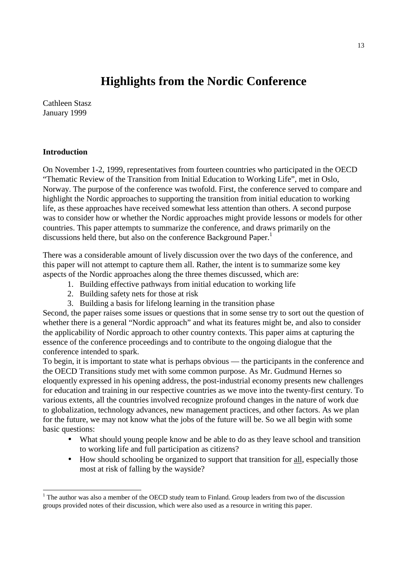## **Highlights from the Nordic Conference**

Cathleen Stasz January 1999

### **Introduction**

 $\overline{a}$ 

On November 1-2, 1999, representatives from fourteen countries who participated in the OECD "Thematic Review of the Transition from Initial Education to Working Life", met in Oslo, Norway. The purpose of the conference was twofold. First, the conference served to compare and highlight the Nordic approaches to supporting the transition from initial education to working life, as these approaches have received somewhat less attention than others. A second purpose was to consider how or whether the Nordic approaches might provide lessons or models for other countries. This paper attempts to summarize the conference, and draws primarily on the discussions held there, but also on the conference Background Paper.<sup>1</sup>

There was a considerable amount of lively discussion over the two days of the conference, and this paper will not attempt to capture them all. Rather, the intent is to summarize some key aspects of the Nordic approaches along the three themes discussed, which are:

- 1. Building effective pathways from initial education to working life
- 2. Building safety nets for those at risk
- 3. Building a basis for lifelong learning in the transition phase

Second, the paper raises some issues or questions that in some sense try to sort out the question of whether there is a general "Nordic approach" and what its features might be, and also to consider the applicability of Nordic approach to other country contexts. This paper aims at capturing the essence of the conference proceedings and to contribute to the ongoing dialogue that the conference intended to spark.

To begin, it is important to state what is perhaps obvious — the participants in the conference and the OECD Transitions study met with some common purpose. As Mr. Gudmund Hernes so eloquently expressed in his opening address, the post-industrial economy presents new challenges for education and training in our respective countries as we move into the twenty-first century. To various extents, all the countries involved recognize profound changes in the nature of work due to globalization, technology advances, new management practices, and other factors. As we plan for the future, we may not know what the jobs of the future will be. So we all begin with some basic questions:

- What should young people know and be able to do as they leave school and transition to working life and full participation as citizens?
- How should schooling be organized to support that transition for all, especially those most at risk of falling by the wayside?

<sup>&</sup>lt;sup>1</sup> The author was also a member of the OECD study team to Finland. Group leaders from two of the discussion groups provided notes of their discussion, which were also used as a resource in writing this paper.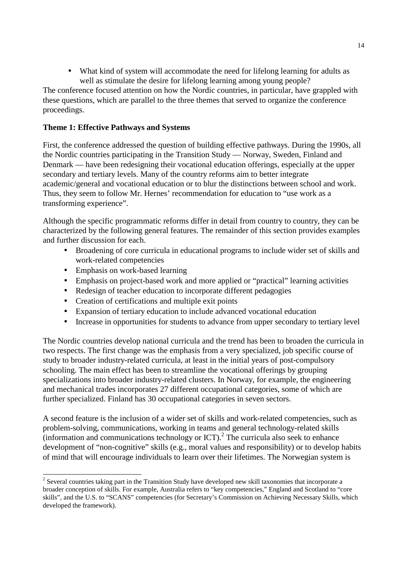• What kind of system will accommodate the need for lifelong learning for adults as well as stimulate the desire for lifelong learning among young people?

The conference focused attention on how the Nordic countries, in particular, have grappled with these questions, which are parallel to the three themes that served to organize the conference proceedings.

## **Theme 1: Effective Pathways and Systems**

First, the conference addressed the question of building effective pathways. During the 1990s, all the Nordic countries participating in the Transition Study — Norway, Sweden, Finland and Denmark — have been redesigning their vocational education offerings, especially at the upper secondary and tertiary levels. Many of the country reforms aim to better integrate academic/general and vocational education or to blur the distinctions between school and work. Thus, they seem to follow Mr. Hernes' recommendation for education to "use work as a transforming experience".

Although the specific programmatic reforms differ in detail from country to country, they can be characterized by the following general features. The remainder of this section provides examples and further discussion for each.

- Broadening of core curricula in educational programs to include wider set of skills and work-related competencies
- Emphasis on work-based learning

-

- Emphasis on project-based work and more applied or "practical" learning activities
- Redesign of teacher education to incorporate different pedagogies
- Creation of certifications and multiple exit points
- Expansion of tertiary education to include advanced vocational education
- Increase in opportunities for students to advance from upper secondary to tertiary level

The Nordic countries develop national curricula and the trend has been to broaden the curricula in two respects. The first change was the emphasis from a very specialized, job specific course of study to broader industry-related curricula, at least in the initial years of post-compulsory schooling. The main effect has been to streamline the vocational offerings by grouping specializations into broader industry-related clusters. In Norway, for example, the engineering and mechanical trades incorporates 27 different occupational categories, some of which are further specialized. Finland has 30 occupational categories in seven sectors.

A second feature is the inclusion of a wider set of skills and work-related competencies, such as problem-solving, communications, working in teams and general technology-related skills  $($ information and communications technology or ICT). $<sup>2</sup>$  The curricula also seek to enhance</sup> development of "non-cognitive" skills (e.g., moral values and responsibility) or to develop habits of mind that will encourage individuals to learn over their lifetimes. The Norwegian system is

 $2^{2}$  Several countries taking part in the Transition Study have developed new skill taxonomies that incorporate a broader conception of skills. For example, Australia refers to "key competencies," England and Scotland to "core skills", and the U.S. to "SCANS" competencies (for Secretary's Commission on Achieving Necessary Skills, which developed the framework).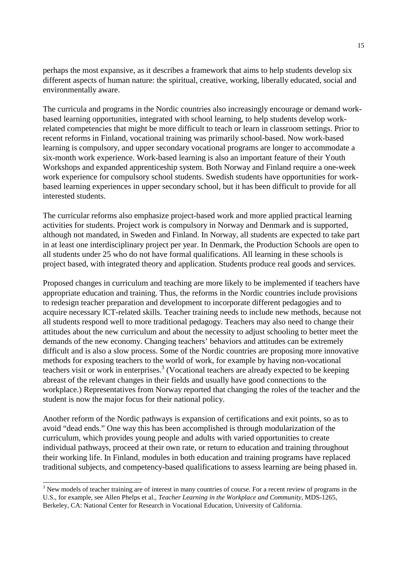perhaps the most expansive, as it describes a framework that aims to help students develop six different aspects of human nature: the spiritual, creative, working, liberally educated, social and environmentally aware.

The curricula and programs in the Nordic countries also increasingly encourage or demand workbased learning opportunities, integrated with school learning, to help students develop workrelated competencies that might be more difficult to teach or learn in classroom settings. Prior to recent reforms in Finland, vocational training was primarily school-based. Now work-based learning is compulsory, and upper secondary vocational programs are longer to accommodate a six-month work experience. Work-based learning is also an important feature of their Youth Workshops and expanded apprenticeship system. Both Norway and Finland require a one-week work experience for compulsory school students. Swedish students have opportunities for workbased learning experiences in upper secondary school, but it has been difficult to provide for all interested students.

The curricular reforms also emphasize project-based work and more applied practical learning activities for students. Project work is compulsory in Norway and Denmark and is supported, although not mandated, in Sweden and Finland. In Norway, all students are expected to take part in at least one interdisciplinary project per year. In Denmark, the Production Schools are open to all students under 25 who do not have formal qualifications. All learning in these schools is project based, with integrated theory and application. Students produce real goods and services.

Proposed changes in curriculum and teaching are more likely to be implemented if teachers have appropriate education and training. Thus, the reforms in the Nordic countries include provisions to redesign teacher preparation and development to incorporate different pedagogies and to acquire necessary ICT-related skills. Teacher training needs to include new methods, because not all students respond well to more traditional pedagogy. Teachers may also need to change their attitudes about the new curriculum and about the necessity to adjust schooling to better meet the demands of the new economy. Changing teachers' behaviors and attitudes can be extremely difficult and is also a slow process. Some of the Nordic countries are proposing more innovative methods for exposing teachers to the world of work, for example by having non-vocational teachers visit or work in enterprises.<sup>3</sup> (Vocational teachers are already expected to be keeping abreast of the relevant changes in their fields and usually have good connections to the workplace.) Representatives from Norway reported that changing the roles of the teacher and the student is now the major focus for their national policy.

Another reform of the Nordic pathways is expansion of certifications and exit points, so as to avoid "dead ends." One way this has been accomplished is through modularization of the curriculum, which provides young people and adults with varied opportunities to create individual pathways, proceed at their own rate, or return to education and training throughout their working life. In Finland, modules in both education and training programs have replaced traditional subjects, and competency-based qualifications to assess learning are being phased in.

-

 $3$  New models of teacher training are of interest in many countries of course. For a recent review of programs in the U.S., for example, see Allen Phelps et al., *Teacher Learning in the Workplace and Community*, MDS-1265, Berkeley, CA: National Center for Research in Vocational Education, University of California.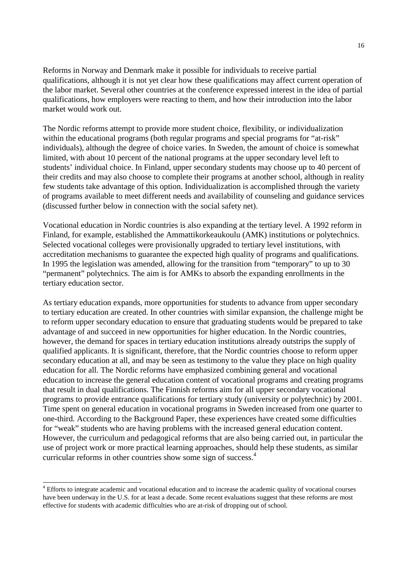Reforms in Norway and Denmark make it possible for individuals to receive partial qualifications, although it is not yet clear how these qualifications may affect current operation of the labor market. Several other countries at the conference expressed interest in the idea of partial qualifications, how employers were reacting to them, and how their introduction into the labor market would work out.

The Nordic reforms attempt to provide more student choice, flexibility, or individualization within the educational programs (both regular programs and special programs for "at-risk" individuals), although the degree of choice varies. In Sweden, the amount of choice is somewhat limited, with about 10 percent of the national programs at the upper secondary level left to students' individual choice. In Finland, upper secondary students may choose up to 40 percent of their credits and may also choose to complete their programs at another school, although in reality few students take advantage of this option. Individualization is accomplished through the variety of programs available to meet different needs and availability of counseling and guidance services (discussed further below in connection with the social safety net).

Vocational education in Nordic countries is also expanding at the tertiary level. A 1992 reform in Finland, for example, established the Ammattikorkeaukoulu (AMK) institutions or polytechnics. Selected vocational colleges were provisionally upgraded to tertiary level institutions, with accreditation mechanisms to guarantee the expected high quality of programs and qualifications. In 1995 the legislation was amended, allowing for the transition from "temporary" to up to 30 "permanent" polytechnics. The aim is for AMKs to absorb the expanding enrollments in the tertiary education sector.

As tertiary education expands, more opportunities for students to advance from upper secondary to tertiary education are created. In other countries with similar expansion, the challenge might be to reform upper secondary education to ensure that graduating students would be prepared to take advantage of and succeed in new opportunities for higher education. In the Nordic countries, however, the demand for spaces in tertiary education institutions already outstrips the supply of qualified applicants. It is significant, therefore, that the Nordic countries choose to reform upper secondary education at all, and may be seen as testimony to the value they place on high quality education for all. The Nordic reforms have emphasized combining general and vocational education to increase the general education content of vocational programs and creating programs that result in dual qualifications. The Finnish reforms aim for all upper secondary vocational programs to provide entrance qualifications for tertiary study (university or polytechnic) by 2001. Time spent on general education in vocational programs in Sweden increased from one quarter to one-third. According to the Background Paper, these experiences have created some difficulties for "weak" students who are having problems with the increased general education content. However, the curriculum and pedagogical reforms that are also being carried out, in particular the use of project work or more practical learning approaches, should help these students, as similar curricular reforms in other countries show some sign of success.<sup>4</sup>

-

<sup>&</sup>lt;sup>4</sup> Efforts to integrate academic and vocational education and to increase the academic quality of vocational courses have been underway in the U.S. for at least a decade. Some recent evaluations suggest that these reforms are most effective for students with academic difficulties who are at-risk of dropping out of school.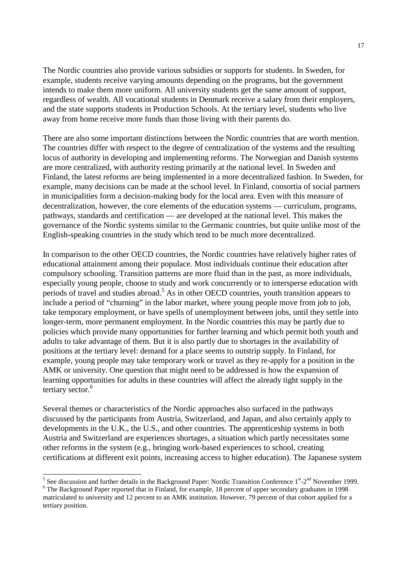The Nordic countries also provide various subsidies or supports for students. In Sweden, for example, students receive varying amounts depending on the programs, but the government intends to make them more uniform. All university students get the same amount of support, regardless of wealth. All vocational students in Denmark receive a salary from their employers, and the state supports students in Production Schools. At the tertiary level, students who live away from home receive more funds than those living with their parents do.

There are also some important distinctions between the Nordic countries that are worth mention. The countries differ with respect to the degree of centralization of the systems and the resulting locus of authority in developing and implementing reforms. The Norwegian and Danish systems are more centralized, with authority resting primarily at the national level. In Sweden and Finland, the latest reforms are being implemented in a more decentralized fashion. In Sweden, for example, many decisions can be made at the school level. In Finland, consortia of social partners in municipalities form a decision-making body for the local area. Even with this measure of decentralization, however, the core elements of the education systems — curriculum, programs, pathways, standards and certification — are developed at the national level. This makes the governance of the Nordic systems similar to the Germanic countries, but quite unlike most of the English-speaking countries in the study which tend to be much more decentralized.

In comparison to the other OECD countries, the Nordic countries have relatively higher rates of educational attainment among their populace. Most individuals continue their education after compulsory schooling. Transition patterns are more fluid than in the past, as more individuals, especially young people, choose to study and work concurrently or to intersperse education with periods of travel and studies abroad.<sup>5</sup> As in other OECD countries, youth transition appears to include a period of "churning" in the labor market, where young people move from job to job, take temporary employment, or have spells of unemployment between jobs, until they settle into longer-term, more permanent employment. In the Nordic countries this may be partly due to policies which provide many opportunities for further learning and which permit both youth and adults to take advantage of them. But it is also partly due to shortages in the availability of positions at the tertiary level: demand for a place seems to outstrip supply. In Finland, for example, young people may take temporary work or travel as they re-apply for a position in the AMK or university. One question that might need to be addressed is how the expansion of learning opportunities for adults in these countries will affect the already tight supply in the tertiary sector.<sup>6</sup>

Several themes or characteristics of the Nordic approaches also surfaced in the pathways discussed by the participants from Austria, Switzerland, and Japan, and also certainly apply to developments in the U.K., the U.S., and other countries. The apprenticeship systems in both Austria and Switzerland are experiences shortages, a situation which partly necessitates some other reforms in the system (e.g., bringing work-based experiences to school, creating certifications at different exit points, increasing access to higher education). The Japanese system

 $\frac{5}{5}$  See discussion and further details in the Background Paper: Nordic Transition Conference  $1^{st}$ -2<sup>nd</sup> November 1999.

<sup>&</sup>lt;sup>6</sup> The Background Paper reported that in Finland, for example, 18 percent of upper secondary graduates in 1998 matriculated to university and 12 percent to an AMK institution. However, 79 percent of that cohort applied for a tertiary position.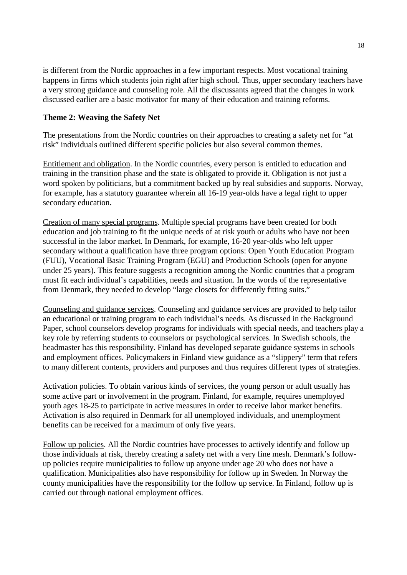is different from the Nordic approaches in a few important respects. Most vocational training happens in firms which students join right after high school. Thus, upper secondary teachers have a very strong guidance and counseling role. All the discussants agreed that the changes in work discussed earlier are a basic motivator for many of their education and training reforms.

#### **Theme 2: Weaving the Safety Net**

The presentations from the Nordic countries on their approaches to creating a safety net for "at risk" individuals outlined different specific policies but also several common themes.

Entitlement and obligation. In the Nordic countries, every person is entitled to education and training in the transition phase and the state is obligated to provide it. Obligation is not just a word spoken by politicians, but a commitment backed up by real subsidies and supports. Norway, for example, has a statutory guarantee wherein all 16-19 year-olds have a legal right to upper secondary education.

Creation of many special programs. Multiple special programs have been created for both education and job training to fit the unique needs of at risk youth or adults who have not been successful in the labor market. In Denmark, for example, 16-20 year-olds who left upper secondary without a qualification have three program options: Open Youth Education Program (FUU), Vocational Basic Training Program (EGU) and Production Schools (open for anyone under 25 years). This feature suggests a recognition among the Nordic countries that a program must fit each individual's capabilities, needs and situation. In the words of the representative from Denmark, they needed to develop "large closets for differently fitting suits."

Counseling and guidance services. Counseling and guidance services are provided to help tailor an educational or training program to each individual's needs. As discussed in the Background Paper, school counselors develop programs for individuals with special needs, and teachers play a key role by referring students to counselors or psychological services. In Swedish schools, the headmaster has this responsibility. Finland has developed separate guidance systems in schools and employment offices. Policymakers in Finland view guidance as a "slippery" term that refers to many different contents, providers and purposes and thus requires different types of strategies.

Activation policies. To obtain various kinds of services, the young person or adult usually has some active part or involvement in the program. Finland, for example, requires unemployed youth ages 18-25 to participate in active measures in order to receive labor market benefits. Activation is also required in Denmark for all unemployed individuals, and unemployment benefits can be received for a maximum of only five years.

Follow up policies. All the Nordic countries have processes to actively identify and follow up those individuals at risk, thereby creating a safety net with a very fine mesh. Denmark's followup policies require municipalities to follow up anyone under age 20 who does not have a qualification. Municipalities also have responsibility for follow up in Sweden. In Norway the county municipalities have the responsibility for the follow up service. In Finland, follow up is carried out through national employment offices.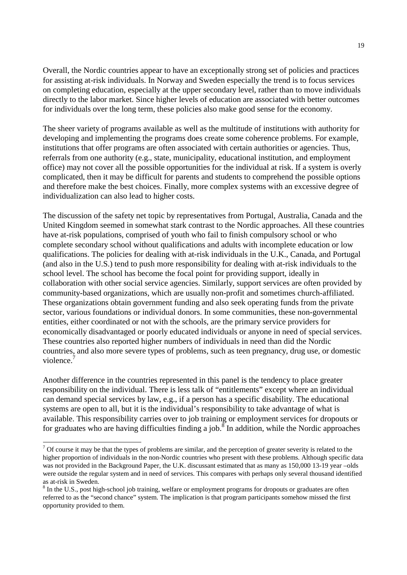Overall, the Nordic countries appear to have an exceptionally strong set of policies and practices for assisting at-risk individuals. In Norway and Sweden especially the trend is to focus services on completing education, especially at the upper secondary level, rather than to move individuals directly to the labor market. Since higher levels of education are associated with better outcomes for individuals over the long term, these policies also make good sense for the economy.

The sheer variety of programs available as well as the multitude of institutions with authority for developing and implementing the programs does create some coherence problems. For example, institutions that offer programs are often associated with certain authorities or agencies. Thus, referrals from one authority (e.g., state, municipality, educational institution, and employment office) may not cover all the possible opportunities for the individual at risk. If a system is overly complicated, then it may be difficult for parents and students to comprehend the possible options and therefore make the best choices. Finally, more complex systems with an excessive degree of individualization can also lead to higher costs.

The discussion of the safety net topic by representatives from Portugal, Australia, Canada and the United Kingdom seemed in somewhat stark contrast to the Nordic approaches. All these countries have at-risk populations, comprised of youth who fail to finish compulsory school or who complete secondary school without qualifications and adults with incomplete education or low qualifications. The policies for dealing with at-risk individuals in the U.K., Canada, and Portugal (and also in the U.S.) tend to push more responsibility for dealing with at-risk individuals to the school level. The school has become the focal point for providing support, ideally in collaboration with other social service agencies. Similarly, support services are often provided by community-based organizations, which are usually non-profit and sometimes church-affiliated. These organizations obtain government funding and also seek operating funds from the private sector, various foundations or individual donors. In some communities, these non-governmental entities, either coordinated or not with the schools, are the primary service providers for economically disadvantaged or poorly educated individuals or anyone in need of special services. These countries also reported higher numbers of individuals in need than did the Nordic countries, and also more severe types of problems, such as teen pregnancy, drug use, or domestic violence.

Another difference in the countries represented in this panel is the tendency to place greater responsibility on the individual. There is less talk of "entitlements" except where an individual can demand special services by law, e.g., if a person has a specific disability. The educational systems are open to all, but it is the individual's responsibility to take advantage of what is available. This responsibility carries over to job training or employment services for dropouts or for graduates who are having difficulties finding a job.<sup>8</sup> In addition, while the Nordic approaches

 $\overline{a}$ 

 $<sup>7</sup>$  Of course it may be that the types of problems are similar, and the perception of greater severity is related to the</sup> higher proportion of individuals in the non-Nordic countries who present with these problems. Although specific data was not provided in the Background Paper, the U.K. discussant estimated that as many as 150,000 13-19 year –olds were outside the regular system and in need of services. This compares with perhaps only several thousand identified as at-risk in Sweden.

 $8$  In the U.S., post high-school job training, welfare or employment programs for dropouts or graduates are often referred to as the "second chance" system. The implication is that program participants somehow missed the first opportunity provided to them.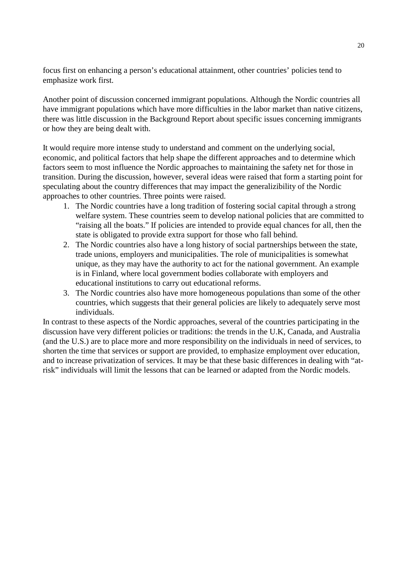focus first on enhancing a person's educational attainment, other countries' policies tend to emphasize work first.

Another point of discussion concerned immigrant populations. Although the Nordic countries all have immigrant populations which have more difficulties in the labor market than native citizens, there was little discussion in the Background Report about specific issues concerning immigrants or how they are being dealt with.

It would require more intense study to understand and comment on the underlying social, economic, and political factors that help shape the different approaches and to determine which factors seem to most influence the Nordic approaches to maintaining the safety net for those in transition. During the discussion, however, several ideas were raised that form a starting point for speculating about the country differences that may impact the generalizibility of the Nordic approaches to other countries. Three points were raised.

- 1. The Nordic countries have a long tradition of fostering social capital through a strong welfare system. These countries seem to develop national policies that are committed to "raising all the boats." If policies are intended to provide equal chances for all, then the state is obligated to provide extra support for those who fall behind.
- 2. The Nordic countries also have a long history of social partnerships between the state, trade unions, employers and municipalities. The role of municipalities is somewhat unique, as they may have the authority to act for the national government. An example is in Finland, where local government bodies collaborate with employers and educational institutions to carry out educational reforms.
- 3. The Nordic countries also have more homogeneous populations than some of the other countries, which suggests that their general policies are likely to adequately serve most individuals.

In contrast to these aspects of the Nordic approaches, several of the countries participating in the discussion have very different policies or traditions: the trends in the U.K, Canada, and Australia (and the U.S.) are to place more and more responsibility on the individuals in need of services, to shorten the time that services or support are provided, to emphasize employment over education, and to increase privatization of services. It may be that these basic differences in dealing with "atrisk" individuals will limit the lessons that can be learned or adapted from the Nordic models.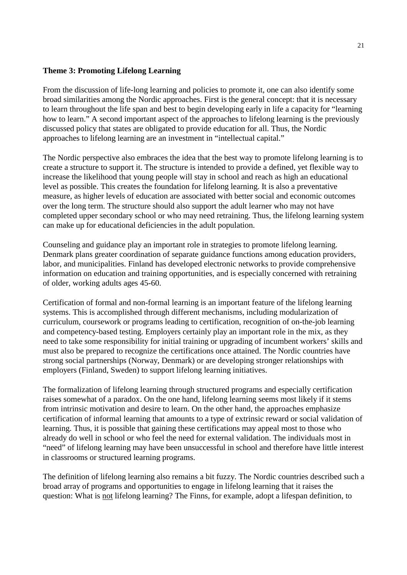#### **Theme 3: Promoting Lifelong Learning**

From the discussion of life-long learning and policies to promote it, one can also identify some broad similarities among the Nordic approaches. First is the general concept: that it is necessary to learn throughout the life span and best to begin developing early in life a capacity for "learning how to learn." A second important aspect of the approaches to lifelong learning is the previously discussed policy that states are obligated to provide education for all. Thus, the Nordic approaches to lifelong learning are an investment in "intellectual capital."

The Nordic perspective also embraces the idea that the best way to promote lifelong learning is to create a structure to support it. The structure is intended to provide a defined, yet flexible way to increase the likelihood that young people will stay in school and reach as high an educational level as possible. This creates the foundation for lifelong learning. It is also a preventative measure, as higher levels of education are associated with better social and economic outcomes over the long term. The structure should also support the adult learner who may not have completed upper secondary school or who may need retraining. Thus, the lifelong learning system can make up for educational deficiencies in the adult population.

Counseling and guidance play an important role in strategies to promote lifelong learning. Denmark plans greater coordination of separate guidance functions among education providers, labor, and municipalities. Finland has developed electronic networks to provide comprehensive information on education and training opportunities, and is especially concerned with retraining of older, working adults ages 45-60.

Certification of formal and non-formal learning is an important feature of the lifelong learning systems. This is accomplished through different mechanisms, including modularization of curriculum, coursework or programs leading to certification, recognition of on-the-job learning and competency-based testing. Employers certainly play an important role in the mix, as they need to take some responsibility for initial training or upgrading of incumbent workers' skills and must also be prepared to recognize the certifications once attained. The Nordic countries have strong social partnerships (Norway, Denmark) or are developing stronger relationships with employers (Finland, Sweden) to support lifelong learning initiatives.

The formalization of lifelong learning through structured programs and especially certification raises somewhat of a paradox. On the one hand, lifelong learning seems most likely if it stems from intrinsic motivation and desire to learn. On the other hand, the approaches emphasize certification of informal learning that amounts to a type of extrinsic reward or social validation of learning. Thus, it is possible that gaining these certifications may appeal most to those who already do well in school or who feel the need for external validation. The individuals most in "need" of lifelong learning may have been unsuccessful in school and therefore have little interest in classrooms or structured learning programs.

The definition of lifelong learning also remains a bit fuzzy. The Nordic countries described such a broad array of programs and opportunities to engage in lifelong learning that it raises the question: What is not lifelong learning? The Finns, for example, adopt a lifespan definition, to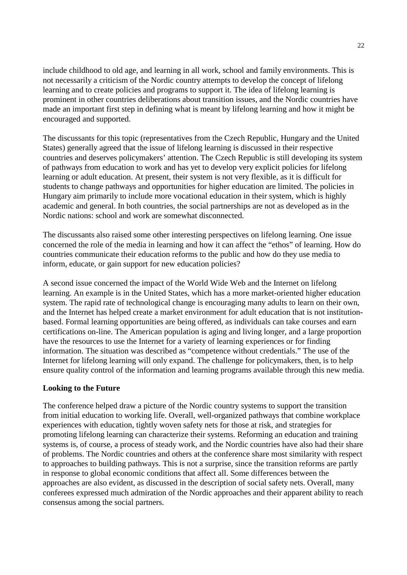include childhood to old age, and learning in all work, school and family environments. This is not necessarily a criticism of the Nordic country attempts to develop the concept of lifelong learning and to create policies and programs to support it. The idea of lifelong learning is prominent in other countries deliberations about transition issues, and the Nordic countries have made an important first step in defining what is meant by lifelong learning and how it might be encouraged and supported.

The discussants for this topic (representatives from the Czech Republic, Hungary and the United States) generally agreed that the issue of lifelong learning is discussed in their respective countries and deserves policymakers' attention. The Czech Republic is still developing its system of pathways from education to work and has yet to develop very explicit policies for lifelong learning or adult education. At present, their system is not very flexible, as it is difficult for students to change pathways and opportunities for higher education are limited. The policies in Hungary aim primarily to include more vocational education in their system, which is highly academic and general. In both countries, the social partnerships are not as developed as in the Nordic nations: school and work are somewhat disconnected.

The discussants also raised some other interesting perspectives on lifelong learning. One issue concerned the role of the media in learning and how it can affect the "ethos" of learning. How do countries communicate their education reforms to the public and how do they use media to inform, educate, or gain support for new education policies?

A second issue concerned the impact of the World Wide Web and the Internet on lifelong learning. An example is in the United States, which has a more market-oriented higher education system. The rapid rate of technological change is encouraging many adults to learn on their own, and the Internet has helped create a market environment for adult education that is not institutionbased. Formal learning opportunities are being offered, as individuals can take courses and earn certifications on-line. The American population is aging and living longer, and a large proportion have the resources to use the Internet for a variety of learning experiences or for finding information. The situation was described as "competence without credentials." The use of the Internet for lifelong learning will only expand. The challenge for policymakers, then, is to help ensure quality control of the information and learning programs available through this new media.

#### **Looking to the Future**

The conference helped draw a picture of the Nordic country systems to support the transition from initial education to working life. Overall, well-organized pathways that combine workplace experiences with education, tightly woven safety nets for those at risk, and strategies for promoting lifelong learning can characterize their systems. Reforming an education and training systems is, of course, a process of steady work, and the Nordic countries have also had their share of problems. The Nordic countries and others at the conference share most similarity with respect to approaches to building pathways. This is not a surprise, since the transition reforms are partly in response to global economic conditions that affect all. Some differences between the approaches are also evident, as discussed in the description of social safety nets. Overall, many conferees expressed much admiration of the Nordic approaches and their apparent ability to reach consensus among the social partners.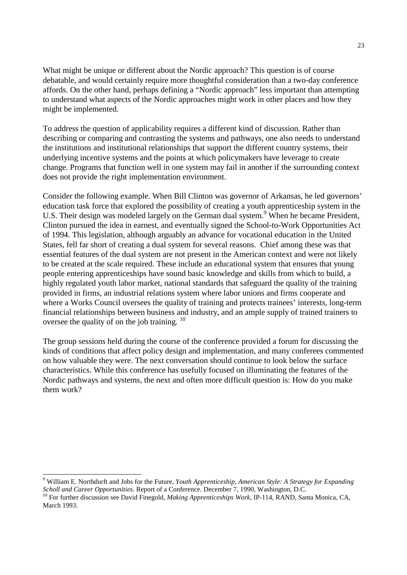What might be unique or different about the Nordic approach? This question is of course debatable, and would certainly require more thoughtful consideration than a two-day conference affords. On the other hand, perhaps defining a "Nordic approach" less important than attempting to understand what aspects of the Nordic approaches might work in other places and how they might be implemented.

To address the question of applicability requires a different kind of discussion. Rather than describing or comparing and contrasting the systems and pathways, one also needs to understand the institutions and institutional relationships that support the different country systems, their underlying incentive systems and the points at which policymakers have leverage to create change. Programs that function well in one system may fail in another if the surrounding context does not provide the right implementation environment.

Consider the following example. When Bill Clinton was governor of Arkansas, he led governors' education task force that explored the possibility of creating a youth apprenticeship system in the U.S. Their design was modeled largely on the German dual system.<sup>9</sup> When he became President, Clinton pursued the idea in earnest, and eventually signed the School-to-Work Opportunities Act of 1994. This legislation, although arguably an advance for vocational education in the United States, fell far short of creating a dual system for several reasons. Chief among these was that essential features of the dual system are not present in the American context and were not likely to be created at the scale required. These include an educational system that ensures that young people entering apprenticeships have sound basic knowledge and skills from which to build, a highly regulated youth labor market, national standards that safeguard the quality of the training provided in firms, an industrial relations system where labor unions and firms cooperate and where a Works Council oversees the quality of training and protects trainees' interests, long-term financial relationships between business and industry, and an ample supply of trained trainers to oversee the quality of on the job training. <sup>10</sup>

The group sessions held during the course of the conference provided a forum for discussing the kinds of conditions that affect policy design and implementation, and many conferees commented on how valuable they were. The next conversation should continue to look below the surface characteristics. While this conference has usefully focused on illuminating the features of the Nordic pathways and systems, the next and often more difficult question is: How do you make them work?

-

<sup>9</sup> William E. Northdurft and Jobs for the Future, *Youth Apprenticeship, American Style: A Strategy for Expanding Scholl and Career Opportunities*. Report of a Conference. December 7, 1990, Washington, D.C. <sup>10</sup> For further discussion see David Finegold, *Making Apprenticeships Work*, IP-114, RAND, Santa Monica, CA,

March 1993.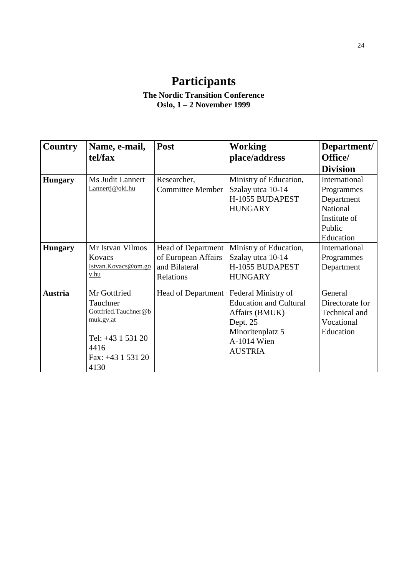# **Participants**

## **The Nordic Transition Conference Oslo, 1 – 2 November 1999**

| <b>Country</b> | Name, e-mail,                                                                                                             | Post                                                                           | <b>Working</b>                                                                                                                          | Department/                                                                                  |
|----------------|---------------------------------------------------------------------------------------------------------------------------|--------------------------------------------------------------------------------|-----------------------------------------------------------------------------------------------------------------------------------------|----------------------------------------------------------------------------------------------|
|                | tel/fax                                                                                                                   |                                                                                | place/address                                                                                                                           | Office/                                                                                      |
|                |                                                                                                                           |                                                                                |                                                                                                                                         | <b>Division</b>                                                                              |
| <b>Hungary</b> | Ms Judit Lannert<br>Lannertj@oki.hu                                                                                       | Researcher,<br><b>Committee Member</b>                                         | Ministry of Education,<br>Szalay utca 10-14<br>H-1055 BUDAPEST<br><b>HUNGARY</b>                                                        | International<br>Programmes<br>Department<br>National<br>Institute of<br>Public<br>Education |
| <b>Hungary</b> | Mr Istvan Vilmos<br>Kovacs<br>Istvan.Kovacs@om.go<br>v.hu                                                                 | <b>Head of Department</b><br>of European Affairs<br>and Bilateral<br>Relations | Ministry of Education,<br>Szalay utca 10-14<br>H-1055 BUDAPEST<br><b>HUNGARY</b>                                                        | International<br>Programmes<br>Department                                                    |
| <b>Austria</b> | Mr Gottfried<br>Tauchner<br>Gottfried.Tauchner@b<br>muk.gv.at<br>Tel: +43 1 531 20<br>4416<br>Fax: $+43$ 1 531 20<br>4130 | <b>Head of Department</b>                                                      | Federal Ministry of<br><b>Education and Cultural</b><br>Affairs (BMUK)<br>Dept. 25<br>Minoritenplatz 5<br>A-1014 Wien<br><b>AUSTRIA</b> | General<br>Directorate for<br>Technical and<br>Vocational<br>Education                       |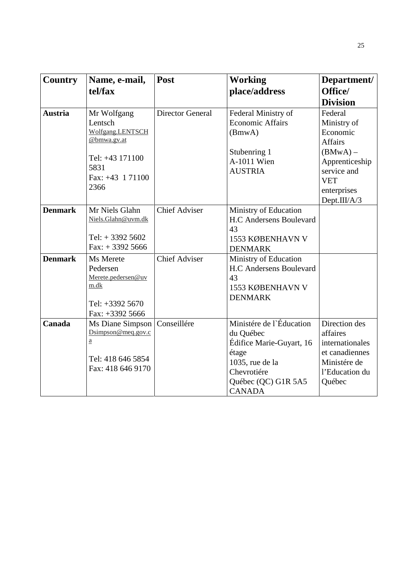| <b>Country</b> | Name, e-mail,                                                                                                          | Post                    | <b>Working</b>                                                                                                                                       | Department/                                                                                                       |
|----------------|------------------------------------------------------------------------------------------------------------------------|-------------------------|------------------------------------------------------------------------------------------------------------------------------------------------------|-------------------------------------------------------------------------------------------------------------------|
|                | tel/fax                                                                                                                |                         | place/address                                                                                                                                        | Office/                                                                                                           |
|                |                                                                                                                        |                         |                                                                                                                                                      | <b>Division</b>                                                                                                   |
| <b>Austria</b> | Mr Wolfgang<br>Lentsch<br>Wolfgang.LENTSCH<br>@bmwa.gv.at<br>Tel: +43 171100<br>5831<br>Fax: +43 1 71100<br>2366       | <b>Director General</b> | Federal Ministry of<br><b>Economic Affairs</b><br>(BmwA)<br>Stubenring 1<br>A-1011 Wien<br><b>AUSTRIA</b>                                            | Federal<br>Ministry of<br>Economic<br><b>Affairs</b><br>$(BMWA) -$<br>Apprenticeship<br>service and<br><b>VET</b> |
|                |                                                                                                                        |                         |                                                                                                                                                      | enterprises<br>Dept.III/A/3                                                                                       |
| <b>Denmark</b> | Mr Niels Glahn<br>Niels.Glahn@uvm.dk<br>Tel: $+33925602$<br>$Fax: + 33925666$                                          | <b>Chief Adviser</b>    | Ministry of Education<br><b>H.C Andersens Boulevard</b><br>43<br>1553 KØBENHAVN V<br><b>DENMARK</b>                                                  |                                                                                                                   |
| <b>Denmark</b> | Ms Merete<br>Pedersen<br>Merete.pedersen@uv<br>m.dk<br>Tel: +3392 5670<br>Fax: $+33925666$                             | <b>Chief Adviser</b>    | Ministry of Education<br><b>H.C Andersens Boulevard</b><br>43<br>1553 KØBENHAVN V<br><b>DENMARK</b>                                                  |                                                                                                                   |
| Canada         | Ms Diane Simpson<br>$D \text{simpson} @ \text{meq.gov.c}$<br>$\underline{a}$<br>Tel: 418 646 5854<br>Fax: 418 646 9170 | Conseillére             | Ministére de l'Éducation<br>du Québec<br>Édifice Marie-Guyart, 16<br>étage<br>1035, rue de la<br>Chevrotiére<br>Québec (QC) G1R 5A5<br><b>CANADA</b> | Direction des<br>affaires<br>internationales<br>et canadiennes<br>Ministére de<br>l'Education du<br>Québec        |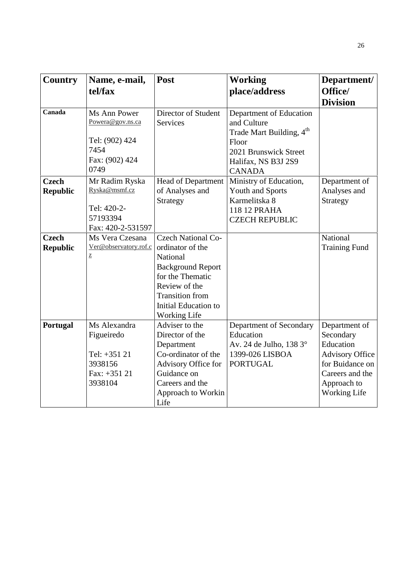| <b>Country</b>                  | Name, e-mail,<br>tel/fax                                                             | Post                                                                                                                                                                                                | <b>Working</b><br>place/address                                                                                                                          | Department/<br>Office/                                                                                                                        |
|---------------------------------|--------------------------------------------------------------------------------------|-----------------------------------------------------------------------------------------------------------------------------------------------------------------------------------------------------|----------------------------------------------------------------------------------------------------------------------------------------------------------|-----------------------------------------------------------------------------------------------------------------------------------------------|
|                                 |                                                                                      |                                                                                                                                                                                                     |                                                                                                                                                          | <b>Division</b>                                                                                                                               |
| Canada                          | Ms Ann Power<br>Powera@gov.ns.ca<br>Tel: (902) 424<br>7454<br>Fax: (902) 424<br>0749 | Director of Student<br>Services                                                                                                                                                                     | Department of Education<br>and Culture<br>Trade Mart Building, 4 <sup>th</sup><br>Floor<br>2021 Brunswick Street<br>Halifax, NS B3J 2S9<br><b>CANADA</b> |                                                                                                                                               |
| <b>Czech</b><br><b>Republic</b> | Mr Radim Ryska<br>Ryska@msmf.cz<br>Tel: 420-2-<br>57193394<br>Fax: 420-2-531597      | Head of Department<br>of Analyses and<br>Strategy                                                                                                                                                   | Ministry of Education,<br><b>Youth and Sports</b><br>Karmelitska 8<br>118 12 PRAHA<br><b>CZECH REPUBLIC</b>                                              | Department of<br>Analyses and<br>Strategy                                                                                                     |
| <b>Czech</b><br><b>Republic</b> | Ms Vera Czesana<br>Ver@observatory.rof.c<br>$\mathbf{Z}$                             | <b>Czech National Co-</b><br>ordinator of the<br>National<br><b>Background Report</b><br>for the Thematic<br>Review of the<br><b>Transition</b> from<br>Initial Education to<br><b>Working Life</b> |                                                                                                                                                          | National<br><b>Training Fund</b>                                                                                                              |
| Portugal                        | Ms Alexandra<br>Figueiredo<br>Tel: +351 21<br>3938156<br>Fax: +351 21<br>3938104     | Adviser to the<br>Director of the<br>Department<br>Co-ordinator of the<br>Advisory Office for<br>Guidance on<br>Careers and the<br>Approach to Workin<br>Life                                       | Department of Secondary<br>Education<br>Av. 24 de Julho, 138 3°<br>1399-026 LISBOA<br><b>PORTUGAL</b>                                                    | Department of<br>Secondary<br>Education<br><b>Advisory Office</b><br>for Buidance on<br>Careers and the<br>Approach to<br><b>Working Life</b> |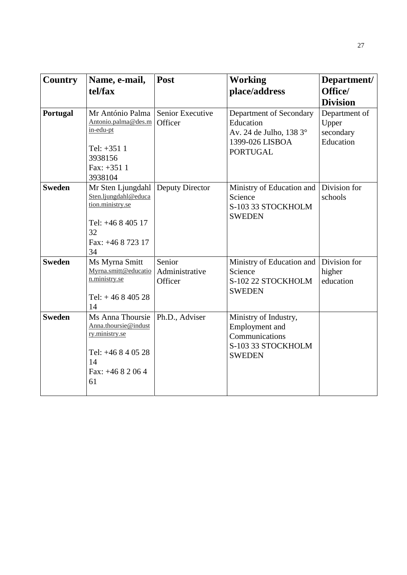| <b>Country</b> | Name, e-mail,<br>tel/fax                                                                                            | Post                                | <b>Working</b><br>place/address                                                                       | Department/<br>Office/<br><b>Division</b>        |
|----------------|---------------------------------------------------------------------------------------------------------------------|-------------------------------------|-------------------------------------------------------------------------------------------------------|--------------------------------------------------|
| Portugal       | Mr António Palma<br>Antonio.palma@des.m<br>in-edu-pt<br>Tel: +351 1<br>3938156<br>Fax: $+3511$<br>3938104           | Senior Executive<br>Officer         | Department of Secondary<br>Education<br>Av. 24 de Julho, 138 3°<br>1399-026 LISBOA<br><b>PORTUGAL</b> | Department of<br>Upper<br>secondary<br>Education |
| <b>Sweden</b>  | Mr Sten Ljungdahl<br>Sten.ljungdahl@educa<br>tion.ministry.se<br>Tel: +46 8 405 17<br>32<br>Fax: +46 8 723 17<br>34 | Deputy Director                     | Ministry of Education and<br>Science<br>S-103 33 STOCKHOLM<br><b>SWEDEN</b>                           | Division for<br>schools                          |
| <b>Sweden</b>  | Ms Myrna Smitt<br>Myrna.smitt@educatio<br>n.ministry.se<br>Tel: $+46840528$<br>14                                   | Senior<br>Administrative<br>Officer | Ministry of Education and<br>Science<br>S-102 22 STOCKHOLM<br><b>SWEDEN</b>                           | Division for<br>higher<br>education              |
| <b>Sweden</b>  | Ms Anna Thoursie<br>Anna.thoursie@indust<br>ry.ministry.se<br>Tel: $+46840528$<br>14<br>Fax: $+4682064$<br>61       | Ph.D., Adviser                      | Ministry of Industry,<br>Employment and<br>Communications<br>S-103 33 STOCKHOLM<br><b>SWEDEN</b>      |                                                  |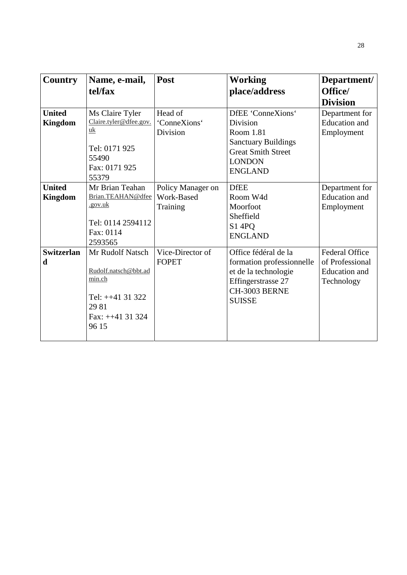| Country                | Name, e-mail,          | Post                             | <b>Working</b>                                    | Department/                       |
|------------------------|------------------------|----------------------------------|---------------------------------------------------|-----------------------------------|
|                        | tel/fax                |                                  | place/address                                     | Office/                           |
|                        |                        |                                  |                                                   | <b>Division</b>                   |
| <b>United</b>          | Ms Claire Tyler        | Head of                          | DfEE 'ConneXions'                                 | Department for                    |
| <b>Kingdom</b>         | Claire.tyler@dfee.gov. | 'ConneXions'                     | Division                                          | <b>Education</b> and              |
|                        | uk                     | Division                         | Room 1.81                                         | Employment                        |
|                        |                        |                                  | <b>Sanctuary Buildings</b>                        |                                   |
|                        | Tel: 0171 925<br>55490 |                                  | <b>Great Smith Street</b>                         |                                   |
|                        | Fax: 0171 925          |                                  | <b>LONDON</b>                                     |                                   |
|                        | 55379                  |                                  | <b>ENGLAND</b>                                    |                                   |
| <b>United</b>          | Mr Brian Teahan        | Policy Manager on                | <b>DfEE</b>                                       | Department for                    |
| <b>Kingdom</b>         | Brian.TEAHAN@dfee      | Work-Based                       | Room W4d                                          | <b>Education</b> and              |
|                        | .gov.uk                | Training                         | Moorfoot                                          | Employment                        |
|                        |                        |                                  | Sheffield                                         |                                   |
|                        | Tel: 0114 2594112      |                                  | S1 4PQ                                            |                                   |
|                        | Fax: 0114              |                                  | <b>ENGLAND</b>                                    |                                   |
|                        | 2593565                |                                  | Office fédéral de la                              |                                   |
| <b>Switzerlan</b><br>d | Mr Rudolf Natsch       | Vice-Director of<br><b>FOPET</b> |                                                   | Federal Office<br>of Professional |
|                        | Rudolf.natsch@bbt.ad   |                                  | formation professionnelle<br>et de la technologie | <b>Education</b> and              |
|                        | min.ch                 |                                  | Effingerstrasse 27                                | Technology                        |
|                        |                        |                                  | CH-3003 BERNE                                     |                                   |
|                        | Tel: $++41$ 31 322     |                                  | <b>SUISSE</b>                                     |                                   |
|                        | 29 81                  |                                  |                                                   |                                   |
|                        | Fax: $++41$ 31 324     |                                  |                                                   |                                   |
|                        | 96 15                  |                                  |                                                   |                                   |
|                        |                        |                                  |                                                   |                                   |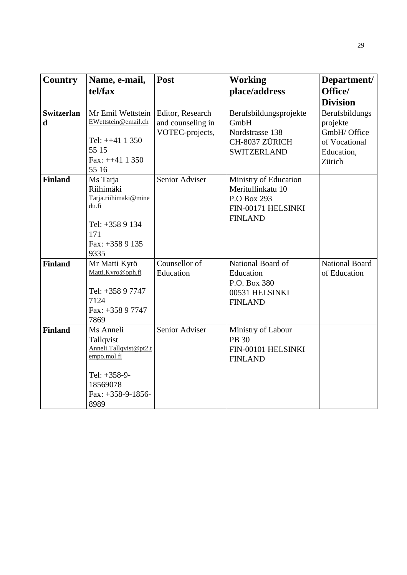| <b>Country</b>    | Name, e-mail,                   | Post              | <b>Working</b>         | Department/           |
|-------------------|---------------------------------|-------------------|------------------------|-----------------------|
|                   | tel/fax                         |                   | place/address          | Office/               |
|                   |                                 |                   |                        | <b>Division</b>       |
| <b>Switzerlan</b> | Mr Emil Wettstein               | Editor, Research  | Berufsbildungsprojekte | Berufsbildungs        |
| $\mathbf d$       | EWettstein@email.ch             | and counseling in | GmbH                   | projekte              |
|                   |                                 | VOTEC-projects,   | Nordstrasse 138        | GmbH/ Office          |
|                   | Tel: $++41$ 1 350<br>55 15      |                   | CH-8037 ZÜRICH         | of Vocational         |
|                   | Fax: $++41$ 1 350               |                   | <b>SWITZERLAND</b>     | Education,            |
|                   | 55 16                           |                   |                        | Zürich                |
| <b>Finland</b>    | Ms Tarja                        | Senior Adviser    | Ministry of Education  |                       |
|                   | Riihimäki                       |                   | Meritullinkatu 10      |                       |
|                   | Tarja.riihimaki@mine            |                   | P.O Box 293            |                       |
|                   | du.fi                           |                   | FIN-00171 HELSINKI     |                       |
|                   | Tel: $+3589134$                 |                   | <b>FINLAND</b>         |                       |
|                   | 171                             |                   |                        |                       |
|                   | Fax: +358 9 135                 |                   |                        |                       |
|                   | 9335                            |                   |                        |                       |
| <b>Finland</b>    | Mr Matti Kyrö                   | Counsellor of     | National Board of      | <b>National Board</b> |
|                   | Matti.Kyro@oph.fi               | Education         | Education              | of Education          |
|                   |                                 |                   | P.O. Box 380           |                       |
|                   | Tel: +358 9 7747                |                   | 00531 HELSINKI         |                       |
|                   | 7124                            |                   | <b>FINLAND</b>         |                       |
|                   | Fax: +358 9 7747<br>7869        |                   |                        |                       |
| <b>Finland</b>    | Ms Anneli                       | Senior Adviser    | Ministry of Labour     |                       |
|                   | Tallqvist                       |                   | <b>PB 30</b>           |                       |
|                   | Anneli.Tallqvist@pt2.t          |                   | FIN-00101 HELSINKI     |                       |
|                   | empo.mol.fi                     |                   | <b>FINLAND</b>         |                       |
|                   |                                 |                   |                        |                       |
|                   | Tel: +358-9-                    |                   |                        |                       |
|                   | 18569078<br>Fax: $+358-9-1856-$ |                   |                        |                       |
|                   | 8989                            |                   |                        |                       |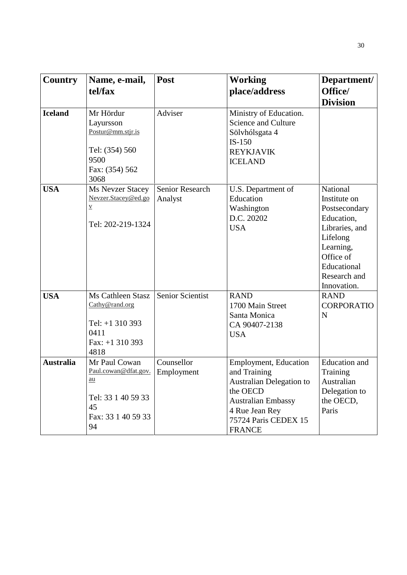| <b>Country</b>   | Name, e-mail,<br>tel/fax                                                                                   | Post                              | <b>Working</b><br>place/address                                                                                                                                                     | Department/<br>Office/<br><b>Division</b>                                                                                                                     |
|------------------|------------------------------------------------------------------------------------------------------------|-----------------------------------|-------------------------------------------------------------------------------------------------------------------------------------------------------------------------------------|---------------------------------------------------------------------------------------------------------------------------------------------------------------|
| <b>Iceland</b>   | Mr Hördur<br>Layursson<br>Postur@mm.stjr.is<br>Tel: (354) 560<br>9500<br>Fax: (354) 562<br>3068            | Adviser                           | Ministry of Education.<br><b>Science and Culture</b><br>Sölvhólsgata 4<br>$IS-150$<br><b>REYKJAVIK</b><br><b>ICELAND</b>                                                            |                                                                                                                                                               |
| <b>USA</b>       | <b>Ms Nevzer Stacey</b><br>Nevzer.Stacey@ed.go<br>$\underline{V}$<br>Tel: 202-219-1324                     | <b>Senior Research</b><br>Analyst | U.S. Department of<br>Education<br>Washington<br>D.C. 20202<br><b>USA</b>                                                                                                           | National<br>Institute on<br>Postsecondary<br>Education,<br>Libraries, and<br>Lifelong<br>Learning,<br>Office of<br>Educational<br>Research and<br>Innovation. |
| <b>USA</b>       | Ms Cathleen Stasz<br>Cathy@rand.org<br>Tel: $+1$ 310 393<br>0411<br>Fax: $+1$ 310 393<br>4818              | <b>Senior Scientist</b>           | <b>RAND</b><br>1700 Main Street<br>Santa Monica<br>CA 90407-2138<br><b>USA</b>                                                                                                      | <b>RAND</b><br><b>CORPORATIO</b><br>N                                                                                                                         |
| <b>Australia</b> | Mr Paul Cowan<br>Paul.cowan@dfat.gov.<br><u>au</u><br>Tel: 33 1 40 59 33<br>45<br>Fax: 33 1 40 59 33<br>94 | Counsellor<br>Employment          | <b>Employment, Education</b><br>and Training<br><b>Australian Delegation to</b><br>the OECD<br><b>Australian Embassy</b><br>4 Rue Jean Rey<br>75724 Paris CEDEX 15<br><b>FRANCE</b> | <b>Education</b> and<br>Training<br>Australian<br>Delegation to<br>the OECD,<br>Paris                                                                         |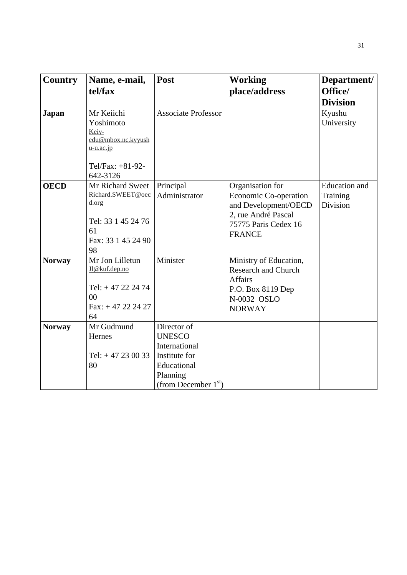| Country       | Name, e-mail,<br>tel/fax                                                                                           | Post                                                                                                                | <b>Working</b><br>place/address                                                                                                          | Department/<br>Office/<br><b>Division</b>    |
|---------------|--------------------------------------------------------------------------------------------------------------------|---------------------------------------------------------------------------------------------------------------------|------------------------------------------------------------------------------------------------------------------------------------------|----------------------------------------------|
| <b>Japan</b>  | Mr Keiichi<br>Yoshimoto<br>Keiy-<br>edu@mbox.nc.kyyush<br>$u$ - $u$ . $acc$ . $jp$<br>Tel/Fax: +81-92-<br>642-3126 | <b>Associate Professor</b>                                                                                          |                                                                                                                                          | Kyushu<br>University                         |
| <b>OECD</b>   | Mr Richard Sweet<br>Richard.SWEET@oec<br>d.org<br>Tel: 33 1 45 24 76<br>61<br>Fax: 33 1 45 24 90<br>98             | Principal<br>Administrator                                                                                          | Organisation for<br><b>Economic Co-operation</b><br>and Development/OECD<br>2, rue André Pascal<br>75775 Paris Cedex 16<br><b>FRANCE</b> | <b>Education</b> and<br>Training<br>Division |
| <b>Norway</b> | Mr Jon Lilletun<br>J1@kuf.dep.no<br>Tel: $+47$ 22 24 74<br>00<br>$Fax: + 47 22 24 27$<br>64                        | Minister                                                                                                            | Ministry of Education,<br><b>Research and Church</b><br><b>Affairs</b><br>P.O. Box 8119 Dep<br>N-0032 OSLO<br><b>NORWAY</b>              |                                              |
| <b>Norway</b> | Mr Gudmund<br>Hernes<br>Tel: $+47230033$<br>80                                                                     | Director of<br><b>UNESCO</b><br>International<br>Institute for<br>Educational<br>Planning<br>(from December $1st$ ) |                                                                                                                                          |                                              |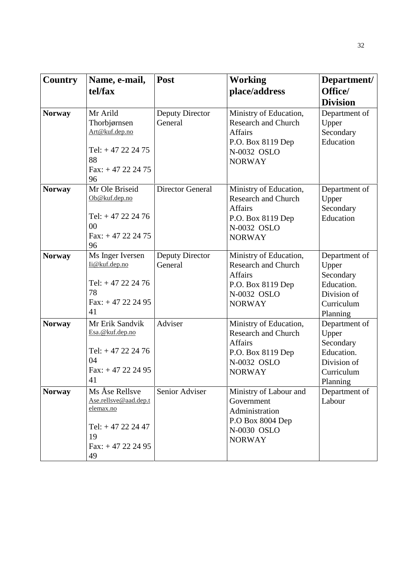| <b>Country</b> | Name, e-mail,<br>tel/fax                                                                                    | <b>Post</b>                       | <b>Working</b><br>place/address                                                                                             | Department/<br>Office/<br><b>Division</b>                                                  |
|----------------|-------------------------------------------------------------------------------------------------------------|-----------------------------------|-----------------------------------------------------------------------------------------------------------------------------|--------------------------------------------------------------------------------------------|
| <b>Norway</b>  | Mr Arild<br>Thorbjørnsen<br>Art@kuf.dep.no<br>Tel: $+47$ 22 24 75<br>88<br>Fax: $+47$ 22 24 75<br>96        | <b>Deputy Director</b><br>General | Ministry of Education,<br><b>Research and Church</b><br><b>Affairs</b><br>P.O. Box 8119 Dep<br>N-0032 OSLO<br><b>NORWAY</b> | Department of<br>Upper<br>Secondary<br>Education                                           |
| <b>Norway</b>  | Mr Ole Briseid<br>Ob@kuf.dep.no<br>Tel: $+47222476$<br>00<br>Fax: $+47222475$<br>96                         | <b>Director General</b>           | Ministry of Education,<br><b>Research and Church</b><br><b>Affairs</b><br>P.O. Box 8119 Dep<br>N-0032 OSLO<br><b>NORWAY</b> | Department of<br>Upper<br>Secondary<br>Education                                           |
| <b>Norway</b>  | Ms Inger Iversen<br>li@kuf.dep.no<br>Tel: $+47$ 22 24 76<br>78<br>$Fax: + 47 22 24 95$<br>41                | Deputy Director<br>General        | Ministry of Education,<br><b>Research and Church</b><br><b>Affairs</b><br>P.O. Box 8119 Dep<br>N-0032 OSLO<br><b>NORWAY</b> | Department of<br>Upper<br>Secondary<br>Education.<br>Division of<br>Curriculum<br>Planning |
| <b>Norway</b>  | Mr Erik Sandvik<br>Esa.@kuf.dep.no<br>Tel: $+47$ 22 24 76<br>04<br>$Fax: + 47 22 24 95$<br>41               | Adviser                           | Ministry of Education,<br><b>Research and Church</b><br><b>Affairs</b><br>P.O. Box 8119 Dep<br>N-0032 OSLO<br><b>NORWAY</b> | Department of<br>Upper<br>Secondary<br>Education.<br>Division of<br>Curriculum<br>Planning |
| <b>Norway</b>  | Ms Åse Rellsve<br>Ase.rellsve@aad.dep.t<br>elemax.no<br>Tel: $+47$ 22 24 47<br>19<br>Fax: $+47222495$<br>49 | Senior Adviser                    | Ministry of Labour and<br>Government<br>Administration<br>P.O Box 8004 Dep<br>N-0030 OSLO<br><b>NORWAY</b>                  | Department of<br>Labour                                                                    |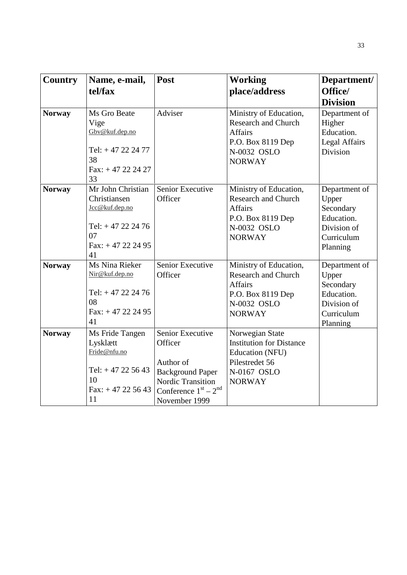| <b>Country</b> | Name, e-mail,                                                                                           | Post                                                                                                                                       | <b>Working</b>                                                                                                              | Department/                                                                                |
|----------------|---------------------------------------------------------------------------------------------------------|--------------------------------------------------------------------------------------------------------------------------------------------|-----------------------------------------------------------------------------------------------------------------------------|--------------------------------------------------------------------------------------------|
|                | tel/fax                                                                                                 |                                                                                                                                            | place/address                                                                                                               | Office/<br><b>Division</b>                                                                 |
| <b>Norway</b>  | Ms Gro Beate<br>Vige<br>Gbv@kuf.dep.no<br>Tel: $+47$ 22 24 77<br>38<br>$Fax: + 47222427$<br>33          | Adviser                                                                                                                                    | Ministry of Education,<br><b>Research and Church</b><br><b>Affairs</b><br>P.O. Box 8119 Dep<br>N-0032 OSLO<br><b>NORWAY</b> | Department of<br>Higher<br>Education.<br><b>Legal Affairs</b><br>Division                  |
| <b>Norway</b>  | Mr John Christian<br>Christiansen<br>Jcc@kuf.dep.no<br>Tel: $+47222476$<br>07<br>Fax: $+47222495$<br>41 | Senior Executive<br>Officer                                                                                                                | Ministry of Education,<br><b>Research and Church</b><br><b>Affairs</b><br>P.O. Box 8119 Dep<br>N-0032 OSLO<br><b>NORWAY</b> | Department of<br>Upper<br>Secondary<br>Education.<br>Division of<br>Curriculum<br>Planning |
| <b>Norway</b>  | Ms Nina Rieker<br>Nir@kuf.dep.no<br>Tel: $+47$ 22 24 76<br>08<br>Fax: $+47222495$<br>41                 | Senior Executive<br>Officer                                                                                                                | Ministry of Education,<br><b>Research and Church</b><br>Affairs<br>P.O. Box 8119 Dep<br>N-0032 OSLO<br><b>NORWAY</b>        | Department of<br>Upper<br>Secondary<br>Education.<br>Division of<br>Curriculum<br>Planning |
| <b>Norway</b>  | Ms Fride Tangen<br>Lysklætt<br>Fride@nfu.no<br>Tel: $+47$ 22 56 43<br>10<br>Fax: $+47$ 22 56 43<br>11   | Senior Executive<br>Officer<br>Author of<br><b>Background Paper</b><br><b>Nordic Transition</b><br>Conference $1st - 2nd$<br>November 1999 | Norwegian State<br><b>Institution for Distance</b><br>Education (NFU)<br>Pilestredet 56<br>N-0167 OSLO<br><b>NORWAY</b>     |                                                                                            |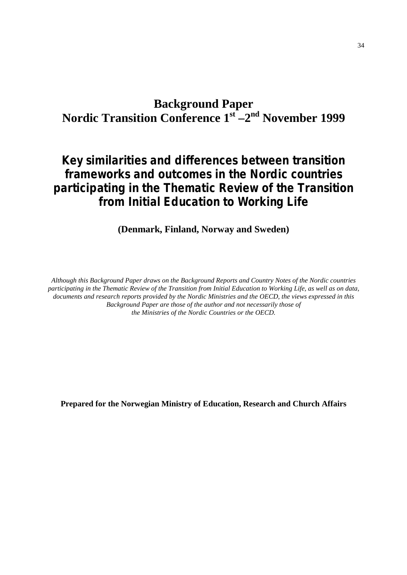# **Background Paper Nordic Transition Conference 1st –2nd November 1999**

# **Key similarities and differences between transition frameworks and outcomes in the Nordic countries participating in the Thematic Review of the Transition from Initial Education to Working Life**

**(Denmark, Finland, Norway and Sweden)**

*Although this Background Paper draws on the Background Reports and Country Notes of the Nordic countries participating in the Thematic Review of the Transition from Initial Education to Working Life, as well as on data, documents and research reports provided by the Nordic Ministries and the OECD, the views expressed in this Background Paper are those of the author and not necessarily those of the Ministries of the Nordic Countries or the OECD.*

**Prepared for the Norwegian Ministry of Education, Research and Church Affairs**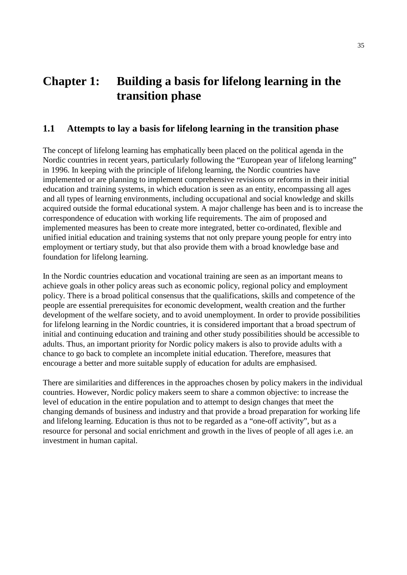# **Chapter 1: Building a basis for lifelong learning in the transition phase**

# **1.1 Attempts to lay a basis for lifelong learning in the transition phase**

The concept of lifelong learning has emphatically been placed on the political agenda in the Nordic countries in recent years, particularly following the "European year of lifelong learning" in 1996. In keeping with the principle of lifelong learning, the Nordic countries have implemented or are planning to implement comprehensive revisions or reforms in their initial education and training systems, in which education is seen as an entity, encompassing all ages and all types of learning environments, including occupational and social knowledge and skills acquired outside the formal educational system. A major challenge has been and is to increase the correspondence of education with working life requirements. The aim of proposed and implemented measures has been to create more integrated, better co-ordinated, flexible and unified initial education and training systems that not only prepare young people for entry into employment or tertiary study, but that also provide them with a broad knowledge base and foundation for lifelong learning.

In the Nordic countries education and vocational training are seen as an important means to achieve goals in other policy areas such as economic policy, regional policy and employment policy. There is a broad political consensus that the qualifications, skills and competence of the people are essential prerequisites for economic development, wealth creation and the further development of the welfare society, and to avoid unemployment. In order to provide possibilities for lifelong learning in the Nordic countries, it is considered important that a broad spectrum of initial and continuing education and training and other study possibilities should be accessible to adults. Thus, an important priority for Nordic policy makers is also to provide adults with a chance to go back to complete an incomplete initial education. Therefore, measures that encourage a better and more suitable supply of education for adults are emphasised.

There are similarities and differences in the approaches chosen by policy makers in the individual countries. However, Nordic policy makers seem to share a common objective: to increase the level of education in the entire population and to attempt to design changes that meet the changing demands of business and industry and that provide a broad preparation for working life and lifelong learning. Education is thus not to be regarded as a "one-off activity", but as a resource for personal and social enrichment and growth in the lives of people of all ages i.e. an investment in human capital.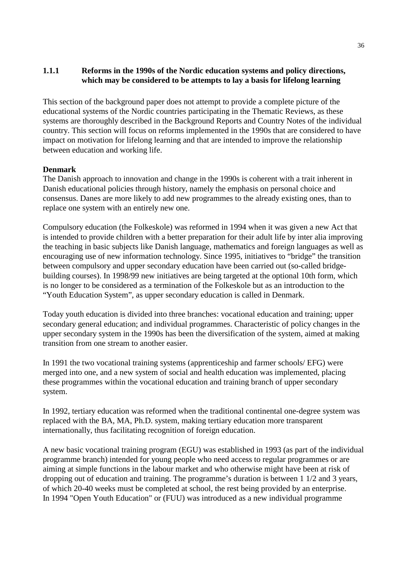# **1.1.1 Reforms in the 1990s of the Nordic education systems and policy directions, which may be considered to be attempts to lay a basis for lifelong learning**

This section of the background paper does not attempt to provide a complete picture of the educational systems of the Nordic countries participating in the Thematic Reviews, as these systems are thoroughly described in the Background Reports and Country Notes of the individual country. This section will focus on reforms implemented in the 1990s that are considered to have impact on motivation for lifelong learning and that are intended to improve the relationship between education and working life.

## **Denmark**

The Danish approach to innovation and change in the 1990s is coherent with a trait inherent in Danish educational policies through history, namely the emphasis on personal choice and consensus. Danes are more likely to add new programmes to the already existing ones, than to replace one system with an entirely new one.

Compulsory education (the Folkeskole) was reformed in 1994 when it was given a new Act that is intended to provide children with a better preparation for their adult life by inter alia improving the teaching in basic subjects like Danish language, mathematics and foreign languages as well as encouraging use of new information technology. Since 1995, initiatives to "bridge" the transition between compulsory and upper secondary education have been carried out (so-called bridgebuilding courses). In 1998/99 new initiatives are being targeted at the optional 10th form, which is no longer to be considered as a termination of the Folkeskole but as an introduction to the "Youth Education System", as upper secondary education is called in Denmark.

Today youth education is divided into three branches: vocational education and training; upper secondary general education; and individual programmes. Characteristic of policy changes in the upper secondary system in the 1990s has been the diversification of the system, aimed at making transition from one stream to another easier.

In 1991 the two vocational training systems (apprenticeship and farmer schools/ EFG) were merged into one, and a new system of social and health education was implemented, placing these programmes within the vocational education and training branch of upper secondary system.

In 1992, tertiary education was reformed when the traditional continental one-degree system was replaced with the BA, MA, Ph.D. system, making tertiary education more transparent internationally, thus facilitating recognition of foreign education.

A new basic vocational training program (EGU) was established in 1993 (as part of the individual programme branch) intended for young people who need access to regular programmes or are aiming at simple functions in the labour market and who otherwise might have been at risk of dropping out of education and training. The programme's duration is between 1 1/2 and 3 years, of which 20-40 weeks must be completed at school, the rest being provided by an enterprise. In 1994 "Open Youth Education" or (FUU) was introduced as a new individual programme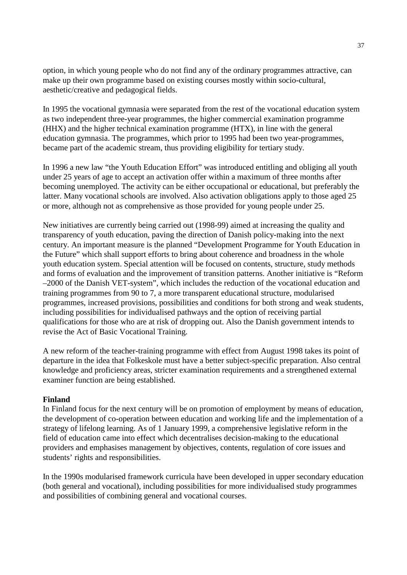option, in which young people who do not find any of the ordinary programmes attractive, can make up their own programme based on existing courses mostly within socio-cultural, aesthetic/creative and pedagogical fields.

In 1995 the vocational gymnasia were separated from the rest of the vocational education system as two independent three-year programmes, the higher commercial examination programme (HHX) and the higher technical examination programme (HTX), in line with the general education gymnasia. The programmes, which prior to 1995 had been two year-programmes, became part of the academic stream, thus providing eligibility for tertiary study.

In 1996 a new law "the Youth Education Effort" was introduced entitling and obliging all youth under 25 years of age to accept an activation offer within a maximum of three months after becoming unemployed. The activity can be either occupational or educational, but preferably the latter. Many vocational schools are involved. Also activation obligations apply to those aged 25 or more, although not as comprehensive as those provided for young people under 25.

New initiatives are currently being carried out (1998-99) aimed at increasing the quality and transparency of youth education, paving the direction of Danish policy-making into the next century. An important measure is the planned "Development Programme for Youth Education in the Future" which shall support efforts to bring about coherence and broadness in the whole youth education system. Special attention will be focused on contents, structure, study methods and forms of evaluation and the improvement of transition patterns. Another initiative is "Reform –2000 of the Danish VET-system", which includes the reduction of the vocational education and training programmes from 90 to 7, a more transparent educational structure, modularised programmes, increased provisions, possibilities and conditions for both strong and weak students, including possibilities for individualised pathways and the option of receiving partial qualifications for those who are at risk of dropping out. Also the Danish government intends to revise the Act of Basic Vocational Training.

A new reform of the teacher-training programme with effect from August 1998 takes its point of departure in the idea that Folkeskole must have a better subject-specific preparation. Also central knowledge and proficiency areas, stricter examination requirements and a strengthened external examiner function are being established.

## **Finland**

In Finland focus for the next century will be on promotion of employment by means of education, the development of co-operation between education and working life and the implementation of a strategy of lifelong learning. As of 1 January 1999, a comprehensive legislative reform in the field of education came into effect which decentralises decision-making to the educational providers and emphasises management by objectives, contents, regulation of core issues and students' rights and responsibilities.

In the 1990s modularised framework curricula have been developed in upper secondary education (both general and vocational), including possibilities for more individualised study programmes and possibilities of combining general and vocational courses.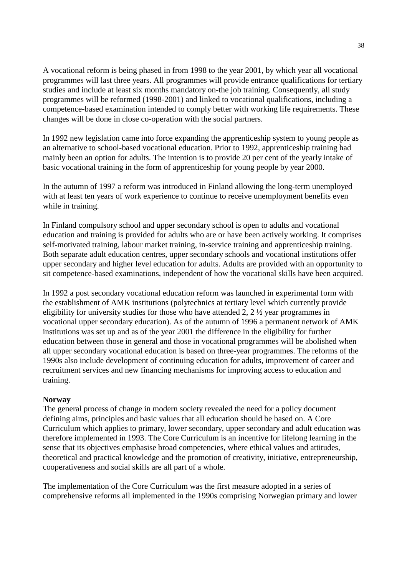A vocational reform is being phased in from 1998 to the year 2001, by which year all vocational programmes will last three years. All programmes will provide entrance qualifications for tertiary studies and include at least six months mandatory on-the job training. Consequently, all study programmes will be reformed (1998-2001) and linked to vocational qualifications, including a competence-based examination intended to comply better with working life requirements. These changes will be done in close co-operation with the social partners.

In 1992 new legislation came into force expanding the apprenticeship system to young people as an alternative to school-based vocational education. Prior to 1992, apprenticeship training had mainly been an option for adults. The intention is to provide 20 per cent of the yearly intake of basic vocational training in the form of apprenticeship for young people by year 2000.

In the autumn of 1997 a reform was introduced in Finland allowing the long-term unemployed with at least ten years of work experience to continue to receive unemployment benefits even while in training.

In Finland compulsory school and upper secondary school is open to adults and vocational education and training is provided for adults who are or have been actively working. It comprises self-motivated training, labour market training, in-service training and apprenticeship training. Both separate adult education centres, upper secondary schools and vocational institutions offer upper secondary and higher level education for adults. Adults are provided with an opportunity to sit competence-based examinations, independent of how the vocational skills have been acquired.

In 1992 a post secondary vocational education reform was launched in experimental form with the establishment of AMK institutions (polytechnics at tertiary level which currently provide eligibility for university studies for those who have attended 2, 2 ½ year programmes in vocational upper secondary education). As of the autumn of 1996 a permanent network of AMK institutions was set up and as of the year 2001 the difference in the eligibility for further education between those in general and those in vocational programmes will be abolished when all upper secondary vocational education is based on three-year programmes. The reforms of the 1990s also include development of continuing education for adults, improvement of career and recruitment services and new financing mechanisms for improving access to education and training.

## **Norway**

The general process of change in modern society revealed the need for a policy document defining aims, principles and basic values that all education should be based on. A Core Curriculum which applies to primary, lower secondary, upper secondary and adult education was therefore implemented in 1993. The Core Curriculum is an incentive for lifelong learning in the sense that its objectives emphasise broad competencies, where ethical values and attitudes, theoretical and practical knowledge and the promotion of creativity, initiative, entrepreneurship, cooperativeness and social skills are all part of a whole.

The implementation of the Core Curriculum was the first measure adopted in a series of comprehensive reforms all implemented in the 1990s comprising Norwegian primary and lower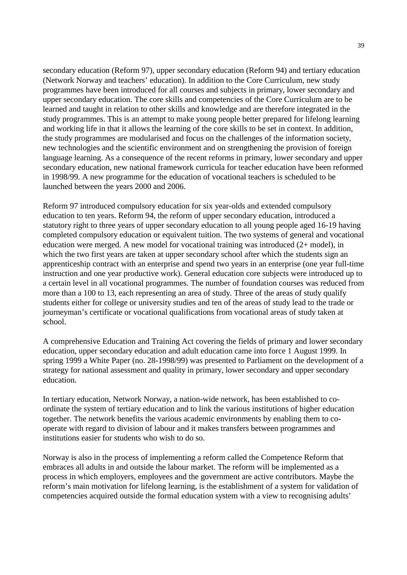secondary education (Reform 97), upper secondary education (Reform 94) and tertiary education (Network Norway and teachers' education). In addition to the Core Curriculum, new study programmes have been introduced for all courses and subjects in primary, lower secondary and upper secondary education. The core skills and competencies of the Core Curriculum are to be learned and taught in relation to other skills and knowledge and are therefore integrated in the study programmes. This is an attempt to make young people better prepared for lifelong learning and working life in that it allows the learning of the core skills to be set in context. In addition, the study programmes are modularised and focus on the challenges of the information society, new technologies and the scientific environment and on strengthening the provision of foreign language learning. As a consequence of the recent reforms in primary, lower secondary and upper secondary education, new national framework curricula for teacher education have been reformed in 1998/99. A new programme for the education of vocational teachers is scheduled to be launched between the years 2000 and 2006.

Reform 97 introduced compulsory education for six year-olds and extended compulsory education to ten years. Reform 94, the reform of upper secondary education, introduced a statutory right to three years of upper secondary education to all young people aged 16-19 having completed compulsory education or equivalent tuition. The two systems of general and vocational education were merged. A new model for vocational training was introduced (2+ model), in which the two first years are taken at upper secondary school after which the students sign an apprenticeship contract with an enterprise and spend two years in an enterprise (one year full-time instruction and one year productive work). General education core subjects were introduced up to a certain level in all vocational programmes. The number of foundation courses was reduced from more than a 100 to 13, each representing an area of study. Three of the areas of study qualify students either for college or university studies and ten of the areas of study lead to the trade or journeyman's certificate or vocational qualifications from vocational areas of study taken at school.

A comprehensive Education and Training Act covering the fields of primary and lower secondary education, upper secondary education and adult education came into force 1 August 1999. In spring 1999 a White Paper (no. 28-1998/99) was presented to Parliament on the development of a strategy for national assessment and quality in primary, lower secondary and upper secondary education.

In tertiary education, Network Norway, a nation-wide network, has been established to coordinate the system of tertiary education and to link the various institutions of higher education together. The network benefits the various academic environments by enabling them to cooperate with regard to division of labour and it makes transfers between programmes and institutions easier for students who wish to do so.

Norway is also in the process of implementing a reform called the Competence Reform that embraces all adults in and outside the labour market. The reform will be implemented as a process in which employers, employees and the government are active contributors. Maybe the reform's main motivation for lifelong learning, is the establishment of a system for validation of competencies acquired outside the formal education system with a view to recognising adults'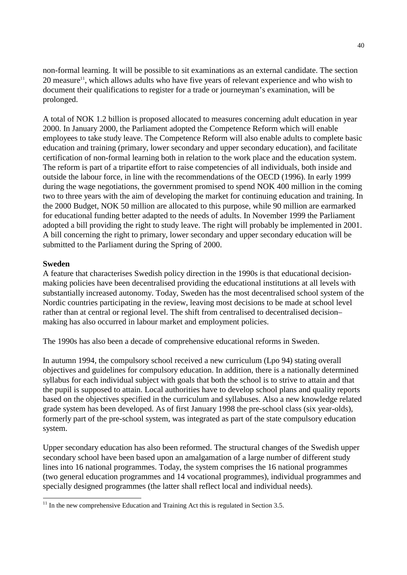non-formal learning. It will be possible to sit examinations as an external candidate. The section  $20$  measure<sup>11</sup>, which allows adults who have five years of relevant experience and who wish to document their qualifications to register for a trade or journeyman's examination, will be prolonged.

A total of NOK 1.2 billion is proposed allocated to measures concerning adult education in year 2000. In January 2000, the Parliament adopted the Competence Reform which will enable employees to take study leave. The Competence Reform will also enable adults to complete basic education and training (primary, lower secondary and upper secondary education), and facilitate certification of non-formal learning both in relation to the work place and the education system. The reform is part of a tripartite effort to raise competencies of all individuals, both inside and outside the labour force, in line with the recommendations of the OECD (1996). In early 1999 during the wage negotiations, the government promised to spend NOK 400 million in the coming two to three years with the aim of developing the market for continuing education and training. In the 2000 Budget, NOK 50 million are allocated to this purpose, while 90 million are earmarked for educational funding better adapted to the needs of adults. In November 1999 the Parliament adopted a bill providing the right to study leave. The right will probably be implemented in 2001. A bill concerning the right to primary, lower secondary and upper secondary education will be submitted to the Parliament during the Spring of 2000.

#### **Sweden**

-

A feature that characterises Swedish policy direction in the 1990s is that educational decisionmaking policies have been decentralised providing the educational institutions at all levels with substantially increased autonomy. Today, Sweden has the most decentralised school system of the Nordic countries participating in the review, leaving most decisions to be made at school level rather than at central or regional level. The shift from centralised to decentralised decision– making has also occurred in labour market and employment policies.

The 1990s has also been a decade of comprehensive educational reforms in Sweden.

In autumn 1994, the compulsory school received a new curriculum (Lpo 94) stating overall objectives and guidelines for compulsory education. In addition, there is a nationally determined syllabus for each individual subject with goals that both the school is to strive to attain and that the pupil is supposed to attain. Local authorities have to develop school plans and quality reports based on the objectives specified in the curriculum and syllabuses. Also a new knowledge related grade system has been developed. As of first January 1998 the pre-school class (six year-olds), formerly part of the pre-school system, was integrated as part of the state compulsory education system.

Upper secondary education has also been reformed. The structural changes of the Swedish upper secondary school have been based upon an amalgamation of a large number of different study lines into 16 national programmes. Today, the system comprises the 16 national programmes (two general education programmes and 14 vocational programmes), individual programmes and specially designed programmes (the latter shall reflect local and individual needs).

 $11$  In the new comprehensive Education and Training Act this is regulated in Section 3.5.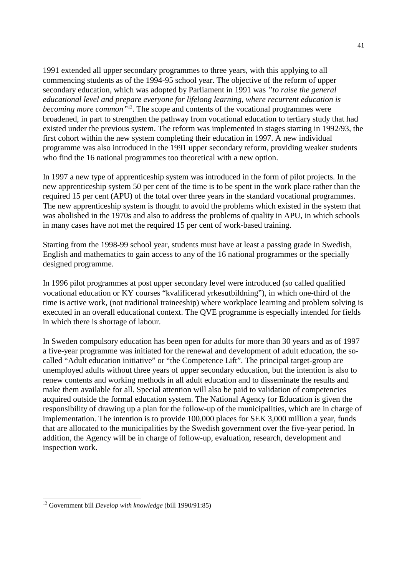1991 extended all upper secondary programmes to three years, with this applying to all commencing students as of the 1994-95 school year. The objective of the reform of upper secondary education, which was adopted by Parliament in 1991 was *"to raise the general educational level and prepare everyone for lifelong learning, where recurrent education is becoming more common*<sup>"12</sup>. The scope and contents of the vocational programmes were broadened, in part to strengthen the pathway from vocational education to tertiary study that had existed under the previous system. The reform was implemented in stages starting in 1992/93, the first cohort within the new system completing their education in 1997. A new individual programme was also introduced in the 1991 upper secondary reform, providing weaker students who find the 16 national programmes too theoretical with a new option.

In 1997 a new type of apprenticeship system was introduced in the form of pilot projects. In the new apprenticeship system 50 per cent of the time is to be spent in the work place rather than the required 15 per cent (APU) of the total over three years in the standard vocational programmes. The new apprenticeship system is thought to avoid the problems which existed in the system that was abolished in the 1970s and also to address the problems of quality in APU, in which schools in many cases have not met the required 15 per cent of work-based training.

Starting from the 1998-99 school year, students must have at least a passing grade in Swedish, English and mathematics to gain access to any of the 16 national programmes or the specially designed programme.

In 1996 pilot programmes at post upper secondary level were introduced (so called qualified vocational education or KY courses "kvalificerad yrkesutbildning"), in which one-third of the time is active work, (not traditional traineeship) where workplace learning and problem solving is executed in an overall educational context. The QVE programme is especially intended for fields in which there is shortage of labour.

In Sweden compulsory education has been open for adults for more than 30 years and as of 1997 a five-year programme was initiated for the renewal and development of adult education, the socalled "Adult education initiative" or "the Competence Lift". The principal target-group are unemployed adults without three years of upper secondary education, but the intention is also to renew contents and working methods in all adult education and to disseminate the results and make them available for all. Special attention will also be paid to validation of competencies acquired outside the formal education system. The National Agency for Education is given the responsibility of drawing up a plan for the follow-up of the municipalities, which are in charge of implementation. The intention is to provide 100,000 places for SEK 3,000 million a year, funds that are allocated to the municipalities by the Swedish government over the five-year period. In addition, the Agency will be in charge of follow-up, evaluation, research, development and inspection work.

-

<sup>12</sup> Government bill *Develop with knowledge* (bill 1990/91:85)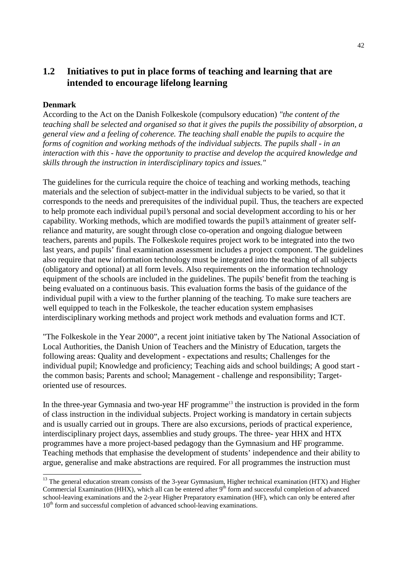# **1.2 Initiatives to put in place forms of teaching and learning that are intended to encourage lifelong learning**

## **Denmark**

-

According to the Act on the Danish Folkeskole (compulsory education) *"the content of the teaching shall be selected and organised so that it gives the pupils the possibility of absorption, a general view and a feeling of coherence. The teaching shall enable the pupils to acquire the forms of cognition and working methods of the individual subjects. The pupils shall - in an interaction with this - have the opportunity to practise and develop the acquired knowledge and skills through the instruction in interdisciplinary topics and issues."*

The guidelines for the curricula require the choice of teaching and working methods, teaching materials and the selection of subject-matter in the individual subjects to be varied, so that it corresponds to the needs and prerequisites of the individual pupil. Thus, the teachers are expected to help promote each individual pupil's personal and social development according to his or her capability. Working methods, which are modified towards the pupil's attainment of greater selfreliance and maturity, are sought through close co-operation and ongoing dialogue between teachers, parents and pupils. The Folkeskole requires project work to be integrated into the two last years, and pupils' final examination assessment includes a project component. The guidelines also require that new information technology must be integrated into the teaching of all subjects (obligatory and optional) at all form levels. Also requirements on the information technology equipment of the schools are included in the guidelines. The pupils' benefit from the teaching is being evaluated on a continuous basis. This evaluation forms the basis of the guidance of the individual pupil with a view to the further planning of the teaching. To make sure teachers are well equipped to teach in the Folkeskole, the teacher education system emphasises interdisciplinary working methods and project work methods and evaluation forms and ICT.

"The Folkeskole in the Year 2000", a recent joint initiative taken by The National Association of Local Authorities, the Danish Union of Teachers and the Ministry of Education, targets the following areas: Quality and development - expectations and results; Challenges for the individual pupil; Knowledge and proficiency; Teaching aids and school buildings; A good start the common basis; Parents and school; Management - challenge and responsibility; Targetoriented use of resources.

In the three-year Gymnasia and two-year HF programme<sup>13</sup> the instruction is provided in the form of class instruction in the individual subjects. Project working is mandatory in certain subjects and is usually carried out in groups. There are also excursions, periods of practical experience, interdisciplinary project days, assemblies and study groups. The three- year HHX and HTX programmes have a more project-based pedagogy than the Gymnasium and HF programme. Teaching methods that emphasise the development of students' independence and their ability to argue, generalise and make abstractions are required. For all programmes the instruction must

<sup>&</sup>lt;sup>13</sup> The general education stream consists of the 3-year Gymnasium, Higher technical examination (HTX) and Higher Commercial Examination (HHX), which all can be entered after  $9<sup>th</sup>$  form and successful completion of advanced school-leaving examinations and the 2-year Higher Preparatory examination (HF), which can only be entered after  $10<sup>th</sup>$  form and successful completion of advanced school-leaving examinations.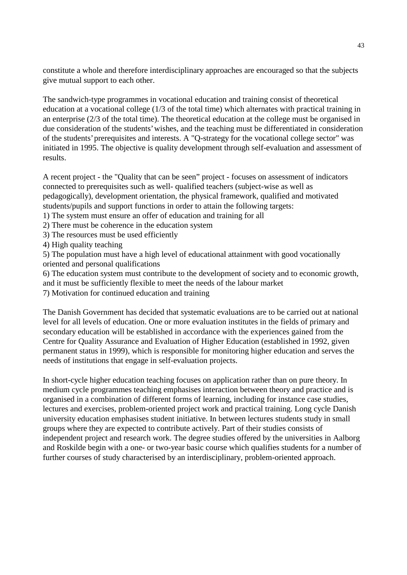constitute a whole and therefore interdisciplinary approaches are encouraged so that the subjects give mutual support to each other.

The sandwich-type programmes in vocational education and training consist of theoretical education at a vocational college (1/3 of the total time) which alternates with practical training in an enterprise (2/3 of the total time). The theoretical education at the college must be organised in due consideration of the students' wishes, and the teaching must be differentiated in consideration of the students' prerequisites and interests. A "Q-strategy for the vocational college sector" was initiated in 1995. The objective is quality development through self-evaluation and assessment of results.

A recent project - the "Quality that can be seen" project - focuses on assessment of indicators connected to prerequisites such as well- qualified teachers (subject-wise as well as pedagogically), development orientation, the physical framework, qualified and motivated students/pupils and support functions in order to attain the following targets:

- 1) The system must ensure an offer of education and training for all
- 2) There must be coherence in the education system
- 3) The resources must be used efficiently
- 4) High quality teaching

5) The population must have a high level of educational attainment with good vocationally oriented and personal qualifications

6) The education system must contribute to the development of society and to economic growth, and it must be sufficiently flexible to meet the needs of the labour market

7) Motivation for continued education and training

The Danish Government has decided that systematic evaluations are to be carried out at national level for all levels of education. One or more evaluation institutes in the fields of primary and secondary education will be established in accordance with the experiences gained from the Centre for Quality Assurance and Evaluation of Higher Education (established in 1992, given permanent status in 1999), which is responsible for monitoring higher education and serves the needs of institutions that engage in self-evaluation projects.

In short-cycle higher education teaching focuses on application rather than on pure theory. In medium cycle programmes teaching emphasises interaction between theory and practice and is organised in a combination of different forms of learning, including for instance case studies, lectures and exercises, problem-oriented project work and practical training. Long cycle Danish university education emphasises student initiative. In between lectures students study in small groups where they are expected to contribute actively. Part of their studies consists of independent project and research work. The degree studies offered by the universities in Aalborg and Roskilde begin with a one- or two-year basic course which qualifies students for a number of further courses of study characterised by an interdisciplinary, problem-oriented approach.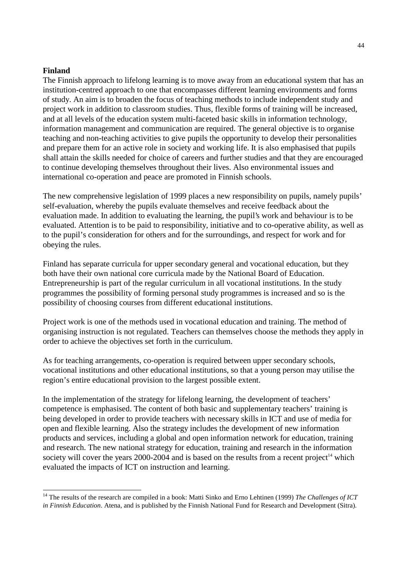#### **Finland**

 $\overline{a}$ 

The Finnish approach to lifelong learning is to move away from an educational system that has an institution-centred approach to one that encompasses different learning environments and forms of study. An aim is to broaden the focus of teaching methods to include independent study and project work in addition to classroom studies. Thus, flexible forms of training will be increased, and at all levels of the education system multi-faceted basic skills in information technology, information management and communication are required. The general objective is to organise teaching and non-teaching activities to give pupils the opportunity to develop their personalities and prepare them for an active role in society and working life. It is also emphasised that pupils shall attain the skills needed for choice of careers and further studies and that they are encouraged to continue developing themselves throughout their lives. Also environmental issues and international co-operation and peace are promoted in Finnish schools.

The new comprehensive legislation of 1999 places a new responsibility on pupils, namely pupils' self-evaluation, whereby the pupils evaluate themselves and receive feedback about the evaluation made. In addition to evaluating the learning, the pupil's work and behaviour is to be evaluated. Attention is to be paid to responsibility, initiative and to co-operative ability, as well as to the pupil's consideration for others and for the surroundings, and respect for work and for obeying the rules.

Finland has separate curricula for upper secondary general and vocational education, but they both have their own national core curricula made by the National Board of Education. Entrepreneurship is part of the regular curriculum in all vocational institutions. In the study programmes the possibility of forming personal study programmes is increased and so is the possibility of choosing courses from different educational institutions.

Project work is one of the methods used in vocational education and training. The method of organising instruction is not regulated. Teachers can themselves choose the methods they apply in order to achieve the objectives set forth in the curriculum.

As for teaching arrangements, co-operation is required between upper secondary schools, vocational institutions and other educational institutions, so that a young person may utilise the region's entire educational provision to the largest possible extent.

In the implementation of the strategy for lifelong learning, the development of teachers' competence is emphasised. The content of both basic and supplementary teachers' training is being developed in order to provide teachers with necessary skills in ICT and use of media for open and flexible learning. Also the strategy includes the development of new information products and services, including a global and open information network for education, training and research. The new national strategy for education, training and research in the information society will cover the years  $2000-2004$  and is based on the results from a recent project<sup>14</sup> which evaluated the impacts of ICT on instruction and learning.

<sup>&</sup>lt;sup>14</sup> The results of the research are compiled in a book: Matti Sinko and Erno Lehtinen (1999) *The Challenges of ICT in Finnish Education*. Atena, and is published by the Finnish National Fund for Research and Development (Sitra).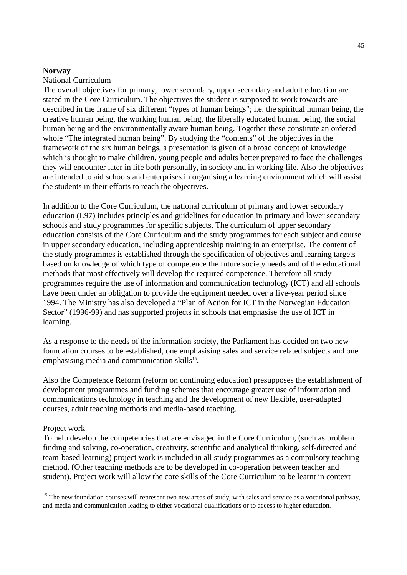#### **Norway**

#### National Curriculum

The overall objectives for primary, lower secondary, upper secondary and adult education are stated in the Core Curriculum. The objectives the student is supposed to work towards are described in the frame of six different "types of human beings"; i.e. the spiritual human being, the creative human being, the working human being, the liberally educated human being, the social human being and the environmentally aware human being. Together these constitute an ordered whole "The integrated human being". By studying the "contents" of the objectives in the framework of the six human beings, a presentation is given of a broad concept of knowledge which is thought to make children, young people and adults better prepared to face the challenges they will encounter later in life both personally, in society and in working life. Also the objectives are intended to aid schools and enterprises in organising a learning environment which will assist the students in their efforts to reach the objectives.

In addition to the Core Curriculum, the national curriculum of primary and lower secondary education (L97) includes principles and guidelines for education in primary and lower secondary schools and study programmes for specific subjects. The curriculum of upper secondary education consists of the Core Curriculum and the study programmes for each subject and course in upper secondary education, including apprenticeship training in an enterprise. The content of the study programmes is established through the specification of objectives and learning targets based on knowledge of which type of competence the future society needs and of the educational methods that most effectively will develop the required competence. Therefore all study programmes require the use of information and communication technology (ICT) and all schools have been under an obligation to provide the equipment needed over a five-year period since 1994. The Ministry has also developed a "Plan of Action for ICT in the Norwegian Education Sector" (1996-99) and has supported projects in schools that emphasise the use of ICT in learning.

As a response to the needs of the information society, the Parliament has decided on two new foundation courses to be established, one emphasising sales and service related subjects and one emphasising media and communication skills $15$ .

Also the Competence Reform (reform on continuing education) presupposes the establishment of development programmes and funding schemes that encourage greater use of information and communications technology in teaching and the development of new flexible, user-adapted courses, adult teaching methods and media-based teaching.

#### Project work

 $\overline{a}$ 

To help develop the competencies that are envisaged in the Core Curriculum, (such as problem finding and solving, co-operation, creativity, scientific and analytical thinking, self-directed and team-based learning) project work is included in all study programmes as a compulsory teaching method. (Other teaching methods are to be developed in co-operation between teacher and student). Project work will allow the core skills of the Core Curriculum to be learnt in context

<sup>&</sup>lt;sup>15</sup> The new foundation courses will represent two new areas of study, with sales and service as a vocational pathway, and media and communication leading to either vocational qualifications or to access to higher education.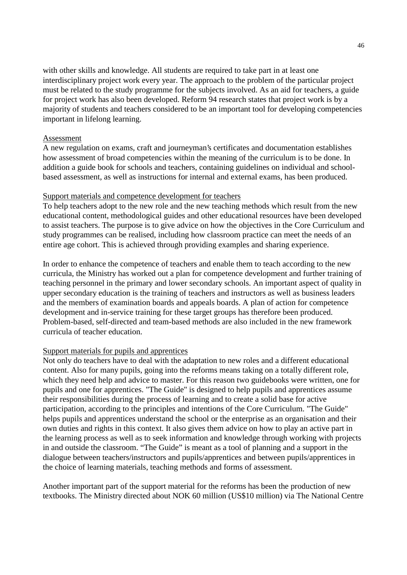with other skills and knowledge. All students are required to take part in at least one interdisciplinary project work every year. The approach to the problem of the particular project must be related to the study programme for the subjects involved. As an aid for teachers, a guide for project work has also been developed. Reform 94 research states that project work is by a majority of students and teachers considered to be an important tool for developing competencies important in lifelong learning.

#### Assessment

A new regulation on exams, craft and journeyman's certificates and documentation establishes how assessment of broad competencies within the meaning of the curriculum is to be done. In addition a guide book for schools and teachers, containing guidelines on individual and schoolbased assessment, as well as instructions for internal and external exams, has been produced.

#### Support materials and competence development for teachers

To help teachers adopt to the new role and the new teaching methods which result from the new educational content, methodological guides and other educational resources have been developed to assist teachers. The purpose is to give advice on how the objectives in the Core Curriculum and study programmes can be realised, including how classroom practice can meet the needs of an entire age cohort. This is achieved through providing examples and sharing experience.

In order to enhance the competence of teachers and enable them to teach according to the new curricula, the Ministry has worked out a plan for competence development and further training of teaching personnel in the primary and lower secondary schools. An important aspect of quality in upper secondary education is the training of teachers and instructors as well as business leaders and the members of examination boards and appeals boards. A plan of action for competence development and in-service training for these target groups has therefore been produced. Problem-based, self-directed and team-based methods are also included in the new framework curricula of teacher education.

## Support materials for pupils and apprentices

Not only do teachers have to deal with the adaptation to new roles and a different educational content. Also for many pupils, going into the reforms means taking on a totally different role, which they need help and advice to master. For this reason two guidebooks were written, one for pupils and one for apprentices. "The Guide" is designed to help pupils and apprentices assume their responsibilities during the process of learning and to create a solid base for active participation, according to the principles and intentions of the Core Curriculum. "The Guide" helps pupils and apprentices understand the school or the enterprise as an organisation and their own duties and rights in this context. It also gives them advice on how to play an active part in the learning process as well as to seek information and knowledge through working with projects in and outside the classroom. "The Guide" is meant as a tool of planning and a support in the dialogue between teachers/instructors and pupils/apprentices and between pupils/apprentices in the choice of learning materials, teaching methods and forms of assessment.

Another important part of the support material for the reforms has been the production of new textbooks. The Ministry directed about NOK 60 million (US\$10 million) via The National Centre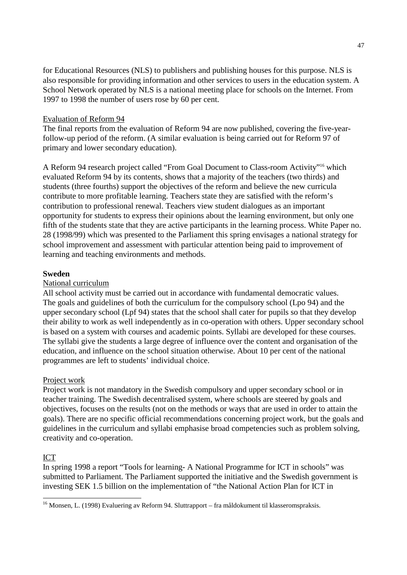for Educational Resources (NLS) to publishers and publishing houses for this purpose. NLS is also responsible for providing information and other services to users in the education system. A School Network operated by NLS is a national meeting place for schools on the Internet. From 1997 to 1998 the number of users rose by 60 per cent.

## Evaluation of Reform 94

The final reports from the evaluation of Reform 94 are now published, covering the five-yearfollow-up period of the reform. (A similar evaluation is being carried out for Reform 97 of primary and lower secondary education).

A Reform 94 research project called "From Goal Document to Class-room Activity"16 which evaluated Reform 94 by its contents, shows that a majority of the teachers (two thirds) and students (three fourths) support the objectives of the reform and believe the new curricula contribute to more profitable learning. Teachers state they are satisfied with the reform's contribution to professional renewal. Teachers view student dialogues as an important opportunity for students to express their opinions about the learning environment, but only one fifth of the students state that they are active participants in the learning process. White Paper no. 28 (1998/99) which was presented to the Parliament this spring envisages a national strategy for school improvement and assessment with particular attention being paid to improvement of learning and teaching environments and methods.

# **Sweden**

## National curriculum

All school activity must be carried out in accordance with fundamental democratic values. The goals and guidelines of both the curriculum for the compulsory school (Lpo 94) and the upper secondary school (Lpf 94) states that the school shall cater for pupils so that they develop their ability to work as well independently as in co-operation with others. Upper secondary school is based on a system with courses and academic points. Syllabi are developed for these courses. The syllabi give the students a large degree of influence over the content and organisation of the education, and influence on the school situation otherwise. About 10 per cent of the national programmes are left to students' individual choice.

# Project work

Project work is not mandatory in the Swedish compulsory and upper secondary school or in teacher training. The Swedish decentralised system, where schools are steered by goals and objectives, focuses on the results (not on the methods or ways that are used in order to attain the goals). There are no specific official recommendations concerning project work, but the goals and guidelines in the curriculum and syllabi emphasise broad competencies such as problem solving, creativity and co-operation.

# ICT

-

In spring 1998 a report "Tools for learning- A National Programme for ICT in schools" was submitted to Parliament. The Parliament supported the initiative and the Swedish government is investing SEK 1.5 billion on the implementation of "the National Action Plan for ICT in

<sup>&</sup>lt;sup>16</sup> Monsen, L. (1998) Evaluering av Reform 94. Sluttrapport – fra måldokument til klasseromspraksis.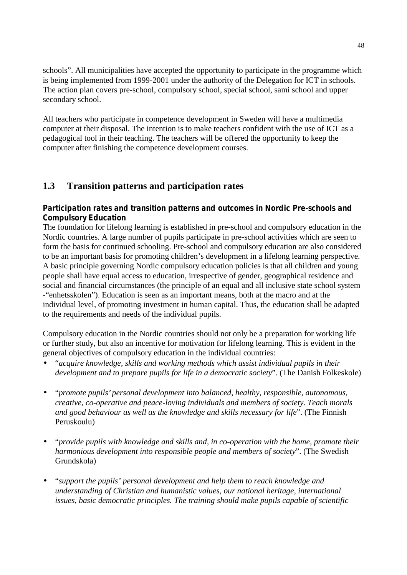schools". All municipalities have accepted the opportunity to participate in the programme which is being implemented from 1999-2001 under the authority of the Delegation for ICT in schools. The action plan covers pre-school, compulsory school, special school, sami school and upper secondary school.

All teachers who participate in competence development in Sweden will have a multimedia computer at their disposal. The intention is to make teachers confident with the use of ICT as a pedagogical tool in their teaching. The teachers will be offered the opportunity to keep the computer after finishing the competence development courses.

# **1.3 Transition patterns and participation rates**

# **Participation rates and transition patterns and outcomes in Nordic Pre-schools and Compulsory Education**

The foundation for lifelong learning is established in pre-school and compulsory education in the Nordic countries. A large number of pupils participate in pre-school activities which are seen to form the basis for continued schooling. Pre-school and compulsory education are also considered to be an important basis for promoting children's development in a lifelong learning perspective. A basic principle governing Nordic compulsory education policies is that all children and young people shall have equal access to education, irrespective of gender, geographical residence and social and financial circumstances (the principle of an equal and all inclusive state school system -"enhetsskolen"). Education is seen as an important means, both at the macro and at the individual level, of promoting investment in human capital. Thus, the education shall be adapted to the requirements and needs of the individual pupils.

Compulsory education in the Nordic countries should not only be a preparation for working life or further study, but also an incentive for motivation for lifelong learning. This is evident in the general objectives of compulsory education in the individual countries:

- "*acquire knowledge, skills and working methods which assist individual pupils in their development and to prepare pupils for life in a democratic society*". (The Danish Folkeskole)
- "*promote pupils' personal development into balanced, healthy, responsible, autonomous, creative, co-operative and peace-loving individuals and members of society. Teach morals and good behaviour as well as the knowledge and skills necessary for life*". (The Finnish Peruskoulu)
- "*provide pupils with knowledge and skills and, in co-operation with the home, promote their harmonious development into responsible people and members of society*". (The Swedish Grundskola)
- "*support the pupils' personal development and help them to reach knowledge and understanding of Christian and humanistic values, our national heritage, international issues, basic democratic principles. The training should make pupils capable of scientific*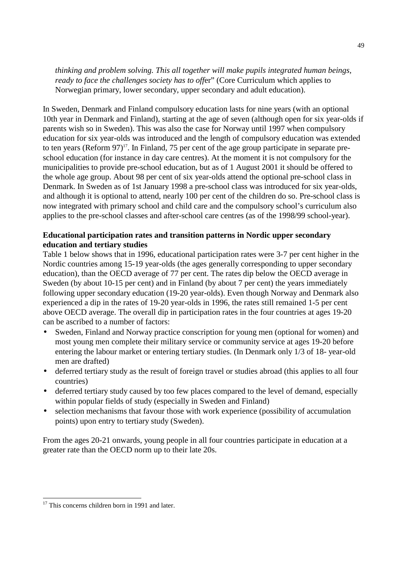*thinking and problem solving. This all together will make pupils integrated human beings, ready to face the challenges society has to offer*" (Core Curriculum which applies to Norwegian primary, lower secondary, upper secondary and adult education).

In Sweden, Denmark and Finland compulsory education lasts for nine years (with an optional 10th year in Denmark and Finland), starting at the age of seven (although open for six year-olds if parents wish so in Sweden). This was also the case for Norway until 1997 when compulsory education for six year-olds was introduced and the length of compulsory education was extended to ten years (Reform  $97$ )<sup>17</sup>. In Finland, 75 per cent of the age group participate in separate preschool education (for instance in day care centres). At the moment it is not compulsory for the municipalities to provide pre-school education, but as of 1 August 2001 it should be offered to the whole age group. About 98 per cent of six year-olds attend the optional pre-school class in Denmark. In Sweden as of 1st January 1998 a pre-school class was introduced for six year-olds, and although it is optional to attend, nearly 100 per cent of the children do so. Pre-school class is now integrated with primary school and child care and the compulsory school's curriculum also applies to the pre-school classes and after-school care centres (as of the 1998/99 school-year).

# **Educational participation rates and transition patterns in Nordic upper secondary education and tertiary studies**

Table 1 below shows that in 1996, educational participation rates were 3-7 per cent higher in the Nordic countries among 15-19 year-olds (the ages generally corresponding to upper secondary education), than the OECD average of 77 per cent. The rates dip below the OECD average in Sweden (by about 10-15 per cent) and in Finland (by about 7 per cent) the years immediately following upper secondary education (19-20 year-olds). Even though Norway and Denmark also experienced a dip in the rates of 19-20 year-olds in 1996, the rates still remained 1-5 per cent above OECD average. The overall dip in participation rates in the four countries at ages 19-20 can be ascribed to a number of factors:

- Sweden, Finland and Norway practice conscription for young men (optional for women) and most young men complete their military service or community service at ages 19-20 before entering the labour market or entering tertiary studies. (In Denmark only 1/3 of 18- year-old men are drafted)
- deferred tertiary study as the result of foreign travel or studies abroad (this applies to all four countries)
- deferred tertiary study caused by too few places compared to the level of demand, especially within popular fields of study (especially in Sweden and Finland)
- selection mechanisms that favour those with work experience (possibility of accumulation points) upon entry to tertiary study (Sweden).

From the ages 20-21 onwards, young people in all four countries participate in education at a greater rate than the OECD norm up to their late 20s.

-

<sup>&</sup>lt;sup>17</sup> This concerns children born in 1991 and later.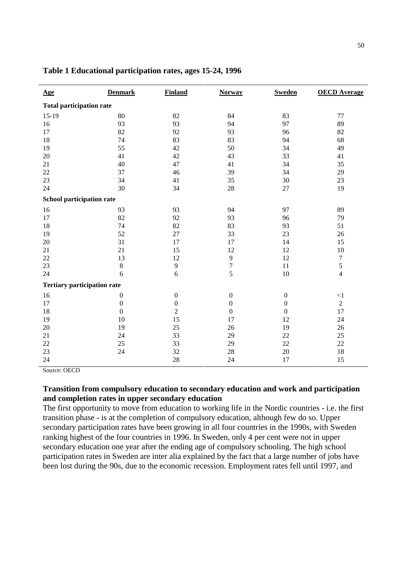| <u>Age</u>                         | <b>Denmark</b>   | <b>Finland</b>   | <b>Norway</b>    | <b>Sweden</b>    | <b>OECD</b> Average |  |
|------------------------------------|------------------|------------------|------------------|------------------|---------------------|--|
| <b>Total participation rate</b>    |                  |                  |                  |                  |                     |  |
| $15-19$                            | 80               | 82               | 84               | 83               | 77                  |  |
| 16                                 | 93               | 93               | 94               | 97               | 89                  |  |
| 17                                 | 82               | 92               | 93               | 96               | 82                  |  |
| 18                                 | 74               | 83               | 83               | 94               | 68                  |  |
| 19                                 | 55               | 42               | 50               | 34               | 49                  |  |
| $20\,$                             | 41               | 42               | 43               | 33               | 41                  |  |
| 21                                 | 40               | 47               | 41               | 34               | 35                  |  |
| 22                                 | 37               | 46               | 39               | 34               | 29                  |  |
| 23                                 | 34               | 41               | 35               | 30               | 23                  |  |
| 24                                 | 30               | 34               | 28               | 27               | 19                  |  |
| School participation rate          |                  |                  |                  |                  |                     |  |
| 16                                 | 93               | 93               | 94               | 97               | 89                  |  |
| 17                                 | 82               | 92               | 93               | 96               | 79                  |  |
| 18                                 | 74               | 82               | 83               | 93               | 51                  |  |
| 19                                 | 52               | 27               | 33               | 23               | 26                  |  |
| 20                                 | 31               | 17               | 17               | 14               | 15                  |  |
| 21                                 | 21               | 15               | 12               | 12               | 10                  |  |
| 22                                 | 13               | 12               | $\mathbf{9}$     | 12               | $\boldsymbol{7}$    |  |
| 23                                 | $\,8\,$          | $\overline{9}$   | $\boldsymbol{7}$ | 11               | $\mathfrak s$       |  |
| 24                                 | 6                | 6                | 5                | 10               | $\overline{4}$      |  |
| <b>Tertiary participation rate</b> |                  |                  |                  |                  |                     |  |
| 16                                 | $\boldsymbol{0}$ | $\boldsymbol{0}$ | $\boldsymbol{0}$ | $\boldsymbol{0}$ | <1                  |  |
| 17                                 | $\boldsymbol{0}$ | $\boldsymbol{0}$ | $\boldsymbol{0}$ | $\boldsymbol{0}$ | $\sqrt{2}$          |  |
| 18                                 | $\boldsymbol{0}$ | $\overline{2}$   | $\boldsymbol{0}$ | $\overline{0}$   | 17                  |  |
| 19                                 | 10               | 15               | 17               | 12               | 24                  |  |
| 20                                 | 19               | 25               | 26               | 19               | 26                  |  |
| 21                                 | 24               | 33               | 29               | 22               | 25                  |  |
| $22\,$                             | 25               | 33               | 29               | 22               | 22                  |  |
| 23                                 | 24               | 32               | 28               | 20               | 18                  |  |
| 24                                 |                  | 28               | 24               | 17               | 15                  |  |

#### **Table 1 Educational participation rates, ages 15-24, 1996**

Source: OECD

# **Transition from compulsory education to secondary education and work and participation and completion rates in upper secondary education**

The first opportunity to move from education to working life in the Nordic countries - i.e. the first transition phase - is at the completion of compulsory education, although few do so. Upper secondary participation rates have been growing in all four countries in the 1990s, with Sweden ranking highest of the four countries in 1996. In Sweden, only 4 per cent were not in upper secondary education one year after the ending age of compulsory schooling. The high school participation rates in Sweden are inter alia explained by the fact that a large number of jobs have been lost during the 90s, due to the economic recession. Employment rates fell until 1997, and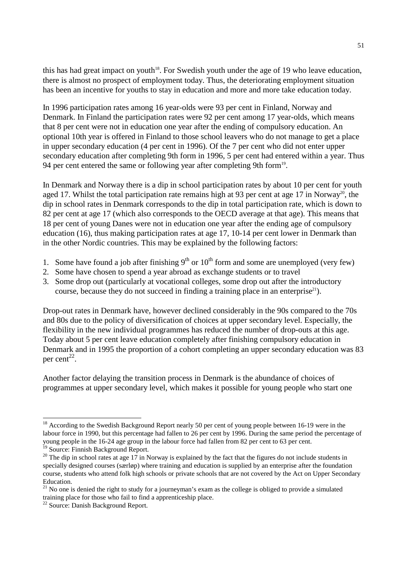this has had great impact on youth<sup>18</sup>. For Swedish youth under the age of 19 who leave education, there is almost no prospect of employment today. Thus, the deteriorating employment situation has been an incentive for youths to stay in education and more and more take education today.

In 1996 participation rates among 16 year-olds were 93 per cent in Finland, Norway and Denmark. In Finland the participation rates were 92 per cent among 17 year-olds, which means that 8 per cent were not in education one year after the ending of compulsory education. An optional 10th year is offered in Finland to those school leavers who do not manage to get a place in upper secondary education (4 per cent in 1996). Of the 7 per cent who did not enter upper secondary education after completing 9th form in 1996, 5 per cent had entered within a year. Thus 94 per cent entered the same or following year after completing 9th form<sup>19</sup>.

In Denmark and Norway there is a dip in school participation rates by about 10 per cent for youth aged 17. Whilst the total participation rate remains high at 93 per cent at age 17 in Norway<sup>20</sup>, the dip in school rates in Denmark corresponds to the dip in total participation rate, which is down to 82 per cent at age 17 (which also corresponds to the OECD average at that age). This means that 18 per cent of young Danes were not in education one year after the ending age of compulsory education (16), thus making participation rates at age 17, 10-14 per cent lower in Denmark than in the other Nordic countries. This may be explained by the following factors:

- 1. Some have found a job after finishing  $9<sup>th</sup>$  or  $10<sup>th</sup>$  form and some are unemployed (very few)
- 2. Some have chosen to spend a year abroad as exchange students or to travel
- 3. Some drop out (particularly at vocational colleges, some drop out after the introductory course, because they do not succeed in finding a training place in an enterprise<sup>21</sup>).

Drop-out rates in Denmark have, however declined considerably in the 90s compared to the 70s and 80s due to the policy of diversification of choices at upper secondary level. Especially, the flexibility in the new individual programmes has reduced the number of drop-outs at this age. Today about 5 per cent leave education completely after finishing compulsory education in Denmark and in 1995 the proportion of a cohort completing an upper secondary education was 83 per cent<sup>22</sup>.

Another factor delaying the transition process in Denmark is the abundance of choices of programmes at upper secondary level, which makes it possible for young people who start one

 $\overline{a}$ 

 $18$  According to the Swedish Background Report nearly 50 per cent of young people between 16-19 were in the labour force in 1990, but this percentage had fallen to 26 per cent by 1996. During the same period the percentage of young people in the 16-24 age group in the labour force had fallen from 82 per cent to 63 per cent. <sup>19</sup> Source: Finnish Background Report.

 $20$  The dip in school rates at age 17 in Norway is explained by the fact that the figures do not include students in specially designed courses (særløp) where training and education is supplied by an enterprise after the foundation course, students who attend folk high schools or private schools that are not covered by the Act on Upper Secondary Education.

 $21$  No one is denied the right to study for a journeyman's exam as the college is obliged to provide a simulated training place for those who fail to find a apprenticeship place.

<sup>&</sup>lt;sup>22</sup> Source: Danish Background Report.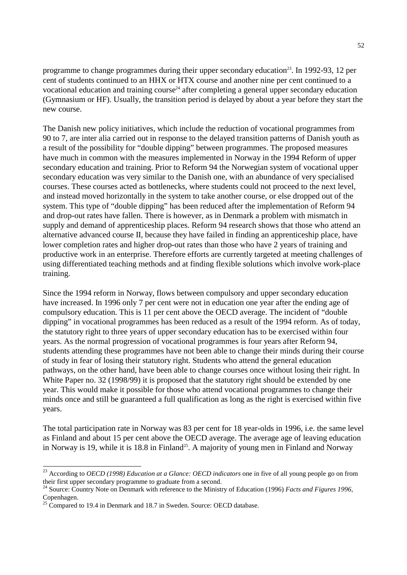programme to change programmes during their upper secondary education<sup>23</sup>. In 1992-93, 12 per cent of students continued to an HHX or HTX course and another nine per cent continued to a vocational education and training course<sup>24</sup> after completing a general upper secondary education (Gymnasium or HF). Usually, the transition period is delayed by about a year before they start the new course.

The Danish new policy initiatives, which include the reduction of vocational programmes from 90 to 7, are inter alia carried out in response to the delayed transition patterns of Danish youth as a result of the possibility for "double dipping" between programmes. The proposed measures have much in common with the measures implemented in Norway in the 1994 Reform of upper secondary education and training. Prior to Reform 94 the Norwegian system of vocational upper secondary education was very similar to the Danish one, with an abundance of very specialised courses. These courses acted as bottlenecks, where students could not proceed to the next level, and instead moved horizontally in the system to take another course, or else dropped out of the system. This type of "double dipping" has been reduced after the implementation of Reform 94 and drop-out rates have fallen. There is however, as in Denmark a problem with mismatch in supply and demand of apprenticeship places. Reform 94 research shows that those who attend an alternative advanced course II, because they have failed in finding an apprenticeship place, have lower completion rates and higher drop-out rates than those who have 2 years of training and productive work in an enterprise. Therefore efforts are currently targeted at meeting challenges of using differentiated teaching methods and at finding flexible solutions which involve work-place training.

Since the 1994 reform in Norway, flows between compulsory and upper secondary education have increased. In 1996 only 7 per cent were not in education one year after the ending age of compulsory education. This is 11 per cent above the OECD average. The incident of "double dipping" in vocational programmes has been reduced as a result of the 1994 reform. As of today, the statutory right to three years of upper secondary education has to be exercised within four years. As the normal progression of vocational programmes is four years after Reform 94, students attending these programmes have not been able to change their minds during their course of study in fear of losing their statutory right. Students who attend the general education pathways, on the other hand, have been able to change courses once without losing their right. In White Paper no. 32 (1998/99) it is proposed that the statutory right should be extended by one year. This would make it possible for those who attend vocational programmes to change their minds once and still be guaranteed a full qualification as long as the right is exercised within five years.

The total participation rate in Norway was 83 per cent for 18 year-olds in 1996, i.e. the same level as Finland and about 15 per cent above the OECD average. The average age of leaving education in Norway is 19, while it is 18.8 in Finland<sup>25</sup>. A majority of young men in Finland and Norway

 $\overline{a}$ 

<sup>&</sup>lt;sup>23</sup> According to *OECD (1998) Education at a Glance: OECD indicators* one in five of all young people go on from their first upper secondary programme to graduate from a second.

<sup>24</sup> Source: Country Note on Denmark with reference to the Ministry of Education (1996) *Facts and Figures 1996,* Copenhagen.

 $25$  Compared to 19.4 in Denmark and 18.7 in Sweden. Source: OECD database.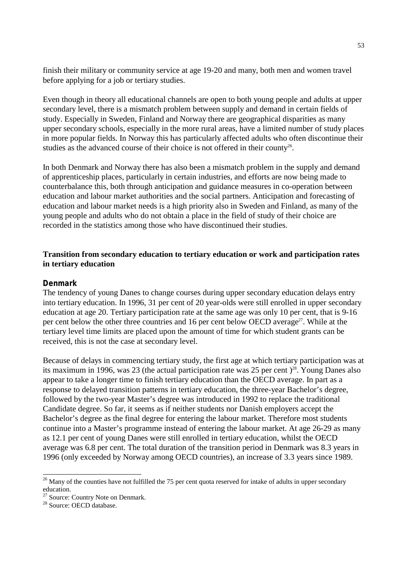finish their military or community service at age 19-20 and many, both men and women travel before applying for a job or tertiary studies.

Even though in theory all educational channels are open to both young people and adults at upper secondary level, there is a mismatch problem between supply and demand in certain fields of study. Especially in Sweden, Finland and Norway there are geographical disparities as many upper secondary schools, especially in the more rural areas, have a limited number of study places in more popular fields. In Norway this has particularly affected adults who often discontinue their studies as the advanced course of their choice is not offered in their county<sup>26</sup>.

In both Denmark and Norway there has also been a mismatch problem in the supply and demand of apprenticeship places, particularly in certain industries, and efforts are now being made to counterbalance this, both through anticipation and guidance measures in co-operation between education and labour market authorities and the social partners. Anticipation and forecasting of education and labour market needs is a high priority also in Sweden and Finland, as many of the young people and adults who do not obtain a place in the field of study of their choice are recorded in the statistics among those who have discontinued their studies.

## **Transition from secondary education to tertiary education or work and participation rates in tertiary education**

#### **Denmark**

The tendency of young Danes to change courses during upper secondary education delays entry into tertiary education. In 1996, 31 per cent of 20 year-olds were still enrolled in upper secondary education at age 20. Tertiary participation rate at the same age was only 10 per cent, that is 9-16 per cent below the other three countries and 16 per cent below OECD average<sup>27</sup>. While at the tertiary level time limits are placed upon the amount of time for which student grants can be received, this is not the case at secondary level.

Because of delays in commencing tertiary study, the first age at which tertiary participation was at its maximum in 1996, was 23 (the actual participation rate was 25 per cent)<sup>28</sup>. Young Danes also appear to take a longer time to finish tertiary education than the OECD average. In part as a response to delayed transition patterns in tertiary education, the three-year Bachelor's degree, followed by the two-year Master's degree was introduced in 1992 to replace the traditional Candidate degree. So far, it seems as if neither students nor Danish employers accept the Bachelor's degree as the final degree for entering the labour market. Therefore most students continue into a Master's programme instead of entering the labour market. At age 26-29 as many as 12.1 per cent of young Danes were still enrolled in tertiary education, whilst the OECD average was 6.8 per cent. The total duration of the transition period in Denmark was 8.3 years in 1996 (only exceeded by Norway among OECD countries), an increase of 3.3 years since 1989.

-

 $26$  Many of the counties have not fulfilled the 75 per cent quota reserved for intake of adults in upper secondary education.

<sup>&</sup>lt;sup>27</sup> Source: Country Note on Denmark.

<sup>&</sup>lt;sup>28</sup> Source: OECD database.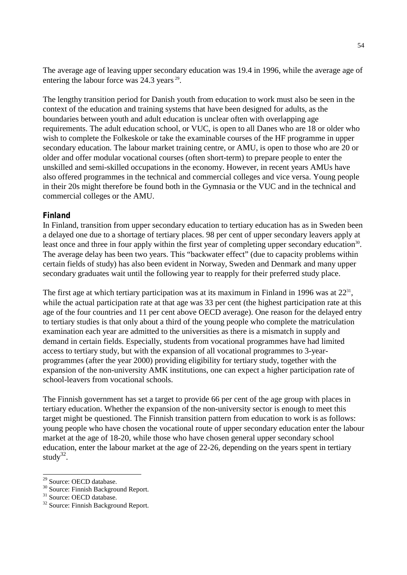The average age of leaving upper secondary education was 19.4 in 1996, while the average age of entering the labour force was 24.3 years <sup>29</sup>.

The lengthy transition period for Danish youth from education to work must also be seen in the context of the education and training systems that have been designed for adults, as the boundaries between youth and adult education is unclear often with overlapping age requirements. The adult education school, or VUC, is open to all Danes who are 18 or older who wish to complete the Folkeskole or take the examinable courses of the HF programme in upper secondary education. The labour market training centre, or AMU, is open to those who are 20 or older and offer modular vocational courses (often short-term) to prepare people to enter the unskilled and semi-skilled occupations in the economy. However, in recent years AMUs have also offered programmes in the technical and commercial colleges and vice versa. Young people in their 20s might therefore be found both in the Gymnasia or the VUC and in the technical and commercial colleges or the AMU.

## **Finland**

In Finland, transition from upper secondary education to tertiary education has as in Sweden been a delayed one due to a shortage of tertiary places. 98 per cent of upper secondary leavers apply at least once and three in four apply within the first year of completing upper secondary education<sup>30</sup>. The average delay has been two years. This "backwater effect" (due to capacity problems within certain fields of study) has also been evident in Norway, Sweden and Denmark and many upper secondary graduates wait until the following year to reapply for their preferred study place.

The first age at which tertiary participation was at its maximum in Finland in 1996 was at  $22^{31}$ , while the actual participation rate at that age was 33 per cent (the highest participation rate at this age of the four countries and 11 per cent above OECD average). One reason for the delayed entry to tertiary studies is that only about a third of the young people who complete the matriculation examination each year are admitted to the universities as there is a mismatch in supply and demand in certain fields. Especially, students from vocational programmes have had limited access to tertiary study, but with the expansion of all vocational programmes to 3-yearprogrammes (after the year 2000) providing eligibility for tertiary study, together with the expansion of the non-university AMK institutions, one can expect a higher participation rate of school-leavers from vocational schools.

The Finnish government has set a target to provide 66 per cent of the age group with places in tertiary education. Whether the expansion of the non-university sector is enough to meet this target might be questioned. The Finnish transition pattern from education to work is as follows: young people who have chosen the vocational route of upper secondary education enter the labour market at the age of 18-20, while those who have chosen general upper secondary school education, enter the labour market at the age of 22-26, depending on the years spent in tertiary study<sup>32</sup>.

-

<sup>&</sup>lt;sup>29</sup> Source: OECD database.

<sup>30</sup> Source: Finnish Background Report.

<sup>&</sup>lt;sup>31</sup> Source: OECD database.

<sup>32</sup> Source: Finnish Background Report.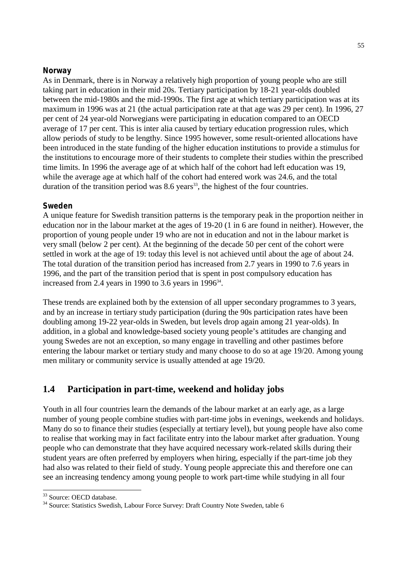# **Norway**

As in Denmark, there is in Norway a relatively high proportion of young people who are still taking part in education in their mid 20s. Tertiary participation by 18-21 year-olds doubled between the mid-1980s and the mid-1990s. The first age at which tertiary participation was at its maximum in 1996 was at 21 (the actual participation rate at that age was 29 per cent). In 1996, 27 per cent of 24 year-old Norwegians were participating in education compared to an OECD average of 17 per cent. This is inter alia caused by tertiary education progression rules, which allow periods of study to be lengthy. Since 1995 however, some result-oriented allocations have been introduced in the state funding of the higher education institutions to provide a stimulus for the institutions to encourage more of their students to complete their studies within the prescribed time limits. In 1996 the average age of at which half of the cohort had left education was 19, while the average age at which half of the cohort had entered work was 24.6, and the total duration of the transition period was  $8.6$  years<sup>33</sup>, the highest of the four countries.

# **Sweden**

A unique feature for Swedish transition patterns is the temporary peak in the proportion neither in education nor in the labour market at the ages of 19-20 (1 in 6 are found in neither). However, the proportion of young people under 19 who are not in education and not in the labour market is very small (below 2 per cent). At the beginning of the decade 50 per cent of the cohort were settled in work at the age of 19: today this level is not achieved until about the age of about 24. The total duration of the transition period has increased from 2.7 years in 1990 to 7.6 years in 1996, and the part of the transition period that is spent in post compulsory education has increased from 2.4 years in 1990 to 3.6 years in 1996 $34$ .

These trends are explained both by the extension of all upper secondary programmes to 3 years, and by an increase in tertiary study participation (during the 90s participation rates have been doubling among 19-22 year-olds in Sweden, but levels drop again among 21 year-olds). In addition, in a global and knowledge-based society young people's attitudes are changing and young Swedes are not an exception, so many engage in travelling and other pastimes before entering the labour market or tertiary study and many choose to do so at age 19/20. Among young men military or community service is usually attended at age 19/20.

# **1.4 Participation in part-time, weekend and holiday jobs**

Youth in all four countries learn the demands of the labour market at an early age, as a large number of young people combine studies with part-time jobs in evenings, weekends and holidays. Many do so to finance their studies (especially at tertiary level), but young people have also come to realise that working may in fact facilitate entry into the labour market after graduation. Young people who can demonstrate that they have acquired necessary work-related skills during their student years are often preferred by employers when hiring, especially if the part-time job they had also was related to their field of study. Young people appreciate this and therefore one can see an increasing tendency among young people to work part-time while studying in all four

 $\overline{a}$ <sup>33</sup> Source: OECD database.

<sup>&</sup>lt;sup>34</sup> Source: Statistics Swedish, Labour Force Survey: Draft Country Note Sweden, table 6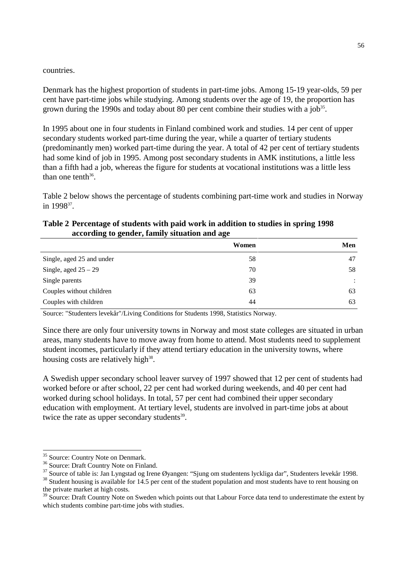#### countries.

Denmark has the highest proportion of students in part-time jobs. Among 15-19 year-olds, 59 per cent have part-time jobs while studying. Among students over the age of 19, the proportion has grown during the 1990s and today about 80 per cent combine their studies with a job<sup>35</sup>.

In 1995 about one in four students in Finland combined work and studies. 14 per cent of upper secondary students worked part-time during the year, while a quarter of tertiary students (predominantly men) worked part-time during the year. A total of 42 per cent of tertiary students had some kind of job in 1995. Among post secondary students in AMK institutions, a little less than a fifth had a job, whereas the figure for students at vocational institutions was a little less than one tenth $36$ .

Table 2 below shows the percentage of students combining part-time work and studies in Norway in 1998<sup>37</sup>.

# **Table 2 Percentage of students with paid work in addition to studies in spring 1998 according to gender, family situation and age**

|                           | Women | Men                  |
|---------------------------|-------|----------------------|
| Single, aged 25 and under | 58    | 47                   |
| Single, aged $25 - 29$    | 70    | 58                   |
| Single parents            | 39    | $\ddot{\phantom{a}}$ |
| Couples without children  | 63    | 63                   |
| Couples with children     | 44    | 63                   |

Source: "Studenters levekår"/Living Conditions for Students 1998, Statistics Norway.

Since there are only four university towns in Norway and most state colleges are situated in urban areas, many students have to move away from home to attend. Most students need to supplement student incomes, particularly if they attend tertiary education in the university towns, where housing costs are relatively high $38$ .

A Swedish upper secondary school leaver survey of 1997 showed that 12 per cent of students had worked before or after school, 22 per cent had worked during weekends, and 40 per cent had worked during school holidays. In total, 57 per cent had combined their upper secondary education with employment. At tertiary level, students are involved in part-time jobs at about twice the rate as upper secondary students $39$ .

-

<sup>&</sup>lt;sup>35</sup> Source: Country Note on Denmark.

<sup>&</sup>lt;sup>36</sup> Source: Draft Country Note on Finland.

 $37$  Source of table is: Jan Lyngstad og Irene Øyangen: "Sjung om studentens lyckliga dar", Studenters levekår 1998.<br>  $38$  Student housing is available for 14.5 per cent of the student population and most students have to

the private market at high costs.

 $39$  Source: Draft Country Note on Sweden which points out that Labour Force data tend to underestimate the extent by which students combine part-time jobs with studies.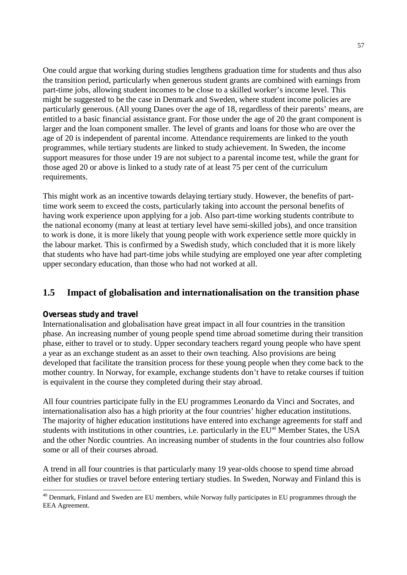One could argue that working during studies lengthens graduation time for students and thus also the transition period, particularly when generous student grants are combined with earnings from part-time jobs, allowing student incomes to be close to a skilled worker's income level. This might be suggested to be the case in Denmark and Sweden, where student income policies are particularly generous. (All young Danes over the age of 18, regardless of their parents' means, are entitled to a basic financial assistance grant. For those under the age of 20 the grant component is larger and the loan component smaller. The level of grants and loans for those who are over the age of 20 is independent of parental income. Attendance requirements are linked to the youth programmes, while tertiary students are linked to study achievement. In Sweden, the income support measures for those under 19 are not subject to a parental income test, while the grant for those aged 20 or above is linked to a study rate of at least 75 per cent of the curriculum requirements.

This might work as an incentive towards delaying tertiary study. However, the benefits of parttime work seem to exceed the costs, particularly taking into account the personal benefits of having work experience upon applying for a job. Also part-time working students contribute to the national economy (many at least at tertiary level have semi-skilled jobs), and once transition to work is done, it is more likely that young people with work experience settle more quickly in the labour market. This is confirmed by a Swedish study, which concluded that it is more likely that students who have had part-time jobs while studying are employed one year after completing upper secondary education, than those who had not worked at all.

# **1.5 Impact of globalisation and internationalisation on the transition phase**

## **Overseas study and travel**

Internationalisation and globalisation have great impact in all four countries in the transition phase. An increasing number of young people spend time abroad sometime during their transition phase, either to travel or to study. Upper secondary teachers regard young people who have spent a year as an exchange student as an asset to their own teaching. Also provisions are being developed that facilitate the transition process for these young people when they come back to the mother country. In Norway, for example, exchange students don't have to retake courses if tuition is equivalent in the course they completed during their stay abroad.

All four countries participate fully in the EU programmes Leonardo da Vinci and Socrates, and internationalisation also has a high priority at the four countries' higher education institutions. The majority of higher education institutions have entered into exchange agreements for staff and students with institutions in other countries, i.e. particularly in the EU<sup>40</sup> Member States, the USA and the other Nordic countries. An increasing number of students in the four countries also follow some or all of their courses abroad.

A trend in all four countries is that particularly many 19 year-olds choose to spend time abroad either for studies or travel before entering tertiary studies. In Sweden, Norway and Finland this is

 $\overline{a}$ <sup>40</sup> Denmark, Finland and Sweden are EU members, while Norway fully participates in EU programmes through the EEA Agreement.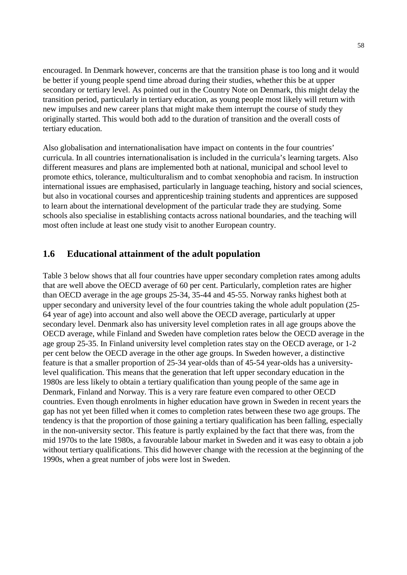encouraged. In Denmark however, concerns are that the transition phase is too long and it would be better if young people spend time abroad during their studies, whether this be at upper secondary or tertiary level. As pointed out in the Country Note on Denmark, this might delay the transition period, particularly in tertiary education, as young people most likely will return with new impulses and new career plans that might make them interrupt the course of study they originally started. This would both add to the duration of transition and the overall costs of tertiary education.

Also globalisation and internationalisation have impact on contents in the four countries' curricula. In all countries internationalisation is included in the curricula's learning targets. Also different measures and plans are implemented both at national, municipal and school level to promote ethics, tolerance, multiculturalism and to combat xenophobia and racism. In instruction international issues are emphasised, particularly in language teaching, history and social sciences, but also in vocational courses and apprenticeship training students and apprentices are supposed to learn about the international development of the particular trade they are studying. Some schools also specialise in establishing contacts across national boundaries, and the teaching will most often include at least one study visit to another European country.

# **1.6 Educational attainment of the adult population**

Table 3 below shows that all four countries have upper secondary completion rates among adults that are well above the OECD average of 60 per cent. Particularly, completion rates are higher than OECD average in the age groups 25-34, 35-44 and 45-55. Norway ranks highest both at upper secondary and university level of the four countries taking the whole adult population (25- 64 year of age) into account and also well above the OECD average, particularly at upper secondary level. Denmark also has university level completion rates in all age groups above the OECD average, while Finland and Sweden have completion rates below the OECD average in the age group 25-35. In Finland university level completion rates stay on the OECD average, or 1-2 per cent below the OECD average in the other age groups. In Sweden however, a distinctive feature is that a smaller proportion of 25-34 year-olds than of 45-54 year-olds has a universitylevel qualification. This means that the generation that left upper secondary education in the 1980s are less likely to obtain a tertiary qualification than young people of the same age in Denmark, Finland and Norway. This is a very rare feature even compared to other OECD countries. Even though enrolments in higher education have grown in Sweden in recent years the gap has not yet been filled when it comes to completion rates between these two age groups. The tendency is that the proportion of those gaining a tertiary qualification has been falling, especially in the non-university sector. This feature is partly explained by the fact that there was, from the mid 1970s to the late 1980s, a favourable labour market in Sweden and it was easy to obtain a job without tertiary qualifications. This did however change with the recession at the beginning of the 1990s, when a great number of jobs were lost in Sweden.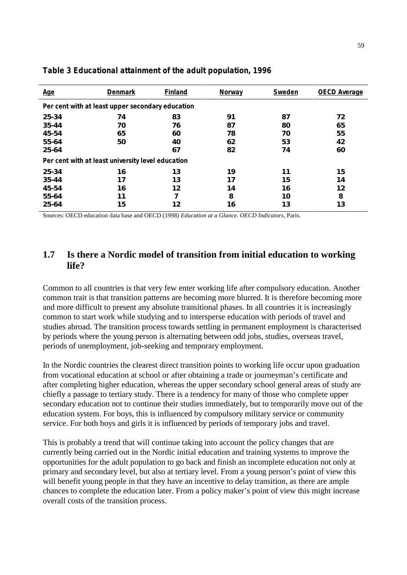| <b>Age</b>                                        | <b>Denmark</b> | <b>Finland</b> | <b>Norway</b> | Sweden | <b>OECD Average</b> |  |
|---------------------------------------------------|----------------|----------------|---------------|--------|---------------------|--|
| Per cent with at least upper secondary education  |                |                |               |        |                     |  |
| 25-34                                             | 74             | 83             | 91            | 87     | 72                  |  |
| 35-44                                             | 70             | 76             | 87            | 80     | 65                  |  |
| 45-54                                             | 65             | 60             | 78            | 70     | 55                  |  |
| 55-64                                             | 50             | 40             | 62            | 53     | 42                  |  |
| 25-64                                             |                | 67             | 82            | 74     | 60                  |  |
| Per cent with at least university level education |                |                |               |        |                     |  |
| 25-34                                             | 16             | 13             | 19            | 11     | 15                  |  |
| 35-44                                             | 17             | 13             | 17            | 15     | 14                  |  |
| 45-54                                             | 16             | 12             | 14            | 16     | 12                  |  |
| 55-64                                             | 11             | 7              | 8             | 10     | 8                   |  |
| 25-64                                             | 15             | 12             | 16            | 13     | 13                  |  |

#### **Table 3 Educational attainment of the adult population, 1996**

Sources: OECD education data base and OECD (1998) *Education at a Glance*. *OECD Indicators*, Paris.

# **1.7 Is there a Nordic model of transition from initial education to working life?**

Common to all countries is that very few enter working life after compulsory education. Another common trait is that transition patterns are becoming more blurred. It is therefore becoming more and more difficult to present any absolute transitional phases. In all countries it is increasingly common to start work while studying and to intersperse education with periods of travel and studies abroad. The transition process towards settling in permanent employment is characterised by periods where the young person is alternating between odd jobs, studies, overseas travel, periods of unemployment, job-seeking and temporary employment.

In the Nordic countries the clearest direct transition points to working life occur upon graduation from vocational education at school or after obtaining a trade or journeyman's certificate and after completing higher education, whereas the upper secondary school general areas of study are chiefly a passage to tertiary study. There is a tendency for many of those who complete upper secondary education not to continue their studies immediately, but to temporarily move out of the education system. For boys, this is influenced by compulsory military service or community service. For both boys and girls it is influenced by periods of temporary jobs and travel.

This is probably a trend that will continue taking into account the policy changes that are currently being carried out in the Nordic initial education and training systems to improve the opportunities for the adult population to go back and finish an incomplete education not only at primary and secondary level, but also at tertiary level. From a young person's point of view this will benefit young people in that they have an incentive to delay transition, as there are ample chances to complete the education later. From a policy maker's point of view this might increase overall costs of the transition process.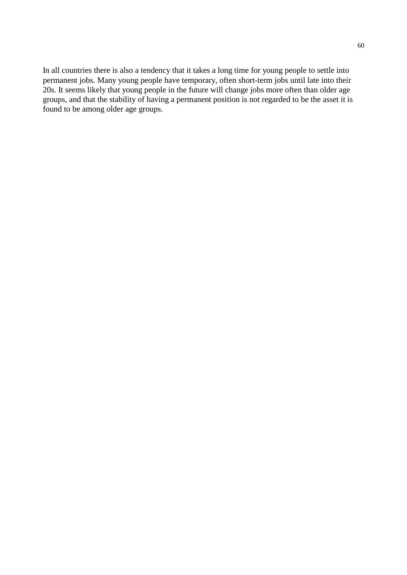In all countries there is also a tendency that it takes a long time for young people to settle into permanent jobs. Many young people have temporary, often short-term jobs until late into their 20s. It seems likely that young people in the future will change jobs more often than older age groups, and that the stability of having a permanent position is not regarded to be the asset it is found to be among older age groups.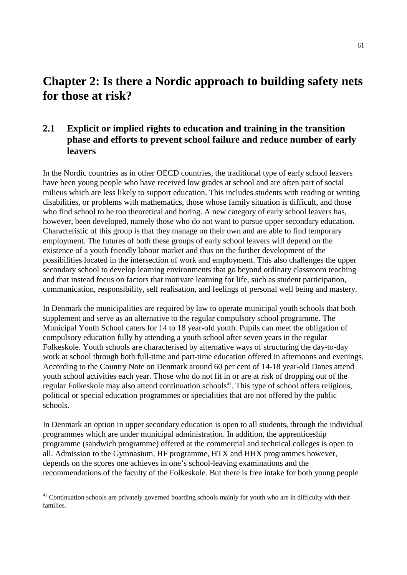# **Chapter 2: Is there a Nordic approach to building safety nets for those at risk?**

# **2.1 Explicit or implied rights to education and training in the transition phase and efforts to prevent school failure and reduce number of early leavers**

In the Nordic countries as in other OECD countries, the traditional type of early school leavers have been young people who have received low grades at school and are often part of social milieus which are less likely to support education. This includes students with reading or writing disabilities, or problems with mathematics, those whose family situation is difficult, and those who find school to be too theoretical and boring. A new category of early school leavers has, however, been developed, namely those who do not want to pursue upper secondary education. Characteristic of this group is that they manage on their own and are able to find temporary employment. The futures of both these groups of early school leavers will depend on the existence of a youth friendly labour market and thus on the further development of the possibilities located in the intersection of work and employment. This also challenges the upper secondary school to develop learning environments that go beyond ordinary classroom teaching and that instead focus on factors that motivate learning for life, such as student participation, communication, responsibility, self realisation, and feelings of personal well being and mastery.

In Denmark the municipalities are required by law to operate municipal youth schools that both supplement and serve as an alternative to the regular compulsory school programme. The Municipal Youth School caters for 14 to 18 year-old youth. Pupils can meet the obligation of compulsory education fully by attending a youth school after seven years in the regular Folkeskole. Youth schools are characterised by alternative ways of structuring the day-to-day work at school through both full-time and part-time education offered in afternoons and evenings. According to the Country Note on Denmark around 60 per cent of 14-18 year-old Danes attend youth school activities each year. Those who do not fit in or are at risk of dropping out of the regular Folkeskole may also attend continuation schools<sup>41</sup>. This type of school offers religious, political or special education programmes or specialities that are not offered by the public schools.

In Denmark an option in upper secondary education is open to all students, through the individual programmes which are under municipal administration. In addition, the apprenticeship programme (sandwich programme) offered at the commercial and technical colleges is open to all. Admission to the Gymnasium, HF programme, HTX and HHX programmes however, depends on the scores one achieves in one's school-leaving examinations and the recommendations of the faculty of the Folkeskole. But there is free intake for both young people

 $\overline{a}$ <sup>41</sup> Continuation schools are privately governed boarding schools mainly for youth who are in difficulty with their families.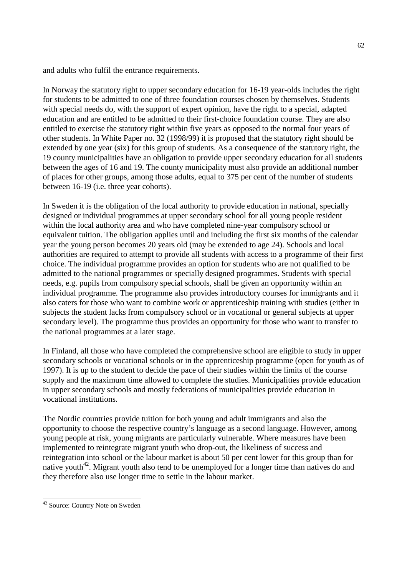and adults who fulfil the entrance requirements.

In Norway the statutory right to upper secondary education for 16-19 year-olds includes the right for students to be admitted to one of three foundation courses chosen by themselves. Students with special needs do, with the support of expert opinion, have the right to a special, adapted education and are entitled to be admitted to their first-choice foundation course. They are also entitled to exercise the statutory right within five years as opposed to the normal four years of other students. In White Paper no. 32 (1998/99) it is proposed that the statutory right should be extended by one year (six) for this group of students. As a consequence of the statutory right, the 19 county municipalities have an obligation to provide upper secondary education for all students between the ages of 16 and 19. The county municipality must also provide an additional number of places for other groups, among those adults, equal to 375 per cent of the number of students between 16-19 (i.e. three year cohorts).

In Sweden it is the obligation of the local authority to provide education in national, specially designed or individual programmes at upper secondary school for all young people resident within the local authority area and who have completed nine-year compulsory school or equivalent tuition. The obligation applies until and including the first six months of the calendar year the young person becomes 20 years old (may be extended to age 24). Schools and local authorities are required to attempt to provide all students with access to a programme of their first choice. The individual programme provides an option for students who are not qualified to be admitted to the national programmes or specially designed programmes. Students with special needs, e.g. pupils from compulsory special schools, shall be given an opportunity within an individual programme. The programme also provides introductory courses for immigrants and it also caters for those who want to combine work or apprenticeship training with studies (either in subjects the student lacks from compulsory school or in vocational or general subjects at upper secondary level). The programme thus provides an opportunity for those who want to transfer to the national programmes at a later stage.

In Finland, all those who have completed the comprehensive school are eligible to study in upper secondary schools or vocational schools or in the apprenticeship programme (open for youth as of 1997). It is up to the student to decide the pace of their studies within the limits of the course supply and the maximum time allowed to complete the studies. Municipalities provide education in upper secondary schools and mostly federations of municipalities provide education in vocational institutions.

The Nordic countries provide tuition for both young and adult immigrants and also the opportunity to choose the respective country's language as a second language. However, among young people at risk, young migrants are particularly vulnerable. Where measures have been implemented to reintegrate migrant youth who drop-out, the likeliness of success and reintegration into school or the labour market is about 50 per cent lower for this group than for native youth<sup>42</sup>. Migrant youth also tend to be unemployed for a longer time than natives do and they therefore also use longer time to settle in the labour market.

-

<sup>&</sup>lt;sup>42</sup> Source: Country Note on Sweden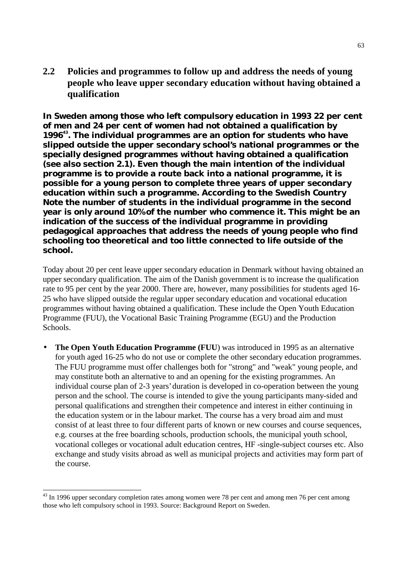**2.2 Policies and programmes to follow up and address the needs of young people who leave upper secondary education without having obtained a qualification**

**In Sweden among those who left compulsory education in 1993 22 per cent of men and 24 per cent of women had not obtained a qualification by 199643. The individual programmes are an option for students who have slipped outside the upper secondary school's national programmes or the specially designed programmes without having obtained a qualification (see also section 2.1). Even though the main intention of the individual programme is to provide a route back into a national programme, it is possible for a young person to complete three years of upper secondary education within such a programme. According to the Swedish Country Note the number of students in the individual programme in the second year is only around 10% of the number who commence it. This might be an indication of the success of the individual programme in providing pedagogical approaches that address the needs of young people who find schooling too theoretical and too little connected to life outside of the school.**

Today about 20 per cent leave upper secondary education in Denmark without having obtained an upper secondary qualification. The aim of the Danish government is to increase the qualification rate to 95 per cent by the year 2000. There are, however, many possibilities for students aged 16- 25 who have slipped outside the regular upper secondary education and vocational education programmes without having obtained a qualification. These include the Open Youth Education Programme (FUU), the Vocational Basic Training Programme (EGU) and the Production Schools.

• **The Open Youth Education Programme** (FUU) was introduced in 1995 as an alternative for youth aged 16-25 who do not use or complete the other secondary education programmes. The FUU programme must offer challenges both for "strong" and "weak" young people, and may constitute both an alternative to and an opening for the existing programmes. An individual course plan of 2-3 years' duration is developed in co-operation between the young person and the school. The course is intended to give the young participants many-sided and personal qualifications and strengthen their competence and interest in either continuing in the education system or in the labour market. The course has a very broad aim and must consist of at least three to four different parts of known or new courses and course sequences, e.g. courses at the free boarding schools, production schools, the municipal youth school, vocational colleges or vocational adult education centres, HF -single-subject courses etc. Also exchange and study visits abroad as well as municipal projects and activities may form part of the course.

 $\overline{a}$ 

<sup>&</sup>lt;sup>43</sup> In 1996 upper secondary completion rates among women were 78 per cent and among men 76 per cent among those who left compulsory school in 1993. Source: Background Report on Sweden.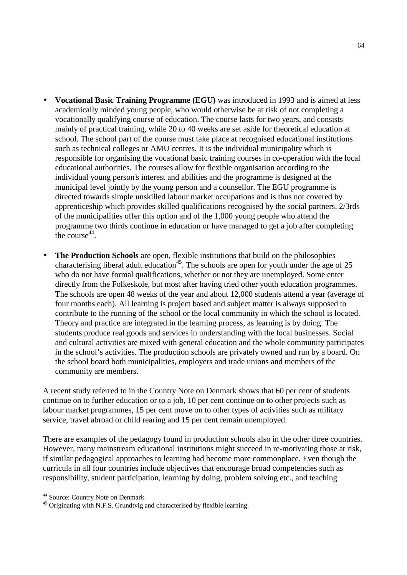- **Vocational Basic Training Programme (EGU)** was introduced in 1993 and is aimed at less academically minded young people, who would otherwise be at risk of not completing a vocationally qualifying course of education. The course lasts for two years, and consists mainly of practical training, while 20 to 40 weeks are set aside for theoretical education at school. The school part of the course must take place at recognised educational institutions such as technical colleges or AMU centres. It is the individual municipality which is responsible for organising the vocational basic training courses in co-operation with the local educational authorities. The courses allow for flexible organisation according to the individual young person's interest and abilities and the programme is designed at the municipal level jointly by the young person and a counsellor. The EGU programme is directed towards simple unskilled labour market occupations and is thus not covered by apprenticeship which provides skilled qualifications recognised by the social partners. 2/3rds of the municipalities offer this option and of the 1,000 young people who attend the programme two thirds continue in education or have managed to get a job after completing the course  $44$ .
- **The Production Schools** are open, flexible institutions that build on the philosophies characterising liberal adult education<sup>45</sup>. The schools are open for youth under the age of 25 who do not have formal qualifications, whether or not they are unemployed. Some enter directly from the Folkeskole, but most after having tried other youth education programmes. The schools are open 48 weeks of the year and about 12,000 students attend a year (average of four months each). All learning is project based and subject matter is always supposed to contribute to the running of the school or the local community in which the school is located. Theory and practice are integrated in the learning process, as learning is by doing. The students produce real goods and services in understanding with the local businesses. Social and cultural activities are mixed with general education and the whole community participates in the school's activities. The production schools are privately owned and run by a board. On the school board both municipalities, employers and trade unions and members of the community are members.

A recent study referred to in the Country Note on Denmark shows that 60 per cent of students continue on to further education or to a job, 10 per cent continue on to other projects such as labour market programmes, 15 per cent move on to other types of activities such as military service, travel abroad or child rearing and 15 per cent remain unemployed.

There are examples of the pedagogy found in production schools also in the other three countries. However, many mainstream educational institutions might succeed in re-motivating those at risk, if similar pedagogical approaches to learning had become more commonplace. Even though the curricula in all four countries include objectives that encourage broad competencies such as responsibility, student participation, learning by doing, problem solving etc., and teaching

 $\overline{a}$ 

<sup>&</sup>lt;sup>44</sup> Source: Country Note on Denmark.

<sup>&</sup>lt;sup>45</sup> Originating with N.F.S. Grundtvig and characterised by flexible learning.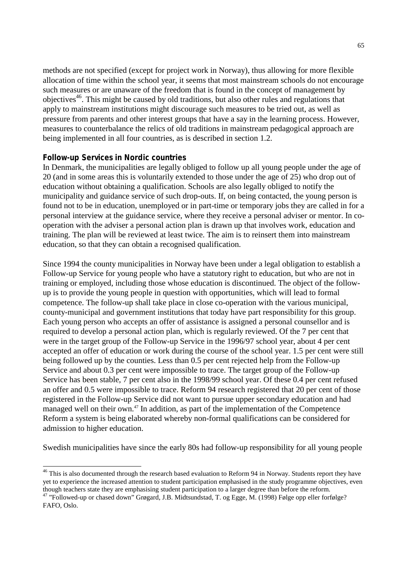methods are not specified (except for project work in Norway), thus allowing for more flexible allocation of time within the school year, it seems that most mainstream schools do not encourage such measures or are unaware of the freedom that is found in the concept of management by objectives<sup>46</sup>. This might be caused by old traditions, but also other rules and regulations that apply to mainstream institutions might discourage such measures to be tried out, as well as pressure from parents and other interest groups that have a say in the learning process. However, measures to counterbalance the relics of old traditions in mainstream pedagogical approach are being implemented in all four countries, as is described in section 1.2.

## **Follow-up Services in Nordic countries**

 $\overline{a}$ 

In Denmark, the municipalities are legally obliged to follow up all young people under the age of 20 (and in some areas this is voluntarily extended to those under the age of 25) who drop out of education without obtaining a qualification. Schools are also legally obliged to notify the municipality and guidance service of such drop-outs. If, on being contacted, the young person is found not to be in education, unemployed or in part-time or temporary jobs they are called in for a personal interview at the guidance service, where they receive a personal adviser or mentor. In cooperation with the adviser a personal action plan is drawn up that involves work, education and training. The plan will be reviewed at least twice. The aim is to reinsert them into mainstream education, so that they can obtain a recognised qualification.

Since 1994 the county municipalities in Norway have been under a legal obligation to establish a Follow-up Service for young people who have a statutory right to education, but who are not in training or employed, including those whose education is discontinued. The object of the followup is to provide the young people in question with opportunities, which will lead to formal competence. The follow-up shall take place in close co-operation with the various municipal, county-municipal and government institutions that today have part responsibility for this group. Each young person who accepts an offer of assistance is assigned a personal counsellor and is required to develop a personal action plan, which is regularly reviewed. Of the 7 per cent that were in the target group of the Follow-up Service in the 1996/97 school year, about 4 per cent accepted an offer of education or work during the course of the school year. 1.5 per cent were still being followed up by the counties. Less than 0.5 per cent rejected help from the Follow-up Service and about 0.3 per cent were impossible to trace. The target group of the Follow-up Service has been stable, 7 per cent also in the 1998/99 school year. Of these 0.4 per cent refused an offer and 0.5 were impossible to trace. Reform 94 research registered that 20 per cent of those registered in the Follow-up Service did not want to pursue upper secondary education and had managed well on their own.<sup>47</sup> In addition, as part of the implementation of the Competence Reform a system is being elaborated whereby non-formal qualifications can be considered for admission to higher education.

Swedish municipalities have since the early 80s had follow-up responsibility for all young people

<sup>&</sup>lt;sup>46</sup> This is also documented through the research based evaluation to Reform 94 in Norway. Students report they have yet to experience the increased attention to student participation emphasised in the study programme objectives, even though teachers state they are emphasising student participation to a larger degree than before the reform.

<sup>47</sup> "Followed-up or chased down" Grøgard, J.B. Midtsundstad, T. og Egge, M. (1998) Følge opp eller forfølge? FAFO, Oslo.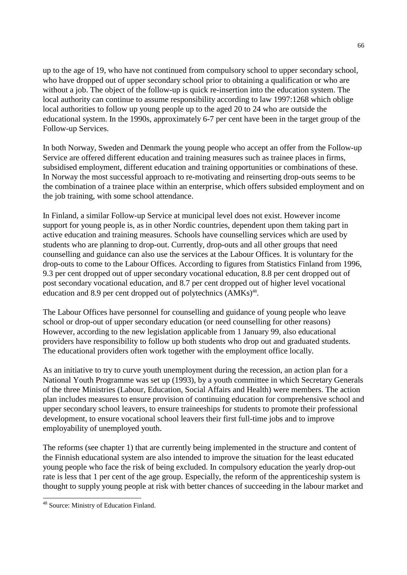up to the age of 19, who have not continued from compulsory school to upper secondary school, who have dropped out of upper secondary school prior to obtaining a qualification or who are without a job. The object of the follow-up is quick re-insertion into the education system. The local authority can continue to assume responsibility according to law 1997:1268 which oblige local authorities to follow up young people up to the aged 20 to 24 who are outside the educational system. In the 1990s, approximately 6-7 per cent have been in the target group of the Follow-up Services.

In both Norway, Sweden and Denmark the young people who accept an offer from the Follow-up Service are offered different education and training measures such as trainee places in firms, subsidised employment, different education and training opportunities or combinations of these. In Norway the most successful approach to re-motivating and reinserting drop-outs seems to be the combination of a trainee place within an enterprise, which offers subsided employment and on the job training, with some school attendance.

In Finland, a similar Follow-up Service at municipal level does not exist. However income support for young people is, as in other Nordic countries, dependent upon them taking part in active education and training measures. Schools have counselling services which are used by students who are planning to drop-out. Currently, drop-outs and all other groups that need counselling and guidance can also use the services at the Labour Offices. It is voluntary for the drop-outs to come to the Labour Offices. According to figures from Statistics Finland from 1996, 9.3 per cent dropped out of upper secondary vocational education, 8.8 per cent dropped out of post secondary vocational education, and 8.7 per cent dropped out of higher level vocational education and 8.9 per cent dropped out of polytechnics  $(AMKs)^{48}$ .

The Labour Offices have personnel for counselling and guidance of young people who leave school or drop-out of upper secondary education (or need counselling for other reasons) However, according to the new legislation applicable from 1 January 99, also educational providers have responsibility to follow up both students who drop out and graduated students. The educational providers often work together with the employment office locally.

As an initiative to try to curve youth unemployment during the recession, an action plan for a National Youth Programme was set up (1993), by a youth committee in which Secretary Generals of the three Ministries (Labour, Education, Social Affairs and Health) were members. The action plan includes measures to ensure provision of continuing education for comprehensive school and upper secondary school leavers, to ensure traineeships for students to promote their professional development, to ensure vocational school leavers their first full-time jobs and to improve employability of unemployed youth.

The reforms (see chapter 1) that are currently being implemented in the structure and content of the Finnish educational system are also intended to improve the situation for the least educated young people who face the risk of being excluded. In compulsory education the yearly drop-out rate is less that 1 per cent of the age group. Especially, the reform of the apprenticeship system is thought to supply young people at risk with better chances of succeeding in the labour market and

-

<sup>&</sup>lt;sup>48</sup> Source: Ministry of Education Finland.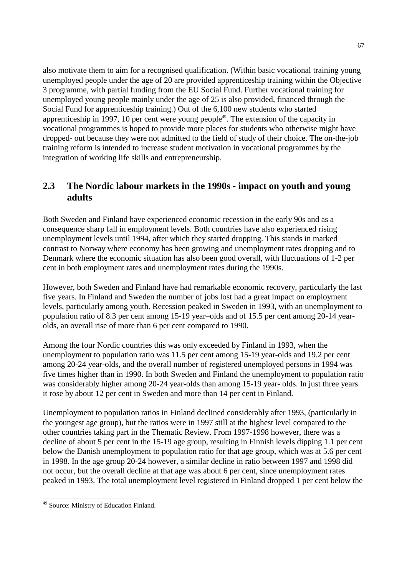also motivate them to aim for a recognised qualification. (Within basic vocational training young unemployed people under the age of 20 are provided apprenticeship training within the Objective 3 programme, with partial funding from the EU Social Fund. Further vocational training for unemployed young people mainly under the age of 25 is also provided, financed through the Social Fund for apprenticeship training.) Out of the 6,100 new students who started apprenticeship in 1997, 10 per cent were young people<sup>49</sup>. The extension of the capacity in vocational programmes is hoped to provide more places for students who otherwise might have dropped- out because they were not admitted to the field of study of their choice. The on-the-job training reform is intended to increase student motivation in vocational programmes by the integration of working life skills and entrepreneurship.

# **2.3 The Nordic labour markets in the 1990s - impact on youth and young adults**

Both Sweden and Finland have experienced economic recession in the early 90s and as a consequence sharp fall in employment levels. Both countries have also experienced rising unemployment levels until 1994, after which they started dropping. This stands in marked contrast to Norway where economy has been growing and unemployment rates dropping and to Denmark where the economic situation has also been good overall, with fluctuations of 1-2 per cent in both employment rates and unemployment rates during the 1990s.

However, both Sweden and Finland have had remarkable economic recovery, particularly the last five years. In Finland and Sweden the number of jobs lost had a great impact on employment levels, particularly among youth. Recession peaked in Sweden in 1993, with an unemployment to population ratio of 8.3 per cent among 15-19 year–olds and of 15.5 per cent among 20-14 yearolds, an overall rise of more than 6 per cent compared to 1990.

Among the four Nordic countries this was only exceeded by Finland in 1993, when the unemployment to population ratio was 11.5 per cent among 15-19 year-olds and 19.2 per cent among 20-24 year-olds, and the overall number of registered unemployed persons in 1994 was five times higher than in 1990. In both Sweden and Finland the unemployment to population ratio was considerably higher among 20-24 year-olds than among 15-19 year- olds. In just three years it rose by about 12 per cent in Sweden and more than 14 per cent in Finland.

Unemployment to population ratios in Finland declined considerably after 1993, (particularly in the youngest age group), but the ratios were in 1997 still at the highest level compared to the other countries taking part in the Thematic Review. From 1997-1998 however, there was a decline of about 5 per cent in the 15-19 age group, resulting in Finnish levels dipping 1.1 per cent below the Danish unemployment to population ratio for that age group, which was at 5.6 per cent in 1998. In the age group 20-24 however, a similar decline in ratio between 1997 and 1998 did not occur, but the overall decline at that age was about 6 per cent, since unemployment rates peaked in 1993. The total unemployment level registered in Finland dropped 1 per cent below the

<sup>-</sup>49 Source: Ministry of Education Finland.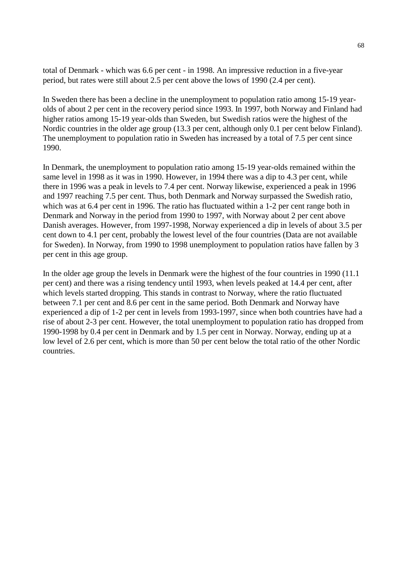total of Denmark - which was 6.6 per cent - in 1998. An impressive reduction in a five-year period, but rates were still about 2.5 per cent above the lows of 1990 (2.4 per cent).

In Sweden there has been a decline in the unemployment to population ratio among 15-19 yearolds of about 2 per cent in the recovery period since 1993. In 1997, both Norway and Finland had higher ratios among 15-19 year-olds than Sweden, but Swedish ratios were the highest of the Nordic countries in the older age group (13.3 per cent, although only 0.1 per cent below Finland). The unemployment to population ratio in Sweden has increased by a total of 7.5 per cent since 1990.

In Denmark, the unemployment to population ratio among 15-19 year-olds remained within the same level in 1998 as it was in 1990. However, in 1994 there was a dip to 4.3 per cent, while there in 1996 was a peak in levels to 7.4 per cent. Norway likewise, experienced a peak in 1996 and 1997 reaching 7.5 per cent. Thus, both Denmark and Norway surpassed the Swedish ratio, which was at 6.4 per cent in 1996. The ratio has fluctuated within a 1-2 per cent range both in Denmark and Norway in the period from 1990 to 1997, with Norway about 2 per cent above Danish averages. However, from 1997-1998, Norway experienced a dip in levels of about 3.5 per cent down to 4.1 per cent, probably the lowest level of the four countries (Data are not available for Sweden). In Norway, from 1990 to 1998 unemployment to population ratios have fallen by 3 per cent in this age group.

In the older age group the levels in Denmark were the highest of the four countries in 1990 (11.1 per cent) and there was a rising tendency until 1993, when levels peaked at 14.4 per cent, after which levels started dropping. This stands in contrast to Norway, where the ratio fluctuated between 7.1 per cent and 8.6 per cent in the same period. Both Denmark and Norway have experienced a dip of 1-2 per cent in levels from 1993-1997, since when both countries have had a rise of about 2-3 per cent. However, the total unemployment to population ratio has dropped from 1990-1998 by 0.4 per cent in Denmark and by 1.5 per cent in Norway. Norway, ending up at a low level of 2.6 per cent, which is more than 50 per cent below the total ratio of the other Nordic countries.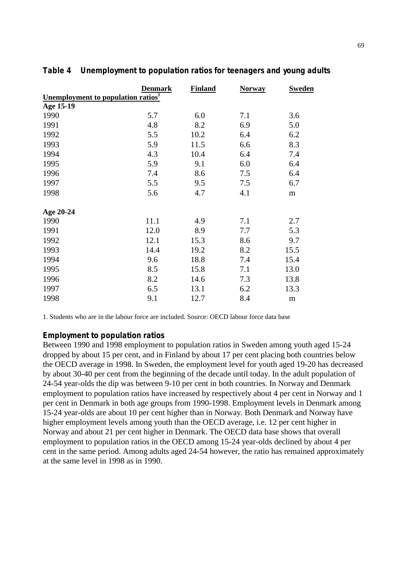|                                                      | <b>Denmark</b> | <b>Finland</b> | <b>Norway</b> | <b>Sweden</b> |  |
|------------------------------------------------------|----------------|----------------|---------------|---------------|--|
| <u>Unemployment to population ratios<sup>1</sup></u> |                |                |               |               |  |
| Age 15-19                                            |                |                |               |               |  |
| 1990                                                 | 5.7            | 6.0            | 7.1           | 3.6           |  |
| 1991                                                 | 4.8            | 8.2            | 6.9           | 5.0           |  |
| 1992                                                 | 5.5            | 10.2           | 6.4           | 6.2           |  |
| 1993                                                 | 5.9            | 11.5           | 6.6           | 8.3           |  |
| 1994                                                 | 4.3            | 10.4           | 6.4           | 7.4           |  |
| 1995                                                 | 5.9            | 9.1            | 6.0           | 6.4           |  |
| 1996                                                 | 7.4            | 8.6            | 7.5           | 6.4           |  |
| 1997                                                 | 5.5            | 9.5            | 7.5           | 6.7           |  |
| 1998                                                 | 5.6            | 4.7            | 4.1           | ${\bf m}$     |  |
|                                                      |                |                |               |               |  |
| Age 20-24                                            |                |                |               |               |  |
| 1990                                                 | 11.1           | 4.9            | 7.1           | 2.7           |  |
| 1991                                                 | 12.0           | 8.9            | 7.7           | 5.3           |  |
| 1992                                                 | 12.1           | 15.3           | 8.6           | 9.7           |  |
| 1993                                                 | 14.4           | 19.2           | 8.2           | 15.5          |  |
| 1994                                                 | 9.6            | 18.8           | 7.4           | 15.4          |  |
| 1995                                                 | 8.5            | 15.8           | 7.1           | 13.0          |  |
| 1996                                                 | 8.2            | 14.6           | 7.3           | 13.8          |  |
| 1997                                                 | 6.5            | 13.1           | 6.2           | 13.3          |  |
| 1998                                                 | 9.1            | 12.7           | 8.4           | m             |  |

## **Table 4 Unemployment to population ratios for teenagers and young adults**

1. Students who are in the labour force are included. Source: OECD labour force data base

#### **Employment to population ratios**

Between 1990 and 1998 employment to population ratios in Sweden among youth aged 15-24 dropped by about 15 per cent, and in Finland by about 17 per cent placing both countries below the OECD average in 1998. In Sweden, the employment level for youth aged 19-20 has decreased by about 30-40 per cent from the beginning of the decade until today. In the adult population of 24-54 year-olds the dip was between 9-10 per cent in both countries. In Norway and Denmark employment to population ratios have increased by respectively about 4 per cent in Norway and 1 per cent in Denmark in both age groups from 1990-1998. Employment levels in Denmark among 15-24 year-olds are about 10 per cent higher than in Norway. Both Denmark and Norway have higher employment levels among youth than the OECD average, i.e. 12 per cent higher in Norway and about 21 per cent higher in Denmark. The OECD data base shows that overall employment to population ratios in the OECD among 15-24 year-olds declined by about 4 per cent in the same period. Among adults aged 24-54 however, the ratio has remained approximately at the same level in 1998 as in 1990.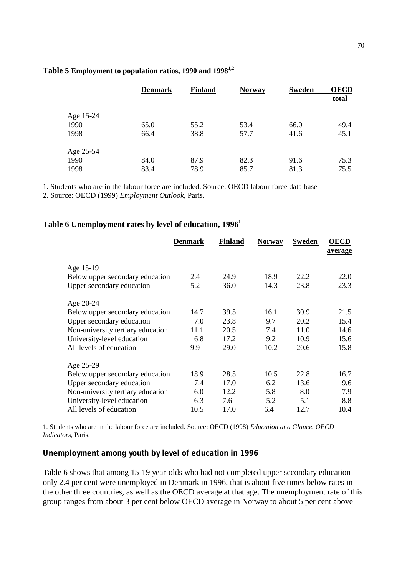|           | <b>Denmark</b> | <b>Finland</b> | <b>Norway</b> | Sweden | <b>OECD</b>  |
|-----------|----------------|----------------|---------------|--------|--------------|
|           |                |                |               |        | <u>total</u> |
| Age 15-24 |                |                |               |        |              |
| 1990      | 65.0           | 55.2           | 53.4          | 66.0   | 49.4         |
| 1998      | 66.4           | 38.8           | 57.7          | 41.6   | 45.1         |
| Age 25-54 |                |                |               |        |              |
| 1990      | 84.0           | 87.9           | 82.3          | 91.6   | 75.3         |
| 1998      | 83.4           | 78.9           | 85.7          | 81.3   | 75.5         |

#### **Table 5 Employment to population ratios, 1990 and 19981,2**

1. Students who are in the labour force are included. Source: OECD labour force data base

2. Source: OECD (1999) *Employment Outlook*, Paris.

#### **Table 6 Unemployment rates by level of education, 19961**

|                                   | <b>Denmark</b> | <b>Finland</b> | <b>Norway</b> | Sweden | <b>OECD</b><br>average |
|-----------------------------------|----------------|----------------|---------------|--------|------------------------|
| Age 15-19                         |                |                |               |        |                        |
| Below upper secondary education   | 2.4            | 24.9           | 18.9          | 22.2   | 22.0                   |
| Upper secondary education         | 5.2            | 36.0           | 14.3          | 23.8   | 23.3                   |
| Age 20-24                         |                |                |               |        |                        |
| Below upper secondary education   | 14.7           | 39.5           | 16.1          | 30.9   | 21.5                   |
| Upper secondary education         | 7.0            | 23.8           | 9.7           | 20.2   | 15.4                   |
| Non-university tertiary education | 11.1           | 20.5           | 7.4           | 11.0   | 14.6                   |
| University-level education        | 6.8            | 17.2           | 9.2           | 10.9   | 15.6                   |
| All levels of education           | 9.9            | 29.0           | 10.2          | 20.6   | 15.8                   |
| Age 25-29                         |                |                |               |        |                        |
| Below upper secondary education   | 18.9           | 28.5           | 10.5          | 22.8   | 16.7                   |
| Upper secondary education         | 7.4            | 17.0           | 6.2           | 13.6   | 9.6                    |
| Non-university tertiary education | 6.0            | 12.2           | 5.8           | 8.0    | 7.9                    |
| University-level education        | 6.3            | 7.6            | 5.2           | 5.1    | 8.8                    |
| All levels of education           | 10.5           | 17.0           | 6.4           | 12.7   | 10.4                   |

1. Students who are in the labour force are included. Source: OECD (1998) *Education at a Glance. OECD Indicators*, Paris.

#### **Unemployment among youth by level of education in 1996**

Table 6 shows that among 15-19 year-olds who had not completed upper secondary education only 2.4 per cent were unemployed in Denmark in 1996, that is about five times below rates in the other three countries, as well as the OECD average at that age. The unemployment rate of this group ranges from about 3 per cent below OECD average in Norway to about 5 per cent above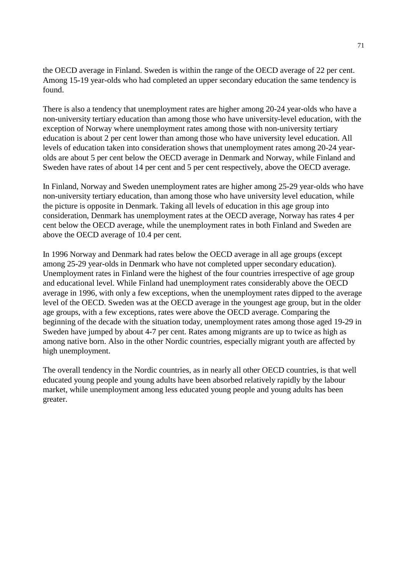the OECD average in Finland. Sweden is within the range of the OECD average of 22 per cent. Among 15-19 year-olds who had completed an upper secondary education the same tendency is found.

There is also a tendency that unemployment rates are higher among 20-24 year-olds who have a non-university tertiary education than among those who have university-level education, with the exception of Norway where unemployment rates among those with non-university tertiary education is about 2 per cent lower than among those who have university level education. All levels of education taken into consideration shows that unemployment rates among 20-24 yearolds are about 5 per cent below the OECD average in Denmark and Norway, while Finland and Sweden have rates of about 14 per cent and 5 per cent respectively, above the OECD average.

In Finland, Norway and Sweden unemployment rates are higher among 25-29 year-olds who have non-university tertiary education, than among those who have university level education, while the picture is opposite in Denmark. Taking all levels of education in this age group into consideration, Denmark has unemployment rates at the OECD average, Norway has rates 4 per cent below the OECD average, while the unemployment rates in both Finland and Sweden are above the OECD average of 10.4 per cent.

In 1996 Norway and Denmark had rates below the OECD average in all age groups (except among 25-29 year-olds in Denmark who have not completed upper secondary education). Unemployment rates in Finland were the highest of the four countries irrespective of age group and educational level. While Finland had unemployment rates considerably above the OECD average in 1996, with only a few exceptions, when the unemployment rates dipped to the average level of the OECD. Sweden was at the OECD average in the youngest age group, but in the older age groups, with a few exceptions, rates were above the OECD average. Comparing the beginning of the decade with the situation today, unemployment rates among those aged 19-29 in Sweden have jumped by about 4-7 per cent. Rates among migrants are up to twice as high as among native born. Also in the other Nordic countries, especially migrant youth are affected by high unemployment.

The overall tendency in the Nordic countries, as in nearly all other OECD countries, is that well educated young people and young adults have been absorbed relatively rapidly by the labour market, while unemployment among less educated young people and young adults has been greater.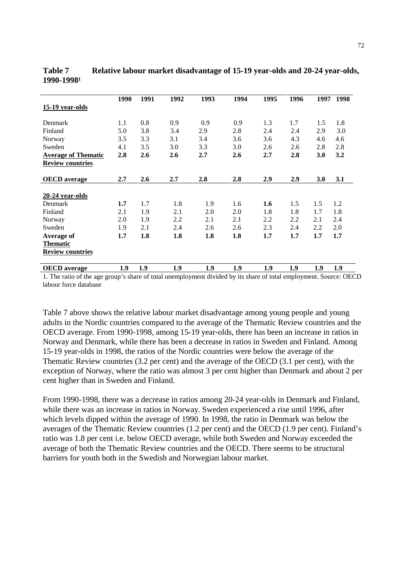|                            | 1990 | 1991 | 1992 | 1993 | 1994 | 1995 | 1996 | 1997 | 1998 |
|----------------------------|------|------|------|------|------|------|------|------|------|
| 15-19 year-olds            |      |      |      |      |      |      |      |      |      |
|                            |      |      |      |      |      |      |      |      |      |
| Denmark                    | 1.1  | 0.8  | 0.9  | 0.9  | 0.9  | 1.3  | 1.7  | 1.5  | 1.8  |
| Finland                    | 5.0  | 3.8  | 3.4  | 2.9  | 2.8  | 2.4  | 2.4  | 2.9  | 3.0  |
| Norway                     | 3.5  | 3.3  | 3.1  | 3.4  | 3.6  | 3.6  | 4.3  | 4.6  | 4.6  |
| Sweden                     | 4.1  | 3.5  | 3.0  | 3.3  | 3.0  | 2.6  | 2.6  | 2.8  | 2.8  |
| <b>Average of Thematic</b> | 2.8  | 2.6  | 2.6  | 2.7  | 2.6  | 2.7  | 2.8  | 3.0  | 3.2  |
| <b>Review countries</b>    |      |      |      |      |      |      |      |      |      |
|                            |      |      |      |      |      |      |      |      |      |
| <b>OECD</b> average        | 2.7  | 2.6  | 2.7  | 2.8  | 2.8  | 2.9  | 2.9  | 3.0  | 3.1  |
|                            |      |      |      |      |      |      |      |      |      |
| 20-24 year-olds            |      |      |      |      |      |      |      |      |      |
| Denmark                    | 1.7  | 1.7  | 1.8  | 1.9  | 1.6  | 1.6  | 1.5  | 1.5  | 1.2  |
| Finland                    | 2.1  | 1.9  | 2.1  | 2.0  | 2.0  | 1.8  | 1.8  | 1.7  | 1.8  |
| Norway                     | 2.0  | 1.9  | 2.2  | 2.1  | 2.1  | 2.2  | 2.2  | 2.1  | 2.4  |
| Sweden                     | 1.9  | 2.1  | 2.4  | 2.6  | 2.6  | 2.3  | 2.4  | 2.2  | 2.0  |
| Average of                 | 1.7  | 1.8  | 1.8  | 1.8  | 1.8  | 1.7  | 1.7  | 1.7  | 1.7  |
| <b>Thematic</b>            |      |      |      |      |      |      |      |      |      |
| <b>Review countries</b>    |      |      |      |      |      |      |      |      |      |
|                            |      |      |      |      |      |      |      |      |      |
| <b>OECD</b> average        | 1.9  | 1.9  | 1.9  | 1.9  | 1.9  | 1.9  | 1.9  | 1.9  | 1.9  |

**Table 7 Relative labour market disadvantage of 15-19 year-olds and 20-24 year-olds, 1990-1998¹**

1. The ratio of the age group's share of total unemployment divided by its share of total employment. Source: OECD labour force database

Table 7 above shows the relative labour market disadvantage among young people and young adults in the Nordic countries compared to the average of the Thematic Review countries and the OECD average. From 1990-1998, among 15-19 year-olds, there has been an increase in ratios in Norway and Denmark, while there has been a decrease in ratios in Sweden and Finland. Among 15-19 year-olds in 1998, the ratios of the Nordic countries were below the average of the Thematic Review countries (3.2 per cent) and the average of the OECD (3.1 per cent), with the exception of Norway, where the ratio was almost 3 per cent higher than Denmark and about 2 per cent higher than in Sweden and Finland.

From 1990-1998, there was a decrease in ratios among 20-24 year-olds in Denmark and Finland, while there was an increase in ratios in Norway. Sweden experienced a rise until 1996, after which levels dipped within the average of 1990. In 1998, the ratio in Denmark was below the averages of the Thematic Review countries (1.2 per cent) and the OECD (1.9 per cent). Finland's ratio was 1.8 per cent i.e. below OECD average, while both Sweden and Norway exceeded the average of both the Thematic Review countries and the OECD. There seems to be structural barriers for youth both in the Swedish and Norwegian labour market.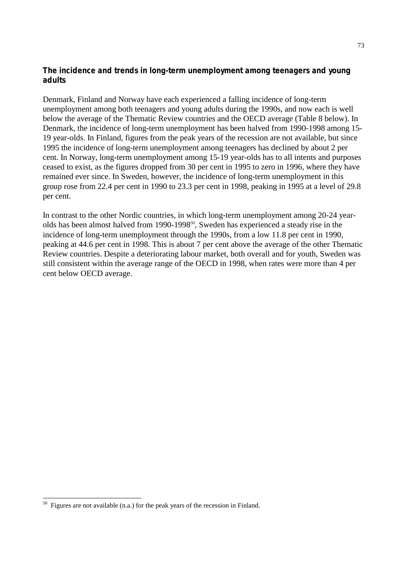#### **The incidence and trends in long-term unemployment among teenagers and young adults**

Denmark, Finland and Norway have each experienced a falling incidence of long-term unemployment among both teenagers and young adults during the 1990s, and now each is well below the average of the Thematic Review countries and the OECD average (Table 8 below). In Denmark, the incidence of long-term unemployment has been halved from 1990-1998 among 15- 19 year-olds. In Finland, figures from the peak years of the recession are not available, but since 1995 the incidence of long-term unemployment among teenagers has declined by about 2 per cent. In Norway, long-term unemployment among 15-19 year-olds has to all intents and purposes ceased to exist, as the figures dropped from 30 per cent in 1995 to zero in 1996, where they have remained ever since. In Sweden, however, the incidence of long-term unemployment in this group rose from 22.4 per cent in 1990 to 23.3 per cent in 1998, peaking in 1995 at a level of 29.8 per cent.

In contrast to the other Nordic countries, in which long-term unemployment among 20-24 yearolds has been almost halved from 1990-1998<sup>50</sup>, Sweden has experienced a steady rise in the incidence of long-term unemployment through the 1990s, from a low 11.8 per cent in 1990, peaking at 44.6 per cent in 1998. This is about 7 per cent above the average of the other Thematic Review countries. Despite a deteriorating labour market, both overall and for youth, Sweden was still consistent within the average range of the OECD in 1998, when rates were more than 4 per cent below OECD average.

-

 $50$  Figures are not available (n.a.) for the peak years of the recession in Finland.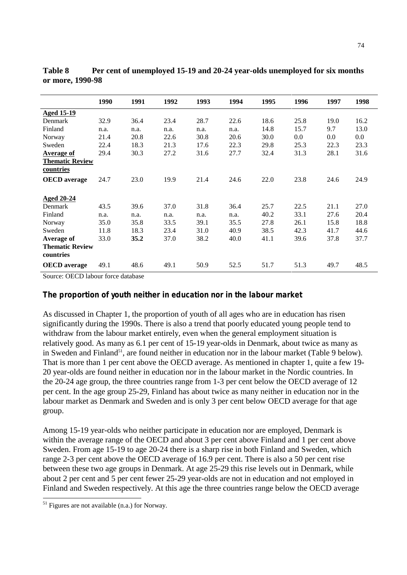|                                     | 1990 | 1991 | 1992 | 1993 | 1994 | 1995 | 1996 | 1997 | 1998 |
|-------------------------------------|------|------|------|------|------|------|------|------|------|
| <b>Aged 15-19</b>                   |      |      |      |      |      |      |      |      |      |
| Denmark                             | 32.9 | 36.4 | 23.4 | 28.7 | 22.6 | 18.6 | 25.8 | 19.0 | 16.2 |
| Finland                             | n.a. | n.a. | n.a. | n.a. | n.a. | 14.8 | 15.7 | 9.7  | 13.0 |
| Norway                              | 21.4 | 20.8 | 22.6 | 30.8 | 20.6 | 30.0 | 0.0  | 0.0  | 0.0  |
| Sweden                              | 22.4 | 18.3 | 21.3 | 17.6 | 22.3 | 29.8 | 25.3 | 22.3 | 23.3 |
| Average of                          | 29.4 | 30.3 | 27.2 | 31.6 | 27.7 | 32.4 | 31.3 | 28.1 | 31.6 |
| <b>Thematic Review</b>              |      |      |      |      |      |      |      |      |      |
| countries                           |      |      |      |      |      |      |      |      |      |
| <b>OECD</b> average                 | 24.7 | 23.0 | 19.9 | 21.4 | 24.6 | 22.0 | 23.8 | 24.6 | 24.9 |
|                                     |      |      |      |      |      |      |      |      |      |
| <b>Aged 20-24</b>                   |      |      |      |      |      |      |      |      |      |
| Denmark                             | 43.5 | 39.6 | 37.0 | 31.8 | 36.4 | 25.7 | 22.5 | 21.1 | 27.0 |
| Finland                             | n.a. | n.a. | n.a. | n.a. | n.a. | 40.2 | 33.1 | 27.6 | 20.4 |
| Norway                              | 35.0 | 35.8 | 33.5 | 39.1 | 35.5 | 27.8 | 26.1 | 15.8 | 18.8 |
| Sweden                              | 11.8 | 18.3 | 23.4 | 31.0 | 40.9 | 38.5 | 42.3 | 41.7 | 44.6 |
| Average of                          | 33.0 | 35.2 | 37.0 | 38.2 | 40.0 | 41.1 | 39.6 | 37.8 | 37.7 |
| <b>Thematic Review</b><br>countries |      |      |      |      |      |      |      |      |      |
| <b>OECD</b> average                 | 49.1 | 48.6 | 49.1 | 50.9 | 52.5 | 51.7 | 51.3 | 49.7 | 48.5 |

**Table 8 Per cent of unemployed 15-19 and 20-24 year-olds unemployed for six months or more, 1990-98**

Source: OECD labour force database

#### **The proportion of youth neither in education nor in the labour market**

As discussed in Chapter 1, the proportion of youth of all ages who are in education has risen significantly during the 1990s. There is also a trend that poorly educated young people tend to withdraw from the labour market entirely, even when the general employment situation is relatively good. As many as 6.1 per cent of 15-19 year-olds in Denmark, about twice as many as in Sweden and Finland<sup>51</sup>, are found neither in education nor in the labour market (Table 9 below). That is more than 1 per cent above the OECD average. As mentioned in chapter 1, quite a few 19- 20 year-olds are found neither in education nor in the labour market in the Nordic countries. In the 20-24 age group, the three countries range from 1-3 per cent below the OECD average of 12 per cent. In the age group 25-29, Finland has about twice as many neither in education nor in the labour market as Denmark and Sweden and is only 3 per cent below OECD average for that age group.

Among 15-19 year-olds who neither participate in education nor are employed, Denmark is within the average range of the OECD and about 3 per cent above Finland and 1 per cent above Sweden. From age 15-19 to age 20-24 there is a sharp rise in both Finland and Sweden, which range 2-3 per cent above the OECD average of 16.9 per cent. There is also a 50 per cent rise between these two age groups in Denmark. At age 25-29 this rise levels out in Denmark, while about 2 per cent and 5 per cent fewer 25-29 year-olds are not in education and not employed in Finland and Sweden respectively. At this age the three countries range below the OECD average

-

 $<sup>51</sup>$  Figures are not available (n.a.) for Norway.</sup>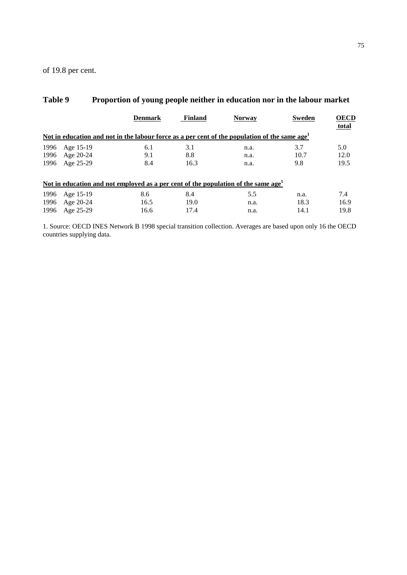of 19.8 per cent.

|      | л.             |                                                                                                           |                |               |               |                      |
|------|----------------|-----------------------------------------------------------------------------------------------------------|----------------|---------------|---------------|----------------------|
|      |                | <b>Denmark</b>                                                                                            | <b>Finland</b> | <b>Norway</b> | <b>Sweden</b> | <b>OECD</b><br>total |
|      |                | Not in education and not in the labour force as a per cent of the population of the same age <sup>1</sup> |                |               |               |                      |
| 1996 | Age 15-19      | 6.1                                                                                                       | 3.1            | n.a.          | 3.7           | 5.0                  |
| 1996 | Age 20-24      | 9.1                                                                                                       | 8.8            | n.a.          | 10.7          | 12.0                 |
| 1996 | Age 25-29      | 8.4                                                                                                       | 16.3           | n.a.          | 9.8           | 19.5                 |
|      |                | <u>Not in education and not employed as a per cent of the population of the same age<sup>1</sup></u>      |                |               |               |                      |
| 1996 | Age 15-19      | 8.6                                                                                                       | 8.4            | 5.5           | n.a.          | 7.4                  |
| 1996 | Age 20-24      | 16.5                                                                                                      | 19.0           | n.a.          | 18.3          | 16.9                 |
|      | 1996 Age 25-29 | 16.6                                                                                                      | 17.4           | n.a.          | 14.1          | 19.8                 |

## **Table 9 Proportion of young people neither in education nor in the labour market**

1. Source: OECD INES Network B 1998 special transition collection. Averages are based upon only 16 the OECD countries supplying data.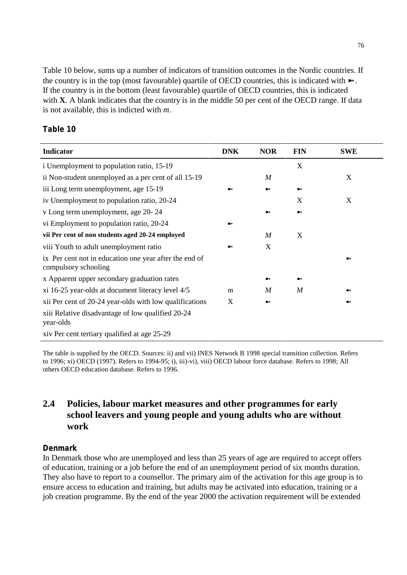Table 10 below, sums up a number of indicators of transition outcomes in the Nordic countries. If the country is in the top (most favourable) quartile of OECD countries, this is indicated with  $\blacktriangleright$ . If the country is in the bottom (least favourable) quartile of OECD countries, this is indicated with **X**. A blank indicates that the country is in the middle 50 per cent of the OECD range. If data is not available, this is indicted with *m*.

#### **Table 10**

| <b>Indicator</b>                                                               | <b>DNK</b>       | <b>NOR</b>       | <b>FIN</b> | <b>SWE</b> |
|--------------------------------------------------------------------------------|------------------|------------------|------------|------------|
| i Unemployment to population ratio, 15-19                                      |                  |                  | X          |            |
| ii Non-student unemployed as a per cent of all 15-19                           |                  | $\boldsymbol{M}$ |            | X          |
| iii Long term unemployment, age 15-19                                          |                  |                  |            |            |
| iv Unemployment to population ratio, 20-24                                     |                  |                  | X          | X          |
| v Long term unemployment, age 20-24                                            |                  |                  |            |            |
| vi Employment to population ratio, 20-24                                       |                  |                  |            |            |
| vii Per cent of non students aged 20-24 employed                               |                  | $\boldsymbol{M}$ | X          |            |
| viii Youth to adult unemployment ratio                                         |                  | X                |            |            |
| ix Per cent not in education one year after the end of<br>compulsory schooling |                  |                  |            |            |
| x Apparent upper secondary graduation rates                                    |                  |                  |            |            |
| xi 16-25 year-olds at document literacy level 4/5                              | $\boldsymbol{m}$ | M                | M          |            |
| xii Per cent of 20-24 year-olds with low qualifications                        | X                |                  |            |            |
| xiii Relative disadvantage of low qualified 20-24<br>year-olds                 |                  |                  |            |            |
| xiv Per cent tertiary qualified at age 25-29                                   |                  |                  |            |            |

The table is supplied by the OECD. Sources: ii) and vii) INES Network B 1998 special transition collection. Refers to 1996; xi) OECD (1997). Refers to 1994-95; i), iii)-vi), viii) OECD labour force database. Refers to 1998; All others OECD education database. Refers to 1996.

## **2.4 Policies, labour market measures and other programmes for early school leavers and young people and young adults who are without work**

#### **Denmark**

In Denmark those who are unemployed and less than 25 years of age are required to accept offers of education, training or a job before the end of an unemployment period of six months duration. They also have to report to a counsellor. The primary aim of the activation for this age group is to ensure access to education and training, but adults may be activated into education, training or a job creation programme. By the end of the year 2000 the activation requirement will be extended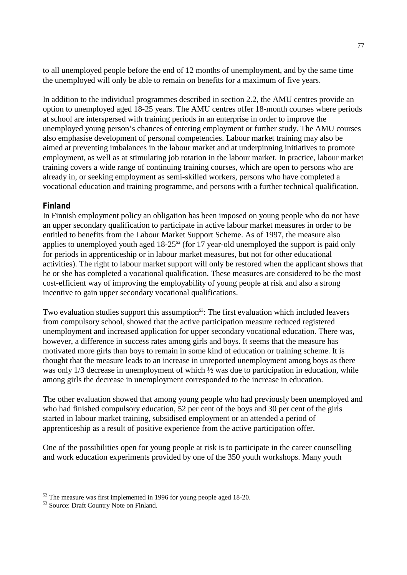to all unemployed people before the end of 12 months of unemployment, and by the same time the unemployed will only be able to remain on benefits for a maximum of five years.

In addition to the individual programmes described in section 2.2, the AMU centres provide an option to unemployed aged 18-25 years. The AMU centres offer 18-month courses where periods at school are interspersed with training periods in an enterprise in order to improve the unemployed young person's chances of entering employment or further study. The AMU courses also emphasise development of personal competencies. Labour market training may also be aimed at preventing imbalances in the labour market and at underpinning initiatives to promote employment, as well as at stimulating job rotation in the labour market. In practice, labour market training covers a wide range of continuing training courses, which are open to persons who are already in, or seeking employment as semi-skilled workers, persons who have completed a vocational education and training programme, and persons with a further technical qualification.

#### **Finland**

In Finnish employment policy an obligation has been imposed on young people who do not have an upper secondary qualification to participate in active labour market measures in order to be entitled to benefits from the Labour Market Support Scheme. As of 1997, the measure also applies to unemployed youth aged  $18-25^{52}$  (for 17 year-old unemployed the support is paid only for periods in apprenticeship or in labour market measures, but not for other educational activities). The right to labour market support will only be restored when the applicant shows that he or she has completed a vocational qualification. These measures are considered to be the most cost-efficient way of improving the employability of young people at risk and also a strong incentive to gain upper secondary vocational qualifications.

Two evaluation studies support this assumption<sup>53</sup>: The first evaluation which included leavers from compulsory school, showed that the active participation measure reduced registered unemployment and increased application for upper secondary vocational education. There was, however, a difference in success rates among girls and boys. It seems that the measure has motivated more girls than boys to remain in some kind of education or training scheme. It is thought that the measure leads to an increase in unreported unemployment among boys as there was only 1/3 decrease in unemployment of which  $\frac{1}{2}$  was due to participation in education, while among girls the decrease in unemployment corresponded to the increase in education.

The other evaluation showed that among young people who had previously been unemployed and who had finished compulsory education, 52 per cent of the boys and 30 per cent of the girls started in labour market training, subsidised employment or an attended a period of apprenticeship as a result of positive experience from the active participation offer.

One of the possibilities open for young people at risk is to participate in the career counselling and work education experiments provided by one of the 350 youth workshops. Many youth

 $\overline{a}$ 

 $52$  The measure was first implemented in 1996 for young people aged 18-20.<br> $53$  Source: Draft Country Note on Finland.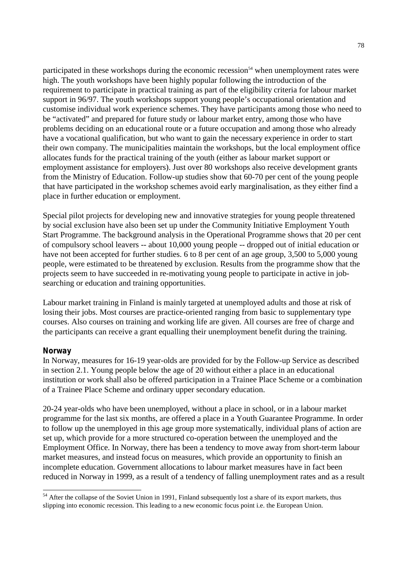participated in these workshops during the economic recession<sup>54</sup> when unemployment rates were high. The youth workshops have been highly popular following the introduction of the requirement to participate in practical training as part of the eligibility criteria for labour market support in 96/97. The youth workshops support young people's occupational orientation and customise individual work experience schemes. They have participants among those who need to be "activated" and prepared for future study or labour market entry, among those who have problems deciding on an educational route or a future occupation and among those who already have a vocational qualification, but who want to gain the necessary experience in order to start their own company. The municipalities maintain the workshops, but the local employment office allocates funds for the practical training of the youth (either as labour market support or employment assistance for employers). Just over 80 workshops also receive development grants from the Ministry of Education. Follow-up studies show that 60-70 per cent of the young people that have participated in the workshop schemes avoid early marginalisation, as they either find a place in further education or employment.

Special pilot projects for developing new and innovative strategies for young people threatened by social exclusion have also been set up under the Community Initiative Employment Youth Start Programme. The background analysis in the Operational Programme shows that 20 per cent of compulsory school leavers -- about 10,000 young people -- dropped out of initial education or have not been accepted for further studies. 6 to 8 per cent of an age group, 3,500 to 5,000 young people, were estimated to be threatened by exclusion. Results from the programme show that the projects seem to have succeeded in re-motivating young people to participate in active in jobsearching or education and training opportunities.

Labour market training in Finland is mainly targeted at unemployed adults and those at risk of losing their jobs. Most courses are practice-oriented ranging from basic to supplementary type courses. Also courses on training and working life are given. All courses are free of charge and the participants can receive a grant equalling their unemployment benefit during the training.

#### **Norway**

 $\overline{a}$ 

In Norway, measures for 16-19 year-olds are provided for by the Follow-up Service as described in section 2.1. Young people below the age of 20 without either a place in an educational institution or work shall also be offered participation in a Trainee Place Scheme or a combination of a Trainee Place Scheme and ordinary upper secondary education.

20-24 year-olds who have been unemployed, without a place in school, or in a labour market programme for the last six months, are offered a place in a Youth Guarantee Programme. In order to follow up the unemployed in this age group more systematically, individual plans of action are set up, which provide for a more structured co-operation between the unemployed and the Employment Office. In Norway, there has been a tendency to move away from short-term labour market measures, and instead focus on measures, which provide an opportunity to finish an incomplete education. Government allocations to labour market measures have in fact been reduced in Norway in 1999, as a result of a tendency of falling unemployment rates and as a result

<sup>&</sup>lt;sup>54</sup> After the collapse of the Soviet Union in 1991, Finland subsequently lost a share of its export markets, thus slipping into economic recession. This leading to a new economic focus point i.e. the European Union.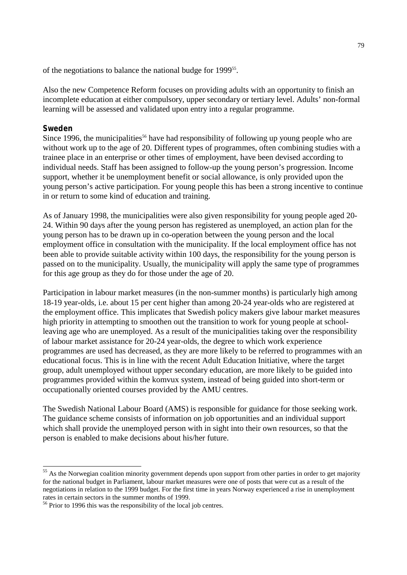of the negotiations to balance the national budge for 1999<sup>55</sup>.

Also the new Competence Reform focuses on providing adults with an opportunity to finish an incomplete education at either compulsory, upper secondary or tertiary level. Adults' non-formal learning will be assessed and validated upon entry into a regular programme.

#### **Sweden**

 $\overline{a}$ 

Since 1996, the municipalities<sup>56</sup> have had responsibility of following up young people who are without work up to the age of 20. Different types of programmes, often combining studies with a trainee place in an enterprise or other times of employment, have been devised according to individual needs. Staff has been assigned to follow-up the young person's progression. Income support, whether it be unemployment benefit or social allowance, is only provided upon the young person's active participation. For young people this has been a strong incentive to continue in or return to some kind of education and training.

As of January 1998, the municipalities were also given responsibility for young people aged 20- 24. Within 90 days after the young person has registered as unemployed, an action plan for the young person has to be drawn up in co-operation between the young person and the local employment office in consultation with the municipality. If the local employment office has not been able to provide suitable activity within 100 days, the responsibility for the young person is passed on to the municipality. Usually, the municipality will apply the same type of programmes for this age group as they do for those under the age of 20.

Participation in labour market measures (in the non-summer months) is particularly high among 18-19 year-olds, i.e. about 15 per cent higher than among 20-24 year-olds who are registered at the employment office. This implicates that Swedish policy makers give labour market measures high priority in attempting to smoothen out the transition to work for young people at schoolleaving age who are unemployed. As a result of the municipalities taking over the responsibility of labour market assistance for 20-24 year-olds, the degree to which work experience programmes are used has decreased, as they are more likely to be referred to programmes with an educational focus. This is in line with the recent Adult Education Initiative, where the target group, adult unemployed without upper secondary education, are more likely to be guided into programmes provided within the komvux system, instead of being guided into short-term or occupationally oriented courses provided by the AMU centres.

The Swedish National Labour Board (AMS) is responsible for guidance for those seeking work. The guidance scheme consists of information on job opportunities and an individual support which shall provide the unemployed person with in sight into their own resources, so that the person is enabled to make decisions about his/her future.

<sup>&</sup>lt;sup>55</sup> As the Norwegian coalition minority government depends upon support from other parties in order to get majority for the national budget in Parliament, labour market measures were one of posts that were cut as a result of the negotiations in relation to the 1999 budget. For the first time in years Norway experienced a rise in unemployment rates in certain sectors in the summer months of 1999.

<sup>&</sup>lt;sup>56</sup> Prior to 1996 this was the responsibility of the local job centres.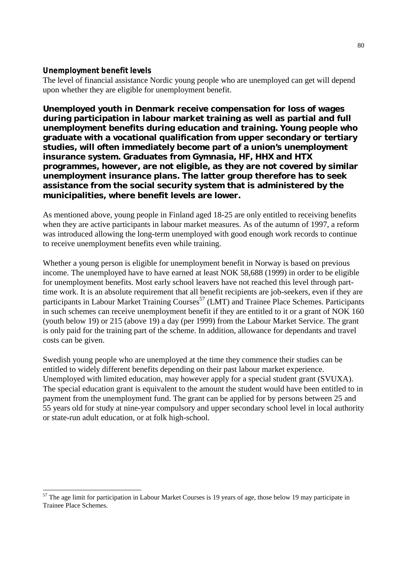#### **Unemployment benefit levels**

 $\overline{a}$ 

The level of financial assistance Nordic young people who are unemployed can get will depend upon whether they are eligible for unemployment benefit.

**Unemployed youth in Denmark receive compensation for loss of wages during participation in labour market training as well as partial and full unemployment benefits during education and training. Young people who graduate with a vocational qualification from upper secondary or tertiary studies, will often immediately become part of a union's unemployment insurance system. Graduates from Gymnasia, HF, HHX and HTX programmes, however, are not eligible, as they are not covered by similar unemployment insurance plans. The latter group therefore has to seek assistance from the social security system that is administered by the municipalities, where benefit levels are lower.**

As mentioned above, young people in Finland aged 18-25 are only entitled to receiving benefits when they are active participants in labour market measures. As of the autumn of 1997, a reform was introduced allowing the long-term unemployed with good enough work records to continue to receive unemployment benefits even while training.

Whether a young person is eligible for unemployment benefit in Norway is based on previous income. The unemployed have to have earned at least NOK 58,688 (1999) in order to be eligible for unemployment benefits. Most early school leavers have not reached this level through parttime work. It is an absolute requirement that all benefit recipients are job-seekers, even if they are participants in Labour Market Training Courses<sup>57</sup> (LMT) and Trainee Place Schemes. Participants in such schemes can receive unemployment benefit if they are entitled to it or a grant of NOK 160 (youth below 19) or 215 (above 19) a day (per 1999) from the Labour Market Service. The grant is only paid for the training part of the scheme. In addition, allowance for dependants and travel costs can be given.

Swedish young people who are unemployed at the time they commence their studies can be entitled to widely different benefits depending on their past labour market experience. Unemployed with limited education, may however apply for a special student grant (SVUXA). The special education grant is equivalent to the amount the student would have been entitled to in payment from the unemployment fund. The grant can be applied for by persons between 25 and 55 years old for study at nine-year compulsory and upper secondary school level in local authority or state-run adult education, or at folk high-school.

 $57$  The age limit for participation in Labour Market Courses is 19 years of age, those below 19 may participate in Trainee Place Schemes.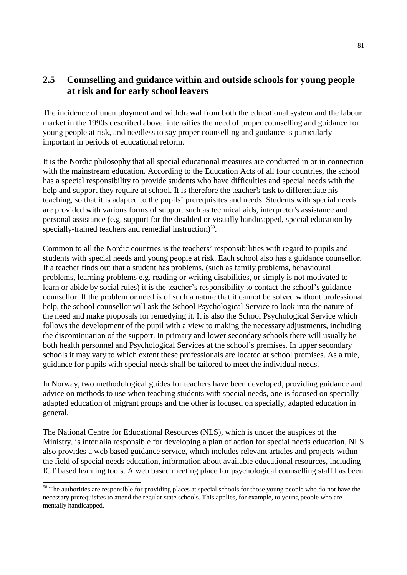## **2.5 Counselling and guidance within and outside schools for young people at risk and for early school leavers**

The incidence of unemployment and withdrawal from both the educational system and the labour market in the 1990s described above, intensifies the need of proper counselling and guidance for young people at risk, and needless to say proper counselling and guidance is particularly important in periods of educational reform.

It is the Nordic philosophy that all special educational measures are conducted in or in connection with the mainstream education. According to the Education Acts of all four countries, the school has a special responsibility to provide students who have difficulties and special needs with the help and support they require at school. It is therefore the teacher's task to differentiate his teaching, so that it is adapted to the pupils' prerequisites and needs. Students with special needs are provided with various forms of support such as technical aids, interpreter's assistance and personal assistance (e.g. support for the disabled or visually handicapped, special education by specially-trained teachers and remedial instruction)<sup>58</sup>.

Common to all the Nordic countries is the teachers' responsibilities with regard to pupils and students with special needs and young people at risk. Each school also has a guidance counsellor. If a teacher finds out that a student has problems, (such as family problems, behavioural problems, learning problems e.g. reading or writing disabilities, or simply is not motivated to learn or abide by social rules) it is the teacher's responsibility to contact the school's guidance counsellor. If the problem or need is of such a nature that it cannot be solved without professional help, the school counsellor will ask the School Psychological Service to look into the nature of the need and make proposals for remedying it. It is also the School Psychological Service which follows the development of the pupil with a view to making the necessary adjustments, including the discontinuation of the support. In primary and lower secondary schools there will usually be both health personnel and Psychological Services at the school's premises. In upper secondary schools it may vary to which extent these professionals are located at school premises. As a rule, guidance for pupils with special needs shall be tailored to meet the individual needs.

In Norway, two methodological guides for teachers have been developed, providing guidance and advice on methods to use when teaching students with special needs, one is focused on specially adapted education of migrant groups and the other is focused on specially, adapted education in general.

The National Centre for Educational Resources (NLS), which is under the auspices of the Ministry, is inter alia responsible for developing a plan of action for special needs education. NLS also provides a web based guidance service, which includes relevant articles and projects within the field of special needs education, information about available educational resources, including ICT based learning tools. A web based meeting place for psychological counselling staff has been

-

<sup>&</sup>lt;sup>58</sup> The authorities are responsible for providing places at special schools for those young people who do not have the necessary prerequisites to attend the regular state schools. This applies, for example, to young people who are mentally handicapped.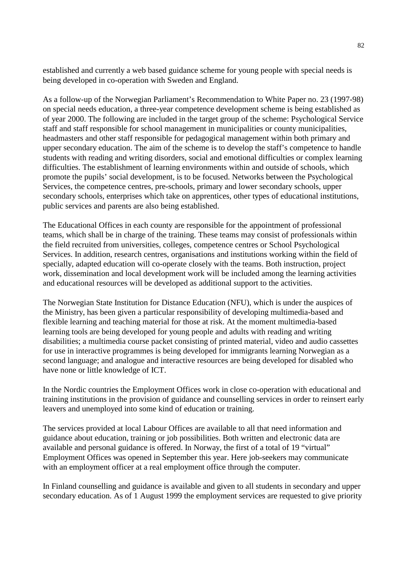established and currently a web based guidance scheme for young people with special needs is being developed in co-operation with Sweden and England.

As a follow-up of the Norwegian Parliament's Recommendation to White Paper no. 23 (1997-98) on special needs education, a three-year competence development scheme is being established as of year 2000. The following are included in the target group of the scheme: Psychological Service staff and staff responsible for school management in municipalities or county municipalities, headmasters and other staff responsible for pedagogical management within both primary and upper secondary education. The aim of the scheme is to develop the staff's competence to handle students with reading and writing disorders, social and emotional difficulties or complex learning difficulties. The establishment of learning environments within and outside of schools, which promote the pupils' social development, is to be focused. Networks between the Psychological Services, the competence centres, pre-schools, primary and lower secondary schools, upper secondary schools, enterprises which take on apprentices, other types of educational institutions, public services and parents are also being established.

The Educational Offices in each county are responsible for the appointment of professional teams, which shall be in charge of the training. These teams may consist of professionals within the field recruited from universities, colleges, competence centres or School Psychological Services. In addition, research centres, organisations and institutions working within the field of specially, adapted education will co-operate closely with the teams. Both instruction, project work, dissemination and local development work will be included among the learning activities and educational resources will be developed as additional support to the activities.

The Norwegian State Institution for Distance Education (NFU), which is under the auspices of the Ministry, has been given a particular responsibility of developing multimedia-based and flexible learning and teaching material for those at risk. At the moment multimedia-based learning tools are being developed for young people and adults with reading and writing disabilities; a multimedia course packet consisting of printed material, video and audio cassettes for use in interactive programmes is being developed for immigrants learning Norwegian as a second language; and analogue and interactive resources are being developed for disabled who have none or little knowledge of ICT.

In the Nordic countries the Employment Offices work in close co-operation with educational and training institutions in the provision of guidance and counselling services in order to reinsert early leavers and unemployed into some kind of education or training.

The services provided at local Labour Offices are available to all that need information and guidance about education, training or job possibilities. Both written and electronic data are available and personal guidance is offered. In Norway, the first of a total of 19 "virtual" Employment Offices was opened in September this year. Here job-seekers may communicate with an employment officer at a real employment office through the computer.

In Finland counselling and guidance is available and given to all students in secondary and upper secondary education. As of 1 August 1999 the employment services are requested to give priority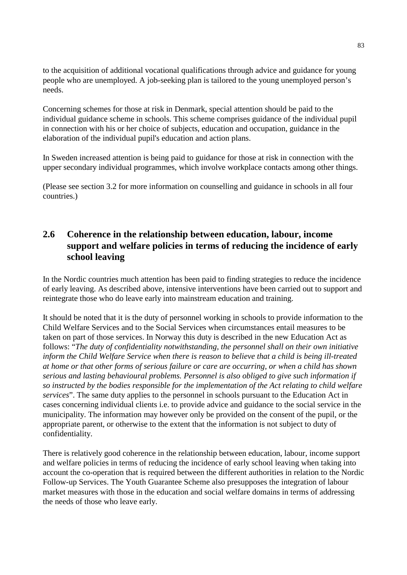to the acquisition of additional vocational qualifications through advice and guidance for young people who are unemployed. A job-seeking plan is tailored to the young unemployed person's needs.

Concerning schemes for those at risk in Denmark, special attention should be paid to the individual guidance scheme in schools. This scheme comprises guidance of the individual pupil in connection with his or her choice of subjects, education and occupation, guidance in the elaboration of the individual pupil's education and action plans.

In Sweden increased attention is being paid to guidance for those at risk in connection with the upper secondary individual programmes, which involve workplace contacts among other things.

(Please see section 3.2 for more information on counselling and guidance in schools in all four countries.)

## **2.6 Coherence in the relationship between education, labour, income support and welfare policies in terms of reducing the incidence of early school leaving**

In the Nordic countries much attention has been paid to finding strategies to reduce the incidence of early leaving. As described above, intensive interventions have been carried out to support and reintegrate those who do leave early into mainstream education and training.

It should be noted that it is the duty of personnel working in schools to provide information to the Child Welfare Services and to the Social Services when circumstances entail measures to be taken on part of those services. In Norway this duty is described in the new Education Act as follows: "*The duty of confidentiality notwithstanding, the personnel shall on their own initiative inform the Child Welfare Service when there is reason to believe that a child is being ill-treated at home or that other forms of serious failure or care are occurring, or when a child has shown serious and lasting behavioural problems. Personnel is also obliged to give such information if so instructed by the bodies responsible for the implementation of the Act relating to child welfare services*". The same duty applies to the personnel in schools pursuant to the Education Act in cases concerning individual clients i.e. to provide advice and guidance to the social service in the municipality. The information may however only be provided on the consent of the pupil, or the appropriate parent, or otherwise to the extent that the information is not subject to duty of confidentiality.

There is relatively good coherence in the relationship between education, labour, income support and welfare policies in terms of reducing the incidence of early school leaving when taking into account the co-operation that is required between the different authorities in relation to the Nordic Follow-up Services. The Youth Guarantee Scheme also presupposes the integration of labour market measures with those in the education and social welfare domains in terms of addressing the needs of those who leave early.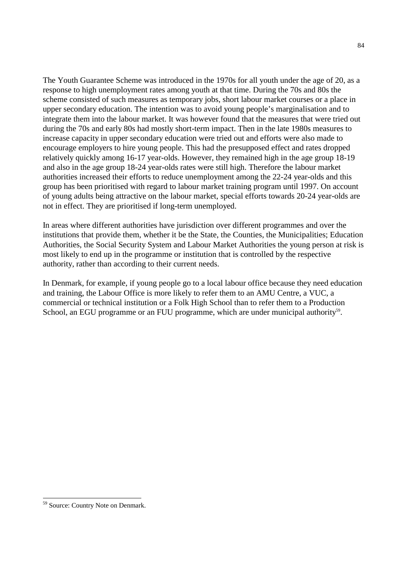The Youth Guarantee Scheme was introduced in the 1970s for all youth under the age of 20, as a response to high unemployment rates among youth at that time. During the 70s and 80s the scheme consisted of such measures as temporary jobs, short labour market courses or a place in upper secondary education. The intention was to avoid young people's marginalisation and to integrate them into the labour market. It was however found that the measures that were tried out during the 70s and early 80s had mostly short-term impact. Then in the late 1980s measures to increase capacity in upper secondary education were tried out and efforts were also made to encourage employers to hire young people. This had the presupposed effect and rates dropped relatively quickly among 16-17 year-olds. However, they remained high in the age group 18-19 and also in the age group 18-24 year-olds rates were still high. Therefore the labour market authorities increased their efforts to reduce unemployment among the 22-24 year-olds and this group has been prioritised with regard to labour market training program until 1997. On account of young adults being attractive on the labour market, special efforts towards 20-24 year-olds are not in effect. They are prioritised if long-term unemployed.

In areas where different authorities have jurisdiction over different programmes and over the institutions that provide them, whether it be the State, the Counties, the Municipalities; Education Authorities, the Social Security System and Labour Market Authorities the young person at risk is most likely to end up in the programme or institution that is controlled by the respective authority, rather than according to their current needs.

In Denmark, for example, if young people go to a local labour office because they need education and training, the Labour Office is more likely to refer them to an AMU Centre, a VUC, a commercial or technical institution or a Folk High School than to refer them to a Production School, an EGU programme or an FUU programme, which are under municipal authority<sup>59</sup>.

-

<sup>59</sup> Source: Country Note on Denmark.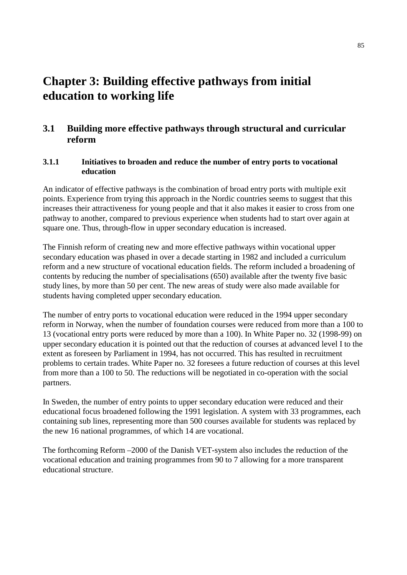# **Chapter 3: Building effective pathways from initial education to working life**

## **3.1 Building more effective pathways through structural and curricular reform**

#### **3.1.1 Initiatives to broaden and reduce the number of entry ports to vocational education**

An indicator of effective pathways is the combination of broad entry ports with multiple exit points. Experience from trying this approach in the Nordic countries seems to suggest that this increases their attractiveness for young people and that it also makes it easier to cross from one pathway to another, compared to previous experience when students had to start over again at square one. Thus, through-flow in upper secondary education is increased.

The Finnish reform of creating new and more effective pathways within vocational upper secondary education was phased in over a decade starting in 1982 and included a curriculum reform and a new structure of vocational education fields. The reform included a broadening of contents by reducing the number of specialisations (650) available after the twenty five basic study lines, by more than 50 per cent. The new areas of study were also made available for students having completed upper secondary education.

The number of entry ports to vocational education were reduced in the 1994 upper secondary reform in Norway, when the number of foundation courses were reduced from more than a 100 to 13 (vocational entry ports were reduced by more than a 100). In White Paper no. 32 (1998-99) on upper secondary education it is pointed out that the reduction of courses at advanced level I to the extent as foreseen by Parliament in 1994, has not occurred. This has resulted in recruitment problems to certain trades. White Paper no. 32 foresees a future reduction of courses at this level from more than a 100 to 50. The reductions will be negotiated in co-operation with the social partners.

In Sweden, the number of entry points to upper secondary education were reduced and their educational focus broadened following the 1991 legislation. A system with 33 programmes, each containing sub lines, representing more than 500 courses available for students was replaced by the new 16 national programmes, of which 14 are vocational.

The forthcoming Reform –2000 of the Danish VET-system also includes the reduction of the vocational education and training programmes from 90 to 7 allowing for a more transparent educational structure.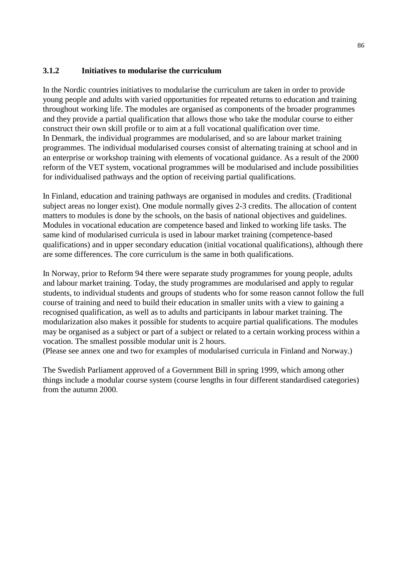#### **3.1.2 Initiatives to modularise the curriculum**

In the Nordic countries initiatives to modularise the curriculum are taken in order to provide young people and adults with varied opportunities for repeated returns to education and training throughout working life. The modules are organised as components of the broader programmes and they provide a partial qualification that allows those who take the modular course to either construct their own skill profile or to aim at a full vocational qualification over time. In Denmark, the individual programmes are modularised, and so are labour market training programmes. The individual modularised courses consist of alternating training at school and in an enterprise or workshop training with elements of vocational guidance. As a result of the 2000 reform of the VET system, vocational programmes will be modularised and include possibilities for individualised pathways and the option of receiving partial qualifications.

In Finland, education and training pathways are organised in modules and credits. (Traditional subject areas no longer exist). One module normally gives 2-3 credits. The allocation of content matters to modules is done by the schools, on the basis of national objectives and guidelines. Modules in vocational education are competence based and linked to working life tasks. The same kind of modularised curricula is used in labour market training (competence-based qualifications) and in upper secondary education (initial vocational qualifications), although there are some differences. The core curriculum is the same in both qualifications.

In Norway, prior to Reform 94 there were separate study programmes for young people, adults and labour market training. Today, the study programmes are modularised and apply to regular students, to individual students and groups of students who for some reason cannot follow the full course of training and need to build their education in smaller units with a view to gaining a recognised qualification, as well as to adults and participants in labour market training. The modularization also makes it possible for students to acquire partial qualifications. The modules may be organised as a subject or part of a subject or related to a certain working process within a vocation. The smallest possible modular unit is 2 hours.

(Please see annex one and two for examples of modularised curricula in Finland and Norway.)

The Swedish Parliament approved of a Government Bill in spring 1999, which among other things include a modular course system (course lengths in four different standardised categories) from the autumn 2000.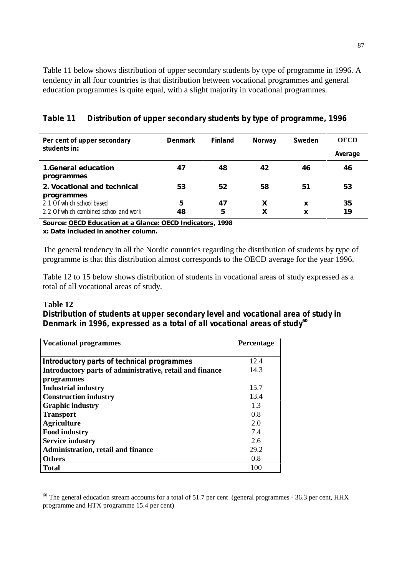Table 11 below shows distribution of upper secondary students by type of programme in 1996. A tendency in all four countries is that distribution between vocational programmes and general education programmes is quite equal, with a slight majority in vocational programmes.

| Per cent of upper secondary                                        | <b>Denmark</b> | <b>Finland</b> | <b>Norway</b> | Sweden           | <b>OECD</b>    |
|--------------------------------------------------------------------|----------------|----------------|---------------|------------------|----------------|
| students in:                                                       |                |                |               |                  | <b>Average</b> |
| <b>1.General education</b><br>programmes                           | 47             | 48             | 42            | 46               | 46             |
| 2. Vocational and technical<br>programmes                          | 53             | 52             | 58            | 51               | 53             |
| 2.1 Of which school based<br>2.2 Of which combined school and work | 5<br>48        | 47<br>5        | X<br>X        | X<br>$\mathbf x$ | 35<br>19       |

#### **Table 11 Distribution of upper secondary students by type of programme, 1996**

**Source: OECD Education at a Glance: OECD Indicators, 1998 x: Data included in another column.**

The general tendency in all the Nordic countries regarding the distribution of students by type of programme is that this distribution almost corresponds to the OECD average for the year 1996.

Table 12 to 15 below shows distribution of students in vocational areas of study expressed as a total of all vocational areas of study.

#### **Table 12**

 $\overline{a}$ 

#### **Distribution of students at upper secondary level and vocational area of study in Denmark in 1996, expressed as a total of all vocational areas of study<sup>60</sup>**

| <b>Vocational programmes</b>                             | <b>Percentage</b> |
|----------------------------------------------------------|-------------------|
|                                                          |                   |
| <b>Introductory parts of technical programmes</b>        | 12.4              |
| Introductory parts of administrative, retail and finance | 14.3              |
| programmes                                               |                   |
| <b>Industrial industry</b>                               | 15.7              |
| <b>Construction industry</b>                             | 13.4              |
| <b>Graphic industry</b>                                  | 13                |
| <b>Transport</b>                                         | 0.8               |
| <b>Agriculture</b>                                       | 2.0               |
| <b>Food industry</b>                                     | 7.4               |
| <b>Service industry</b>                                  | 2.6               |
| <b>Administration, retail and finance</b>                | 29.2              |
| <b>Others</b>                                            | 0.8               |
| <b>Total</b>                                             | 100               |

 $60$  The general education stream accounts for a total of 51.7 per cent (general programmes - 36.3 per cent, HHX programme and HTX programme 15.4 per cent)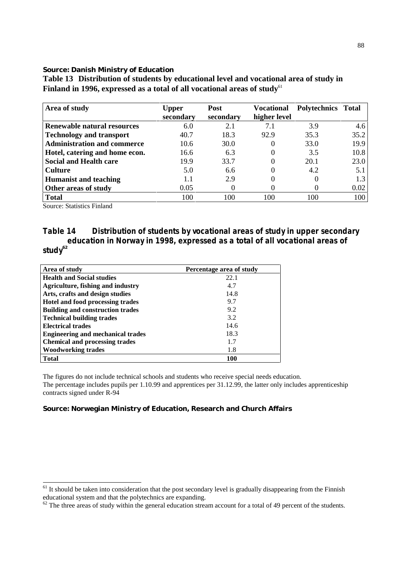#### **Source: Danish Ministry of Education**

| Area of study                      | Upper     | <b>Post</b> | <b>Vocational</b> | Polytechnics Total |      |
|------------------------------------|-----------|-------------|-------------------|--------------------|------|
|                                    | secondary | secondary   | higher level      |                    |      |
| <b>Renewable natural resources</b> | 6.0       | 2.1         | 7.1               | 3.9                | 4.6  |
| <b>Technology and transport</b>    | 40.7      | 18.3        | 92.9              | 35.3               | 35.2 |
| <b>Administration and commerce</b> | 10.6      | 30.0        | $\theta$          | 33.0               | 19.9 |
| Hotel, catering and home econ.     | 16.6      | 6.3         |                   | 3.5                | 10.8 |
| <b>Social and Health care</b>      | 19.9      | 33.7        |                   | 20.1               | 23.0 |
| <b>Culture</b>                     | 5.0       | 6.6         |                   | 4.2                | 5.1  |
| <b>Humanist and teaching</b>       | 1.1       | 2.9         |                   |                    | 1.3  |
| Other areas of study               | 0.05      |             |                   |                    | 0.02 |
| <b>Total</b>                       | 100       | 100         | 100               | 100                | 100  |

**Table 13 Distribution of students by educational level and vocational area of study in Finland in 1996, expressed as a total of all vocational areas of study**<sup>61</sup>

Source: Statistics Finland

-

#### **Table 14 Distribution of students by vocational areas of study in upper secondary education in Norway in 1998, expressed as a total of all vocational areas of study<sup>62</sup>**

| Area of study                            | Percentage area of study |
|------------------------------------------|--------------------------|
| <b>Health and Social studies</b>         | 22.1                     |
| Agriculture, fishing and industry        | 4.7                      |
| Arts, crafts and design studies          | 14.8                     |
| Hotel and food processing trades         | 9.7                      |
| <b>Building and construction trades</b>  | 9.2                      |
| <b>Technical building trades</b>         | 3.2                      |
| <b>Electrical trades</b>                 | 14.6                     |
| <b>Engineering and mechanical trades</b> | 18.3                     |
| <b>Chemical and processing trades</b>    | 1.7                      |
| <b>Woodworking trades</b>                | 1.8                      |
| <b>Total</b>                             | 100                      |

The figures do not include technical schools and students who receive special needs education. The percentage includes pupils per 1.10.99 and apprentices per 31.12.99, the latter only includes apprenticeship contracts signed under R-94

#### **Source: Norwegian Ministry of Education, Research and Church Affairs**

 $61$  It should be taken into consideration that the post secondary level is gradually disappearing from the Finnish educational system and that the polytechnics are expanding.

 $\frac{62}{10}$  The three areas of study within the general education stream account for a total of 49 percent of the students.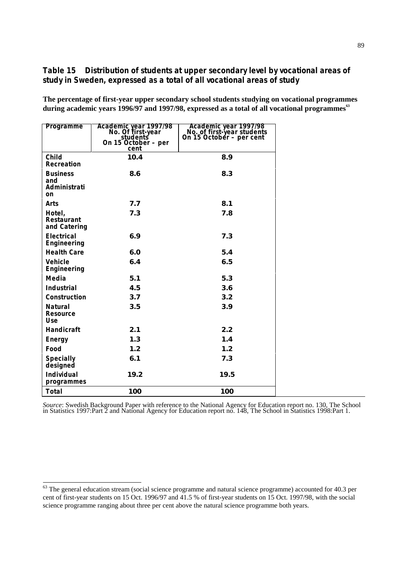#### **Table 15 Distribution of students at upper secondary level by vocational areas of study in Sweden, expressed as a total of all vocational areas of study**

**The percentage of first-year upper secondary school students studying on vocational programmes during academic years 1996/97 and 1997/98, expressed as a total of all vocational programmes<sup>63</sup>**

| <b>Programme</b>                                | Academic year 1997/98<br>No. Of first-year<br>students<br>On 15 October - per<br>cent | Academic year 1997/98<br>No. of first-year students<br>On 15 October - per cent |
|-------------------------------------------------|---------------------------------------------------------------------------------------|---------------------------------------------------------------------------------|
| <b>Child</b><br><b>Recreation</b>               | 10.4                                                                                  | 8.9                                                                             |
| <b>Business</b><br>and<br>Administrati<br>on    | 8.6                                                                                   | 8.3                                                                             |
| Arts                                            | 7.7                                                                                   | 8.1                                                                             |
| Hotel,<br><b>Restaurant</b><br>and Catering     | 7.3                                                                                   | 7.8                                                                             |
| <b>Electrical</b><br><b>Engineering</b>         | 6.9                                                                                   | 7.3                                                                             |
| <b>Health Care</b>                              | 6.0                                                                                   | 5.4                                                                             |
| <b>Vehicle</b><br><b>Engineering</b>            | 6.4                                                                                   | 6.5                                                                             |
| <b>Media</b>                                    | 5.1                                                                                   | 5.3                                                                             |
| <b>Industrial</b>                               | 4.5                                                                                   | 3.6                                                                             |
| <b>Construction</b>                             | 3.7                                                                                   | 3.2                                                                             |
| <b>Natural</b><br><b>Resource</b><br><b>Use</b> | 3.5                                                                                   | 3.9                                                                             |
| <b>Handicraft</b>                               | 2.1                                                                                   | 2.2                                                                             |
| <b>Energy</b>                                   | 1.3                                                                                   | 1.4                                                                             |
| Food                                            | 1.2                                                                                   | 1.2                                                                             |
| <b>Specially</b><br>designed                    | 6.1                                                                                   | 7.3                                                                             |
| <b>Individual</b><br>programmes                 | 19.2                                                                                  | 19.5                                                                            |
| <b>Total</b>                                    | <b>100</b>                                                                            | <b>100</b>                                                                      |

Source: Swedish Background Paper with reference to the National Agency for Education report no. 130, The School in Statistics 1997:Part 2 and National Agency for Education report no. 148, The School in Statistics 1998:Part

-

 $63$  The general education stream (social science programme and natural science programme) accounted for 40.3 per cent of first-year students on 15 Oct. 1996/97 and 41.5 % of first-year students on 15 Oct. 1997/98, with the social science programme ranging about three per cent above the natural science programme both years.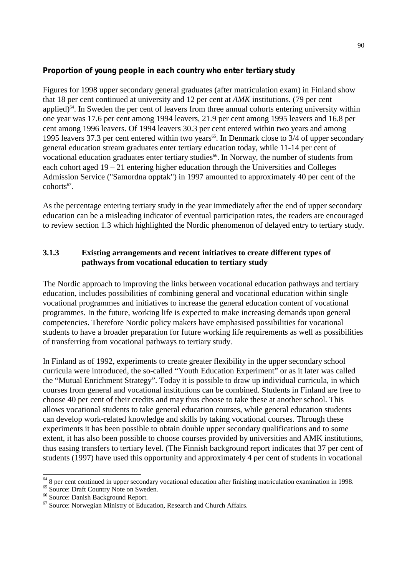#### **Proportion of young people in each country who enter tertiary study**

Figures for 1998 upper secondary general graduates (after matriculation exam) in Finland show that 18 per cent continued at university and 12 per cent at *AMK* institutions. (79 per cent applied) $64$ . In Sweden the per cent of leavers from three annual cohorts entering university within one year was 17.6 per cent among 1994 leavers, 21.9 per cent among 1995 leavers and 16.8 per cent among 1996 leavers. Of 1994 leavers 30.3 per cent entered within two years and among 1995 leavers 37.3 per cent entered within two years<sup>65</sup>. In Denmark close to  $3/4$  of upper secondary general education stream graduates enter tertiary education today, while 11-14 per cent of vocational education graduates enter tertiary studies<sup>66</sup>. In Norway, the number of students from each cohort aged 19 – 21 entering higher education through the Universities and Colleges Admission Service ("Samordna opptak") in 1997 amounted to approximately 40 per cent of the  $cohorts^{67}$ 

As the percentage entering tertiary study in the year immediately after the end of upper secondary education can be a misleading indicator of eventual participation rates, the readers are encouraged to review section 1.3 which highlighted the Nordic phenomenon of delayed entry to tertiary study.

#### **3.1.3 Existing arrangements and recent initiatives to create different types of pathways from vocational education to tertiary study**

The Nordic approach to improving the links between vocational education pathways and tertiary education, includes possibilities of combining general and vocational education within single vocational programmes and initiatives to increase the general education content of vocational programmes. In the future, working life is expected to make increasing demands upon general competencies. Therefore Nordic policy makers have emphasised possibilities for vocational students to have a broader preparation for future working life requirements as well as possibilities of transferring from vocational pathways to tertiary study.

In Finland as of 1992, experiments to create greater flexibility in the upper secondary school curricula were introduced, the so-called "Youth Education Experiment" or as it later was called the "Mutual Enrichment Strategy". Today it is possible to draw up individual curricula, in which courses from general and vocational institutions can be combined. Students in Finland are free to choose 40 per cent of their credits and may thus choose to take these at another school. This allows vocational students to take general education courses, while general education students can develop work-related knowledge and skills by taking vocational courses. Through these experiments it has been possible to obtain double upper secondary qualifications and to some extent, it has also been possible to choose courses provided by universities and AMK institutions, thus easing transfers to tertiary level. (The Finnish background report indicates that 37 per cent of students (1997) have used this opportunity and approximately 4 per cent of students in vocational

-

<sup>&</sup>lt;sup>64</sup> 8 per cent continued in upper secondary vocational education after finishing matriculation examination in 1998.

<sup>65</sup> Source: Draft Country Note on Sweden.

<sup>66</sup> Source: Danish Background Report.

<sup>67</sup> Source: Norwegian Ministry of Education, Research and Church Affairs.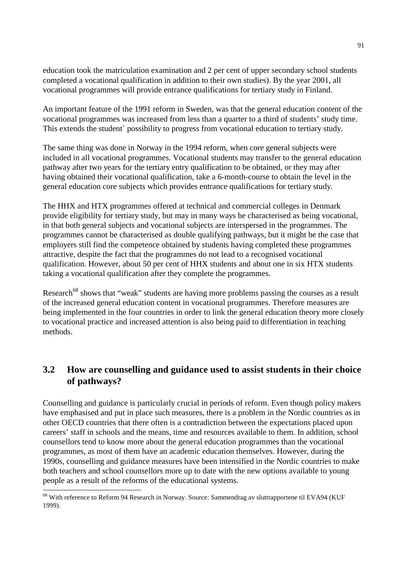education took the matriculation examination and 2 per cent of upper secondary school students completed a vocational qualification in addition to their own studies). By the year 2001, all vocational programmes will provide entrance qualifications for tertiary study in Finland.

An important feature of the 1991 reform in Sweden, was that the general education content of the vocational programmes was increased from less than a quarter to a third of students' study time. This extends the student` possibility to progress from vocational education to tertiary study.

The same thing was done in Norway in the 1994 reform, when core general subjects were included in all vocational programmes. Vocational students may transfer to the general education pathway after two years for the tertiary entry qualification to be obtained, or they may after having obtained their vocational qualification, take a 6-month-course to obtain the level in the general education core subjects which provides entrance qualifications for tertiary study.

The HHX and HTX programmes offered at technical and commercial colleges in Denmark provide eligibility for tertiary study, but may in many ways be characterised as being vocational, in that both general subjects and vocational subjects are interspersed in the programmes. The programmes cannot be characterised as double qualifying pathways, but it might be the case that employers still find the competence obtained by students having completed these programmes attractive, despite the fact that the programmes do not lead to a recognised vocational qualification. However, about 50 per cent of HHX students and about one in six HTX students taking a vocational qualification after they complete the programmes.

Research<sup>68</sup> shows that "weak" students are having more problems passing the courses as a result of the increased general education content in vocational programmes. Therefore measures are being implemented in the four countries in order to link the general education theory more closely to vocational practice and increased attention is also being paid to differentiation in teaching methods.

## **3.2 How are counselling and guidance used to assist students in their choice of pathways?**

Counselling and guidance is particularly crucial in periods of reform. Even though policy makers have emphasised and put in place such measures, there is a problem in the Nordic countries as in other OECD countries that there often is a contradiction between the expectations placed upon careers' staff in schools and the means, time and resources available to them. In addition, school counsellors tend to know more about the general education programmes than the vocational programmes, as most of them have an academic education themselves. However, during the 1990s, counselling and guidance measures have been intensified in the Nordic countries to make both teachers and school counsellors more up to date with the new options available to young people as a result of the reforms of the educational systems.

 $\overline{a}$ 

<sup>&</sup>lt;sup>68</sup> With reference to Reform 94 Research in Norway. Source: Sammendrag av sluttrapportene til EVA94 (KUF 1999).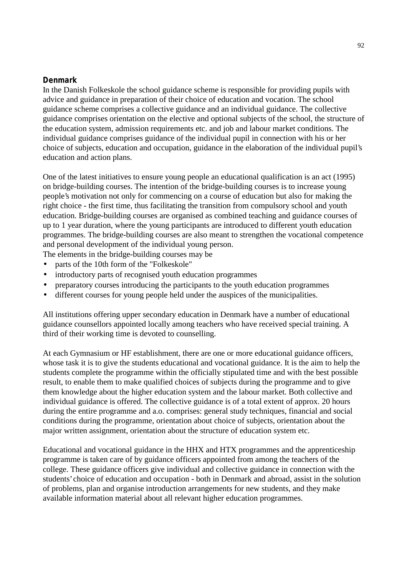#### **Denmark**

In the Danish Folkeskole the school guidance scheme is responsible for providing pupils with advice and guidance in preparation of their choice of education and vocation. The school guidance scheme comprises a collective guidance and an individual guidance. The collective guidance comprises orientation on the elective and optional subjects of the school, the structure of the education system, admission requirements etc. and job and labour market conditions. The individual guidance comprises guidance of the individual pupil in connection with his or her choice of subjects, education and occupation, guidance in the elaboration of the individual pupil's education and action plans.

One of the latest initiatives to ensure young people an educational qualification is an act (1995) on bridge-building courses. The intention of the bridge-building courses is to increase young people's motivation not only for commencing on a course of education but also for making the right choice - the first time, thus facilitating the transition from compulsory school and youth education. Bridge-building courses are organised as combined teaching and guidance courses of up to 1 year duration, where the young participants are introduced to different youth education programmes. The bridge-building courses are also meant to strengthen the vocational competence and personal development of the individual young person.

The elements in the bridge-building courses may be

- parts of the 10th form of the "Folkeskole"
- introductory parts of recognised youth education programmes
- preparatory courses introducing the participants to the youth education programmes
- different courses for young people held under the auspices of the municipalities.

All institutions offering upper secondary education in Denmark have a number of educational guidance counsellors appointed locally among teachers who have received special training. A third of their working time is devoted to counselling.

At each Gymnasium or HF establishment, there are one or more educational guidance officers, whose task it is to give the students educational and vocational guidance. It is the aim to help the students complete the programme within the officially stipulated time and with the best possible result, to enable them to make qualified choices of subjects during the programme and to give them knowledge about the higher education system and the labour market. Both collective and individual guidance is offered. The collective guidance is of a total extent of approx. 20 hours during the entire programme and a.o. comprises: general study techniques, financial and social conditions during the programme, orientation about choice of subjects, orientation about the major written assignment, orientation about the structure of education system etc.

Educational and vocational guidance in the HHX and HTX programmes and the apprenticeship programme is taken care of by guidance officers appointed from among the teachers of the college. These guidance officers give individual and collective guidance in connection with the students' choice of education and occupation - both in Denmark and abroad, assist in the solution of problems, plan and organise introduction arrangements for new students, and they make available information material about all relevant higher education programmes.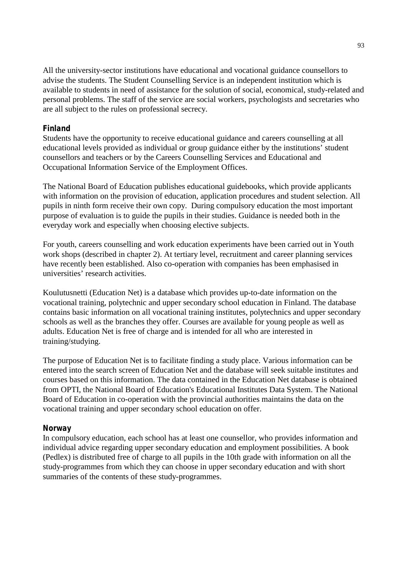All the university-sector institutions have educational and vocational guidance counsellors to advise the students. The Student Counselling Service is an independent institution which is available to students in need of assistance for the solution of social, economical, study-related and personal problems. The staff of the service are social workers, psychologists and secretaries who are all subject to the rules on professional secrecy.

#### **Finland**

Students have the opportunity to receive educational guidance and careers counselling at all educational levels provided as individual or group guidance either by the institutions' student counsellors and teachers or by the Careers Counselling Services and Educational and Occupational Information Service of the Employment Offices.

The National Board of Education publishes educational guidebooks, which provide applicants with information on the provision of education, application procedures and student selection. All pupils in ninth form receive their own copy. During compulsory education the most important purpose of evaluation is to guide the pupils in their studies. Guidance is needed both in the everyday work and especially when choosing elective subjects.

For youth, careers counselling and work education experiments have been carried out in Youth work shops (described in chapter 2). At tertiary level, recruitment and career planning services have recently been established. Also co-operation with companies has been emphasised in universities' research activities.

Koulutusnetti (Education Net) is a database which provides up-to-date information on the vocational training, polytechnic and upper secondary school education in Finland. The database contains basic information on all vocational training institutes, polytechnics and upper secondary schools as well as the branches they offer. Courses are available for young people as well as adults. Education Net is free of charge and is intended for all who are interested in training/studying.

The purpose of Education Net is to facilitate finding a study place. Various information can be entered into the search screen of Education Net and the database will seek suitable institutes and courses based on this information. The data contained in the Education Net database is obtained from OPTI, the National Board of Education's Educational Institutes Data System. The National Board of Education in co-operation with the provincial authorities maintains the data on the vocational training and upper secondary school education on offer.

#### **Norway**

In compulsory education, each school has at least one counsellor, who provides information and individual advice regarding upper secondary education and employment possibilities. A book (Pedlex) is distributed free of charge to all pupils in the 10th grade with information on all the study-programmes from which they can choose in upper secondary education and with short summaries of the contents of these study-programmes.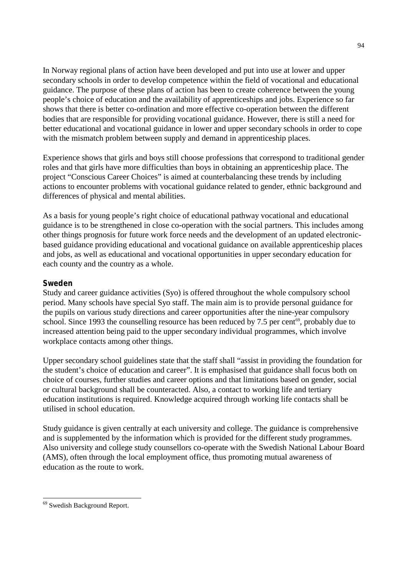In Norway regional plans of action have been developed and put into use at lower and upper secondary schools in order to develop competence within the field of vocational and educational guidance. The purpose of these plans of action has been to create coherence between the young people's choice of education and the availability of apprenticeships and jobs. Experience so far shows that there is better co-ordination and more effective co-operation between the different bodies that are responsible for providing vocational guidance. However, there is still a need for better educational and vocational guidance in lower and upper secondary schools in order to cope with the mismatch problem between supply and demand in apprenticeship places.

Experience shows that girls and boys still choose professions that correspond to traditional gender roles and that girls have more difficulties than boys in obtaining an apprenticeship place. The project "Conscious Career Choices" is aimed at counterbalancing these trends by including actions to encounter problems with vocational guidance related to gender, ethnic background and differences of physical and mental abilities.

As a basis for young people's right choice of educational pathway vocational and educational guidance is to be strengthened in close co-operation with the social partners. This includes among other things prognosis for future work force needs and the development of an updated electronicbased guidance providing educational and vocational guidance on available apprenticeship places and jobs, as well as educational and vocational opportunities in upper secondary education for each county and the country as a whole.

#### **Sweden**

Study and career guidance activities (Syo) is offered throughout the whole compulsory school period. Many schools have special Syo staff. The main aim is to provide personal guidance for the pupils on various study directions and career opportunities after the nine-year compulsory school. Since 1993 the counselling resource has been reduced by 7.5 per cent<sup>69</sup>, probably due to increased attention being paid to the upper secondary individual programmes, which involve workplace contacts among other things.

Upper secondary school guidelines state that the staff shall "assist in providing the foundation for the student's choice of education and career". It is emphasised that guidance shall focus both on choice of courses, further studies and career options and that limitations based on gender, social or cultural background shall be counteracted. Also, a contact to working life and tertiary education institutions is required. Knowledge acquired through working life contacts shall be utilised in school education.

Study guidance is given centrally at each university and college. The guidance is comprehensive and is supplemented by the information which is provided for the different study programmes. Also university and college study counsellors co-operate with the Swedish National Labour Board (AMS), often through the local employment office, thus promoting mutual awareness of education as the route to work.

-

<sup>69</sup> Swedish Background Report.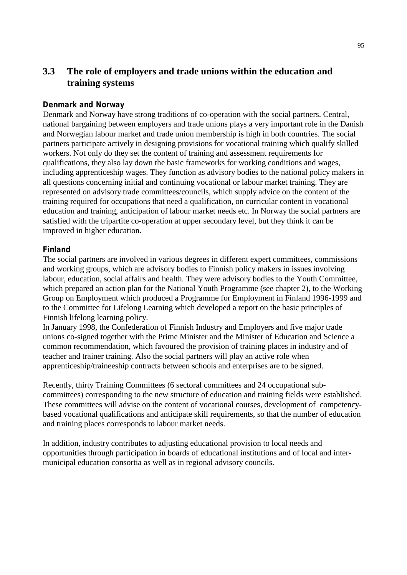## **3.3 The role of employers and trade unions within the education and training systems**

#### **Denmark and Norway**

Denmark and Norway have strong traditions of co-operation with the social partners. Central, national bargaining between employers and trade unions plays a very important role in the Danish and Norwegian labour market and trade union membership is high in both countries. The social partners participate actively in designing provisions for vocational training which qualify skilled workers. Not only do they set the content of training and assessment requirements for qualifications, they also lay down the basic frameworks for working conditions and wages, including apprenticeship wages. They function as advisory bodies to the national policy makers in all questions concerning initial and continuing vocational or labour market training. They are represented on advisory trade committees/councils, which supply advice on the content of the training required for occupations that need a qualification, on curricular content in vocational education and training, anticipation of labour market needs etc. In Norway the social partners are satisfied with the tripartite co-operation at upper secondary level, but they think it can be improved in higher education.

#### **Finland**

The social partners are involved in various degrees in different expert committees, commissions and working groups, which are advisory bodies to Finnish policy makers in issues involving labour, education, social affairs and health. They were advisory bodies to the Youth Committee, which prepared an action plan for the National Youth Programme (see chapter 2), to the Working Group on Employment which produced a Programme for Employment in Finland 1996-1999 and to the Committee for Lifelong Learning which developed a report on the basic principles of Finnish lifelong learning policy.

In January 1998, the Confederation of Finnish Industry and Employers and five major trade unions co-signed together with the Prime Minister and the Minister of Education and Science a common recommendation, which favoured the provision of training places in industry and of teacher and trainer training. Also the social partners will play an active role when apprenticeship/traineeship contracts between schools and enterprises are to be signed.

Recently, thirty Training Committees (6 sectoral committees and 24 occupational subcommittees) corresponding to the new structure of education and training fields were established. These committees will advise on the content of vocational courses, development of competencybased vocational qualifications and anticipate skill requirements, so that the number of education and training places corresponds to labour market needs.

In addition, industry contributes to adjusting educational provision to local needs and opportunities through participation in boards of educational institutions and of local and intermunicipal education consortia as well as in regional advisory councils.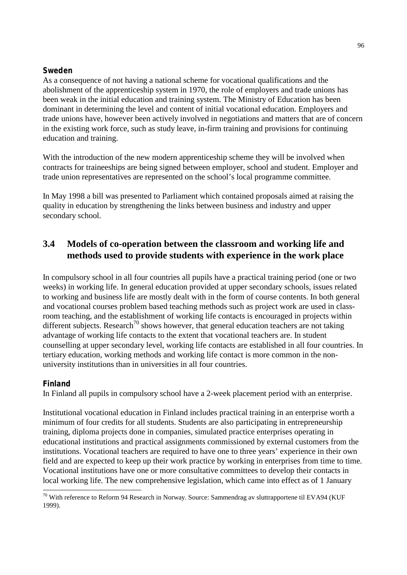#### **Sweden**

As a consequence of not having a national scheme for vocational qualifications and the abolishment of the apprenticeship system in 1970, the role of employers and trade unions has been weak in the initial education and training system. The Ministry of Education has been dominant in determining the level and content of initial vocational education. Employers and trade unions have, however been actively involved in negotiations and matters that are of concern in the existing work force, such as study leave, in-firm training and provisions for continuing education and training.

With the introduction of the new modern apprenticeship scheme they will be involved when contracts for traineeships are being signed between employer, school and student. Employer and trade union representatives are represented on the school's local programme committee.

In May 1998 a bill was presented to Parliament which contained proposals aimed at raising the quality in education by strengthening the links between business and industry and upper secondary school.

## **3.4 Models of co-operation between the classroom and working life and methods used to provide students with experience in the work place**

In compulsory school in all four countries all pupils have a practical training period (one or two weeks) in working life. In general education provided at upper secondary schools, issues related to working and business life are mostly dealt with in the form of course contents. In both general and vocational courses problem based teaching methods such as project work are used in classroom teaching, and the establishment of working life contacts is encouraged in projects within different subjects. Research<sup>70</sup> shows however, that general education teachers are not taking advantage of working life contacts to the extent that vocational teachers are. In student counselling at upper secondary level, working life contacts are established in all four countries. In tertiary education, working methods and working life contact is more common in the nonuniversity institutions than in universities in all four countries.

#### **Finland**

 $\overline{a}$ 

In Finland all pupils in compulsory school have a 2-week placement period with an enterprise.

Institutional vocational education in Finland includes practical training in an enterprise worth a minimum of four credits for all students. Students are also participating in entrepreneurship training, diploma projects done in companies, simulated practice enterprises operating in educational institutions and practical assignments commissioned by external customers from the institutions. Vocational teachers are required to have one to three years' experience in their own field and are expected to keep up their work practice by working in enterprises from time to time. Vocational institutions have one or more consultative committees to develop their contacts in local working life. The new comprehensive legislation, which came into effect as of 1 January

 $^{70}$  With reference to Reform 94 Research in Norway. Source: Sammendrag av sluttrapportene til EVA94 (KUF 1999).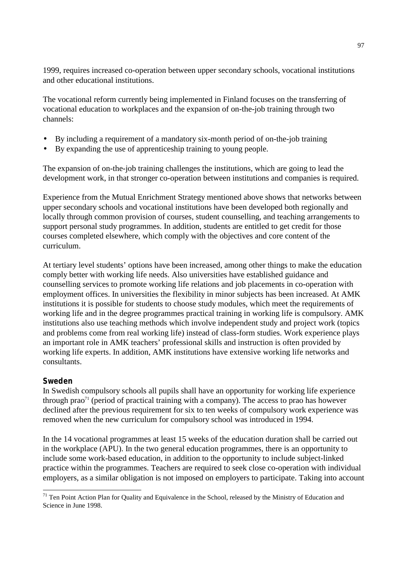1999, requires increased co-operation between upper secondary schools, vocational institutions and other educational institutions.

The vocational reform currently being implemented in Finland focuses on the transferring of vocational education to workplaces and the expansion of on-the-job training through two channels:

- By including a requirement of a mandatory six-month period of on-the-job training
- By expanding the use of apprenticeship training to young people.

The expansion of on-the-job training challenges the institutions, which are going to lead the development work, in that stronger co-operation between institutions and companies is required.

Experience from the Mutual Enrichment Strategy mentioned above shows that networks between upper secondary schools and vocational institutions have been developed both regionally and locally through common provision of courses, student counselling, and teaching arrangements to support personal study programmes. In addition, students are entitled to get credit for those courses completed elsewhere, which comply with the objectives and core content of the curriculum.

At tertiary level students' options have been increased, among other things to make the education comply better with working life needs. Also universities have established guidance and counselling services to promote working life relations and job placements in co-operation with employment offices. In universities the flexibility in minor subjects has been increased. At AMK institutions it is possible for students to choose study modules, which meet the requirements of working life and in the degree programmes practical training in working life is compulsory. AMK institutions also use teaching methods which involve independent study and project work (topics and problems come from real working life) instead of class-form studies. Work experience plays an important role in AMK teachers' professional skills and instruction is often provided by working life experts. In addition, AMK institutions have extensive working life networks and consultants.

#### **Sweden**

In Swedish compulsory schools all pupils shall have an opportunity for working life experience through prao<sup> $71$ </sup> (period of practical training with a company). The access to prao has however declined after the previous requirement for six to ten weeks of compulsory work experience was removed when the new curriculum for compulsory school was introduced in 1994.

In the 14 vocational programmes at least 15 weeks of the education duration shall be carried out in the workplace (APU). In the two general education programmes, there is an opportunity to include some work-based education, in addition to the opportunity to include subject-linked practice within the programmes. Teachers are required to seek close co-operation with individual employers, as a similar obligation is not imposed on employers to participate. Taking into account

 $\overline{a}$ <sup>71</sup> Ten Point Action Plan for Quality and Equivalence in the School, released by the Ministry of Education and Science in June 1998.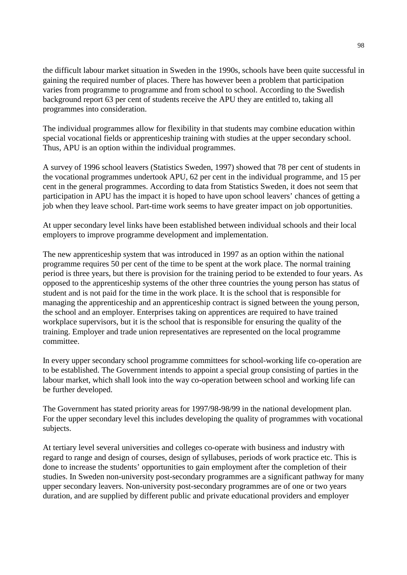the difficult labour market situation in Sweden in the 1990s, schools have been quite successful in gaining the required number of places. There has however been a problem that participation varies from programme to programme and from school to school. According to the Swedish background report 63 per cent of students receive the APU they are entitled to, taking all programmes into consideration.

The individual programmes allow for flexibility in that students may combine education within special vocational fields or apprenticeship training with studies at the upper secondary school. Thus, APU is an option within the individual programmes.

A survey of 1996 school leavers (Statistics Sweden, 1997) showed that 78 per cent of students in the vocational programmes undertook APU, 62 per cent in the individual programme, and 15 per cent in the general programmes. According to data from Statistics Sweden, it does not seem that participation in APU has the impact it is hoped to have upon school leavers' chances of getting a job when they leave school. Part-time work seems to have greater impact on job opportunities.

At upper secondary level links have been established between individual schools and their local employers to improve programme development and implementation.

The new apprenticeship system that was introduced in 1997 as an option within the national programme requires 50 per cent of the time to be spent at the work place. The normal training period is three years, but there is provision for the training period to be extended to four years. As opposed to the apprenticeship systems of the other three countries the young person has status of student and is not paid for the time in the work place. It is the school that is responsible for managing the apprenticeship and an apprenticeship contract is signed between the young person, the school and an employer. Enterprises taking on apprentices are required to have trained workplace supervisors, but it is the school that is responsible for ensuring the quality of the training. Employer and trade union representatives are represented on the local programme committee.

In every upper secondary school programme committees for school-working life co-operation are to be established. The Government intends to appoint a special group consisting of parties in the labour market, which shall look into the way co-operation between school and working life can be further developed.

The Government has stated priority areas for 1997/98-98/99 in the national development plan. For the upper secondary level this includes developing the quality of programmes with vocational subjects.

At tertiary level several universities and colleges co-operate with business and industry with regard to range and design of courses, design of syllabuses, periods of work practice etc. This is done to increase the students' opportunities to gain employment after the completion of their studies. In Sweden non-university post-secondary programmes are a significant pathway for many upper secondary leavers. Non-university post-secondary programmes are of one or two years duration, and are supplied by different public and private educational providers and employer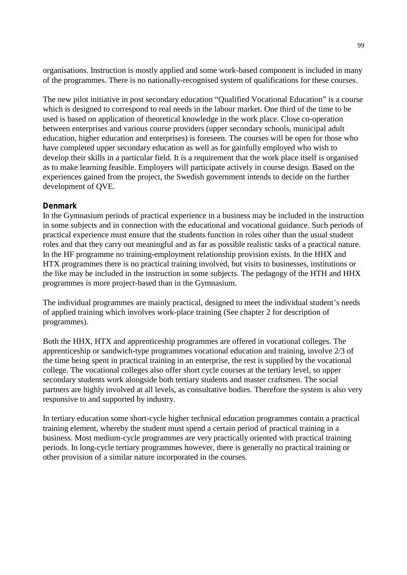organisations. Instruction is mostly applied and some work-based component is included in many of the programmes. There is no nationally-recognised system of qualifications for these courses.

The new pilot initiative in post secondary education "Qualified Vocational Education" is a course which is designed to correspond to real needs in the labour market. One third of the time to be used is based on application of theoretical knowledge in the work place. Close co-operation between enterprises and various course providers (upper secondary schools, municipal adult education, higher education and enterprises) is foreseen. The courses will be open for those who have completed upper secondary education as well as for gainfully employed who wish to develop their skills in a particular field. It is a requirement that the work place itself is organised as to make learning feasible. Employers will participate actively in course design. Based on the experiences gained from the project, the Swedish government intends to decide on the further development of QVE.

#### **Denmark**

In the Gymnasium periods of practical experience in a business may be included in the instruction in some subjects and in connection with the educational and vocational guidance. Such periods of practical experience must ensure that the students function in roles other than the usual student roles and that they carry out meaningful and as far as possible realistic tasks of a practical nature. In the HF programme no training-employment relationship provision exists. In the HHX and HTX programmes there is no practical training involved, but visits to businesses, institutions or the like may be included in the instruction in some subjects. The pedagogy of the HTH and HHX programmes is more project-based than in the Gymnasium.

The individual programmes are mainly practical, designed to meet the individual student's needs of applied training which involves work-place training (See chapter 2 for description of programmes).

Both the HHX, HTX and apprenticeship programmes are offered in vocational colleges. The apprenticeship or sandwich-type programmes vocational education and training, involve 2/3 of the time being spent in practical training in an enterprise, the rest is supplied by the vocational college. The vocational colleges also offer short cycle courses at the tertiary level, so upper secondary students work alongside both tertiary students and master craftsmen. The social partners are highly involved at all levels, as consultative bodies. Therefore the system is also very responsive to and supported by industry.

In tertiary education some short-cycle higher technical education programmes contain a practical training element, whereby the student must spend a certain period of practical training in a business. Most medium-cycle programmes are very practically oriented with practical training periods. In long-cycle tertiary programmes however, there is generally no practical training or other provision of a similar nature incorporated in the courses.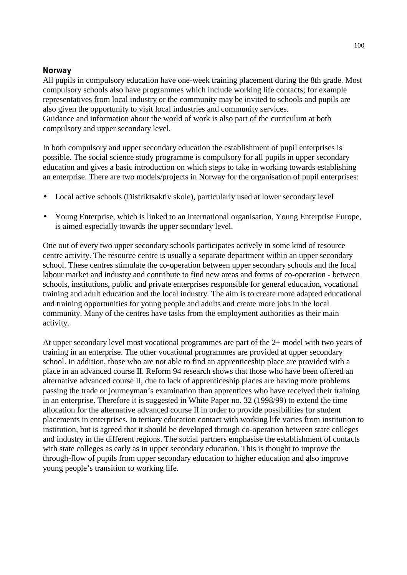#### **Norway**

All pupils in compulsory education have one-week training placement during the 8th grade. Most compulsory schools also have programmes which include working life contacts; for example representatives from local industry or the community may be invited to schools and pupils are also given the opportunity to visit local industries and community services. Guidance and information about the world of work is also part of the curriculum at both compulsory and upper secondary level.

In both compulsory and upper secondary education the establishment of pupil enterprises is possible. The social science study programme is compulsory for all pupils in upper secondary education and gives a basic introduction on which steps to take in working towards establishing an enterprise. There are two models/projects in Norway for the organisation of pupil enterprises:

- Local active schools (Distriktsaktiv skole), particularly used at lower secondary level
- Young Enterprise, which is linked to an international organisation, Young Enterprise Europe, is aimed especially towards the upper secondary level.

One out of every two upper secondary schools participates actively in some kind of resource centre activity. The resource centre is usually a separate department within an upper secondary school. These centres stimulate the co-operation between upper secondary schools and the local labour market and industry and contribute to find new areas and forms of co-operation - between schools, institutions, public and private enterprises responsible for general education, vocational training and adult education and the local industry. The aim is to create more adapted educational and training opportunities for young people and adults and create more jobs in the local community. Many of the centres have tasks from the employment authorities as their main activity.

At upper secondary level most vocational programmes are part of the 2+ model with two years of training in an enterprise. The other vocational programmes are provided at upper secondary school. In addition, those who are not able to find an apprenticeship place are provided with a place in an advanced course II. Reform 94 research shows that those who have been offered an alternative advanced course II, due to lack of apprenticeship places are having more problems passing the trade or journeyman's examination than apprentices who have received their training in an enterprise. Therefore it is suggested in White Paper no. 32 (1998/99) to extend the time allocation for the alternative advanced course II in order to provide possibilities for student placements in enterprises. In tertiary education contact with working life varies from institution to institution, but is agreed that it should be developed through co-operation between state colleges and industry in the different regions. The social partners emphasise the establishment of contacts with state colleges as early as in upper secondary education. This is thought to improve the through-flow of pupils from upper secondary education to higher education and also improve young people's transition to working life.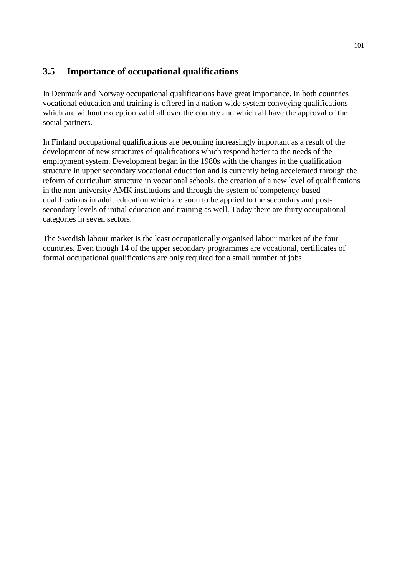## **3.5 Importance of occupational qualifications**

In Denmark and Norway occupational qualifications have great importance. In both countries vocational education and training is offered in a nation-wide system conveying qualifications which are without exception valid all over the country and which all have the approval of the social partners.

In Finland occupational qualifications are becoming increasingly important as a result of the development of new structures of qualifications which respond better to the needs of the employment system. Development began in the 1980s with the changes in the qualification structure in upper secondary vocational education and is currently being accelerated through the reform of curriculum structure in vocational schools, the creation of a new level of qualifications in the non-university AMK institutions and through the system of competency-based qualifications in adult education which are soon to be applied to the secondary and postsecondary levels of initial education and training as well. Today there are thirty occupational categories in seven sectors.

The Swedish labour market is the least occupationally organised labour market of the four countries. Even though 14 of the upper secondary programmes are vocational, certificates of formal occupational qualifications are only required for a small number of jobs.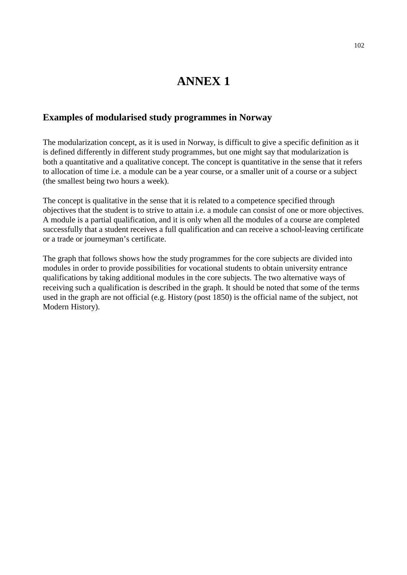# **ANNEX 1**

#### **Examples of modularised study programmes in Norway**

The modularization concept, as it is used in Norway, is difficult to give a specific definition as it is defined differently in different study programmes, but one might say that modularization is both a quantitative and a qualitative concept. The concept is quantitative in the sense that it refers to allocation of time i.e. a module can be a year course, or a smaller unit of a course or a subject (the smallest being two hours a week).

The concept is qualitative in the sense that it is related to a competence specified through objectives that the student is to strive to attain i.e. a module can consist of one or more objectives. A module is a partial qualification, and it is only when all the modules of a course are completed successfully that a student receives a full qualification and can receive a school-leaving certificate or a trade or journeyman's certificate.

The graph that follows shows how the study programmes for the core subjects are divided into modules in order to provide possibilities for vocational students to obtain university entrance qualifications by taking additional modules in the core subjects. The two alternative ways of receiving such a qualification is described in the graph. It should be noted that some of the terms used in the graph are not official (e.g. History (post 1850) is the official name of the subject, not Modern History).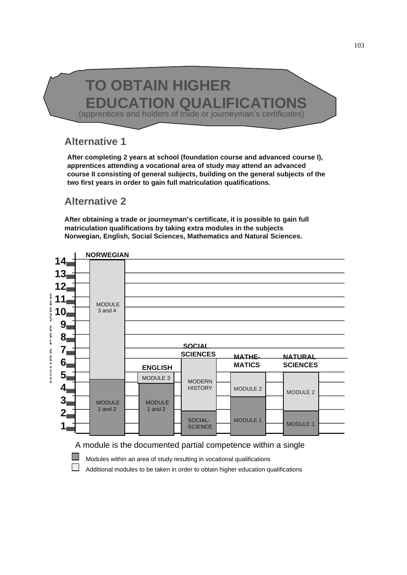# **TO OBTAIN HIGHER EDUCATION QUALIFICATIONS** (apprentices and holders of trade or journeyman's certificates)

## **Alternative 1**

**After completing 2 years at school (foundation course and advanced course I), apprentices attending a vocational area of study may attend an advanced course II consisting of general subjects, building on the general subjects of the two first years in order to gain full matriculation qualifications.**

## **Alternative 2**

**I** 

**After obtaining a trade or journeyman's certificate, it is possible to gain full matriculation qualifications by taking extra modules in the subjects Norwegian, English, Social Sciences, Mathematics and Natural Sciences.**



A module is the documented partial competence within a single

Modules within an area of study resulting in vocational qualifications

 $\Box$  Additional modules to be taken in order to obtain higher education qualifications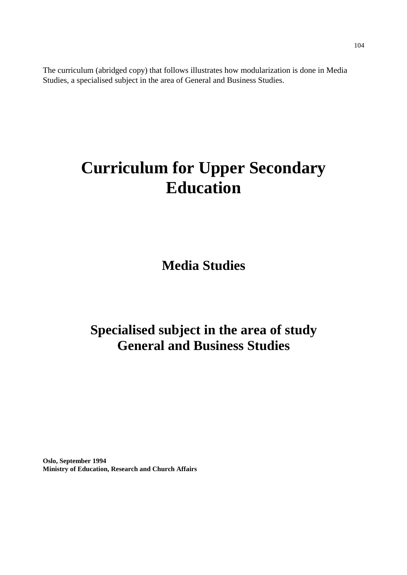The curriculum (abridged copy) that follows illustrates how modularization is done in Media Studies, a specialised subject in the area of General and Business Studies.

# **Curriculum for Upper Secondary Education**

**Media Studies**

# **Specialised subject in the area of study General and Business Studies**

**Oslo, September 1994 Ministry of Education, Research and Church Affairs**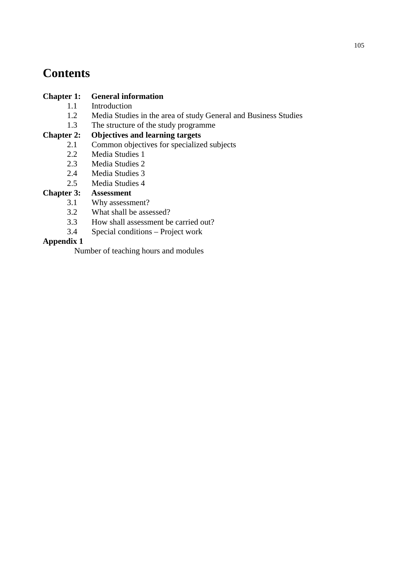# **Contents**

#### **Chapter 1: General information**

- 1.1 Introduction
- 1.2 Media Studies in the area of study General and Business Studies
- 1.3 The structure of the study programme

#### **Chapter 2: Objectives and learning targets**

- 2.1 Common objectives for specialized subjects
- 2.2 Media Studies 1
- 2.3 Media Studies 2
- 2.4 Media Studies 3
- 2.5 Media Studies 4

### **Chapter 3: Assessment**

- 3.1 Why assessment?
- 3.2 What shall be assessed?
- 3.3 How shall assessment be carried out?<br>3.4 Special conditions Project work
- Special conditions Project work

#### **Appendix 1**

Number of teaching hours and modules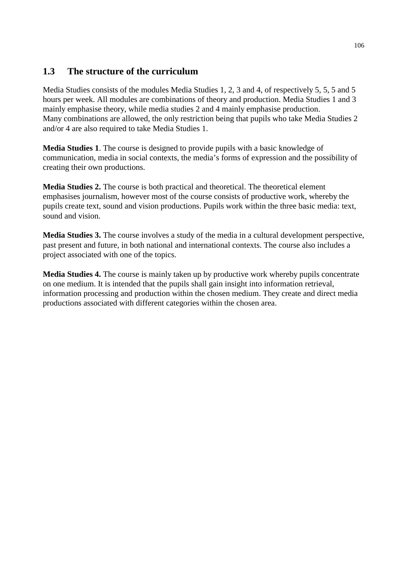# **1.3 The structure of the curriculum**

Media Studies consists of the modules Media Studies 1, 2, 3 and 4, of respectively 5, 5, 5 and 5 hours per week. All modules are combinations of theory and production. Media Studies 1 and 3 mainly emphasise theory, while media studies 2 and 4 mainly emphasise production. Many combinations are allowed, the only restriction being that pupils who take Media Studies 2 and/or 4 are also required to take Media Studies 1.

**Media Studies 1**. The course is designed to provide pupils with a basic knowledge of communication, media in social contexts, the media's forms of expression and the possibility of creating their own productions.

**Media Studies 2.** The course is both practical and theoretical. The theoretical element emphasises journalism, however most of the course consists of productive work, whereby the pupils create text, sound and vision productions. Pupils work within the three basic media: text, sound and vision.

**Media Studies 3.** The course involves a study of the media in a cultural development perspective, past present and future, in both national and international contexts. The course also includes a project associated with one of the topics.

**Media Studies 4.** The course is mainly taken up by productive work whereby pupils concentrate on one medium. It is intended that the pupils shall gain insight into information retrieval, information processing and production within the chosen medium. They create and direct media productions associated with different categories within the chosen area.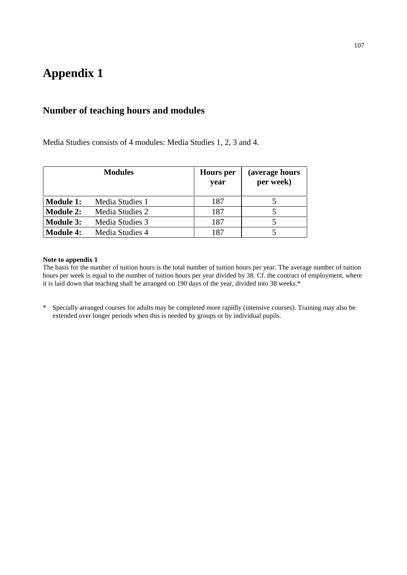# **Appendix 1**

# **Number of teaching hours and modules**

Media Studies consists of 4 modules: Media Studies 1, 2, 3 and 4.

|                  | <b>Modules</b>  | <b>Hours</b> per<br>year | (average hours<br>per week) |
|------------------|-----------------|--------------------------|-----------------------------|
| <b>Module 1:</b> | Media Studies 1 | 187                      |                             |
| <b>Module 2:</b> | Media Studies 2 | 187                      |                             |
| <b>Module 3:</b> | Media Studies 3 | 187                      |                             |
| <b>Module 4:</b> | Media Studies 4 | 187                      |                             |

#### **Note to appendix 1**

The basis for the number of tuition hours is the total number of tuition hours per year. The average number of tuition hours per week is equal to the number of tuition hours per year divided by 38. Cf. the contract of employment, where it is laid down that teaching shall be arranged on 190 days of the year, divided into 38 weeks.\*

\* Specially arranged courses for adults may be completed more rapidly (intensive courses). Training may also be extended over longer periods when this is needed by groups or by individual pupils.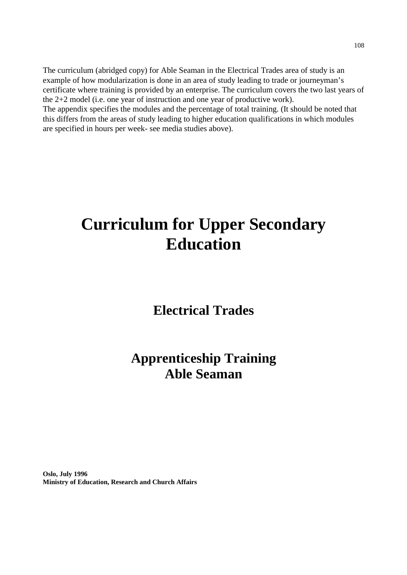The curriculum (abridged copy) for Able Seaman in the Electrical Trades area of study is an example of how modularization is done in an area of study leading to trade or journeyman's certificate where training is provided by an enterprise. The curriculum covers the two last years of the 2+2 model (i.e. one year of instruction and one year of productive work). The appendix specifies the modules and the percentage of total training. (It should be noted that this differs from the areas of study leading to higher education qualifications in which modules are specified in hours per week- see media studies above).

# **Curriculum for Upper Secondary Education**

# **Electrical Trades**

# **Apprenticeship Training Able Seaman**

**Oslo, July 1996 Ministry of Education, Research and Church Affairs**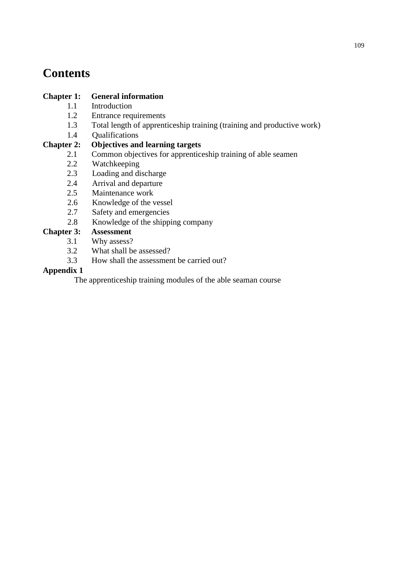# **Contents**

### **Chapter 1: General information**

- 1.1 Introduction
- 1.2 Entrance requirements
- 1.3 Total length of apprenticeship training (training and productive work)
- 1.4 Qualifications

### **Chapter 2: Objectives and learning targets**

- 2.1 Common objectives for apprenticeship training of able seamen
- 2.2 Watchkeeping
- 2.3 Loading and discharge
- 2.4 Arrival and departure
- 2.5 Maintenance work
- 2.6 Knowledge of the vessel
- 2.7 Safety and emergencies
- 2.8 Knowledge of the shipping company

### **Chapter 3: Assessment**

- 3.1 Why assess?<br>3.2 What shall be
- What shall be assessed?
- 3.3 How shall the assessment be carried out?

### **Appendix 1**

The apprenticeship training modules of the able seaman course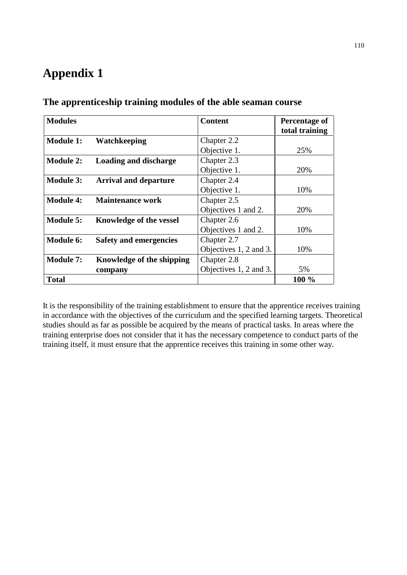# **Appendix 1**

| <b>Modules</b>   |                               | <b>Content</b>         | Percentage of  |
|------------------|-------------------------------|------------------------|----------------|
|                  |                               |                        | total training |
| <b>Module 1:</b> | <b>Watchkeeping</b>           | Chapter 2.2            |                |
|                  |                               | Objective 1.           | 25%            |
| <b>Module 2:</b> | <b>Loading and discharge</b>  | Chapter 2.3            |                |
|                  |                               | Objective 1.           | 20%            |
| <b>Module 3:</b> | <b>Arrival and departure</b>  | Chapter 2.4            |                |
|                  |                               | Objective 1.           | 10%            |
| <b>Module 4:</b> | <b>Maintenance work</b>       | Chapter 2.5            |                |
|                  |                               | Objectives 1 and 2.    | 20%            |
| Module 5:        | Knowledge of the vessel       | Chapter 2.6            |                |
|                  |                               | Objectives 1 and 2.    | 10%            |
| Module 6:        | <b>Safety and emergencies</b> | Chapter 2.7            |                |
|                  |                               | Objectives 1, 2 and 3. | 10%            |
| <b>Module 7:</b> | Knowledge of the shipping     | Chapter 2.8            |                |
|                  | company                       | Objectives 1, 2 and 3. | 5%             |
| <b>Total</b>     |                               |                        | $100\%$        |

**The apprenticeship training modules of the able seaman course**

It is the responsibility of the training establishment to ensure that the apprentice receives training in accordance with the objectives of the curriculum and the specified learning targets. Theoretical studies should as far as possible be acquired by the means of practical tasks. In areas where the training enterprise does not consider that it has the necessary competence to conduct parts of the training itself, it must ensure that the apprentice receives this training in some other way.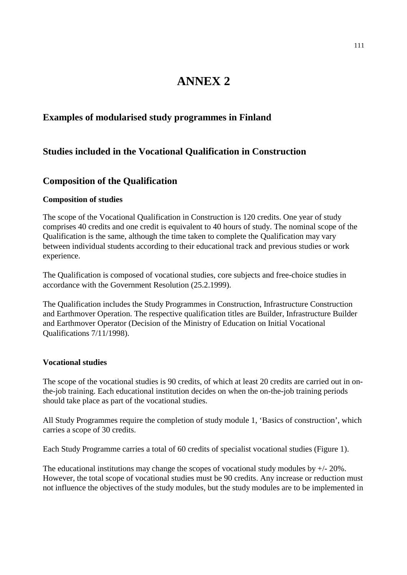# **ANNEX 2**

### **Examples of modularised study programmes in Finland**

### **Studies included in the Vocational Qualification in Construction**

### **Composition of the Qualification**

### **Composition of studies**

The scope of the Vocational Qualification in Construction is 120 credits. One year of study comprises 40 credits and one credit is equivalent to 40 hours of study. The nominal scope of the Qualification is the same, although the time taken to complete the Qualification may vary between individual students according to their educational track and previous studies or work experience.

The Qualification is composed of vocational studies, core subjects and free-choice studies in accordance with the Government Resolution (25.2.1999).

The Qualification includes the Study Programmes in Construction, Infrastructure Construction and Earthmover Operation. The respective qualification titles are Builder, Infrastructure Builder and Earthmover Operator (Decision of the Ministry of Education on Initial Vocational Qualifications 7/11/1998).

### **Vocational studies**

The scope of the vocational studies is 90 credits, of which at least 20 credits are carried out in onthe-job training. Each educational institution decides on when the on-the-job training periods should take place as part of the vocational studies.

All Study Programmes require the completion of study module 1, 'Basics of construction', which carries a scope of 30 credits.

Each Study Programme carries a total of 60 credits of specialist vocational studies (Figure 1).

The educational institutions may change the scopes of vocational study modules by  $+/-20\%$ . However, the total scope of vocational studies must be 90 credits. Any increase or reduction must not influence the objectives of the study modules, but the study modules are to be implemented in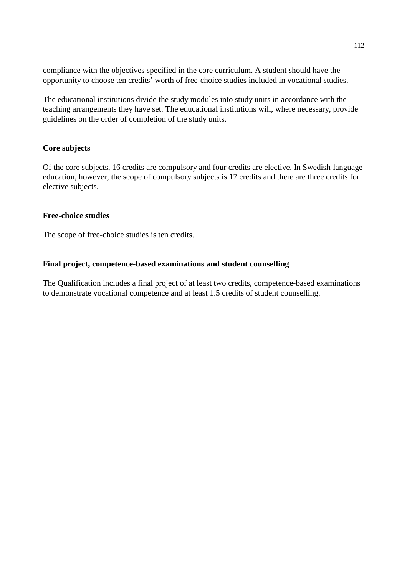compliance with the objectives specified in the core curriculum. A student should have the opportunity to choose ten credits' worth of free-choice studies included in vocational studies.

The educational institutions divide the study modules into study units in accordance with the teaching arrangements they have set. The educational institutions will, where necessary, provide guidelines on the order of completion of the study units.

### **Core subjects**

Of the core subjects, 16 credits are compulsory and four credits are elective. In Swedish-language education, however, the scope of compulsory subjects is 17 credits and there are three credits for elective subjects.

#### **Free-choice studies**

The scope of free-choice studies is ten credits.

#### **Final project, competence-based examinations and student counselling**

The Qualification includes a final project of at least two credits, competence-based examinations to demonstrate vocational competence and at least 1.5 credits of student counselling.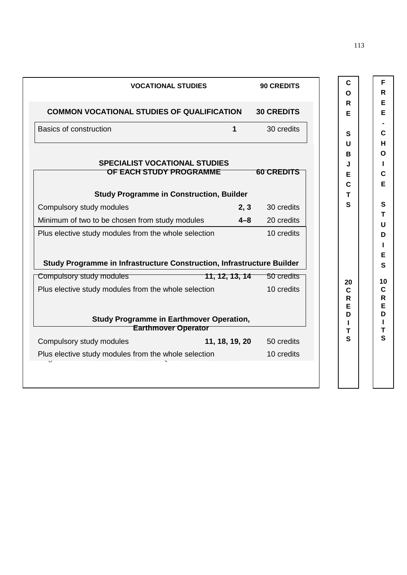| C<br>Ο            | 90 CREDITS        |                                             | <b>VOCATIONAL STUDIES</b>                                                                          |
|-------------------|-------------------|---------------------------------------------|----------------------------------------------------------------------------------------------------|
| R                 |                   |                                             |                                                                                                    |
| Е                 | <b>30 CREDITS</b> |                                             | <b>COMMON VOCATIONAL STUDIES OF QUALIFICATION</b>                                                  |
| S                 | 30 credits        | 1                                           | Basics of construction                                                                             |
| U                 |                   |                                             |                                                                                                    |
| В                 |                   |                                             |                                                                                                    |
| J                 |                   |                                             | <b>SPECIALIST VOCATIONAL STUDIES</b>                                                               |
| Е                 | <b>60 CREDITS</b> |                                             | OF EACH STUDY PROGRAMME                                                                            |
| C<br>т            |                   |                                             | <b>Study Programme in Construction, Builder</b>                                                    |
| S                 | 30 credits        | 2, 3                                        | Compulsory study modules                                                                           |
|                   | 20 credits        | $4 - 8$                                     | Minimum of two to be chosen from study modules                                                     |
|                   |                   |                                             |                                                                                                    |
|                   | 10 credits        |                                             | Plus elective study modules from the whole selection                                               |
|                   | 50 credits        | 11, 12, 13, 14                              | Study Programme in Infrastructure Construction, Infrastructure Builder<br>Compulsory study modules |
| 20<br>$\mathbf C$ | 10 credits        |                                             |                                                                                                    |
| R<br>E            |                   |                                             |                                                                                                    |
| D                 |                   |                                             | <b>Study Programme in Earthmover Operation,</b>                                                    |
| т                 |                   |                                             | <b>Earthmover Operator</b>                                                                         |
| S                 | 50 credits        | 11, 18, 19, 20<br>iole selection 10 credits | Plus elective study modules from the whole selection<br>Compulsory study modules                   |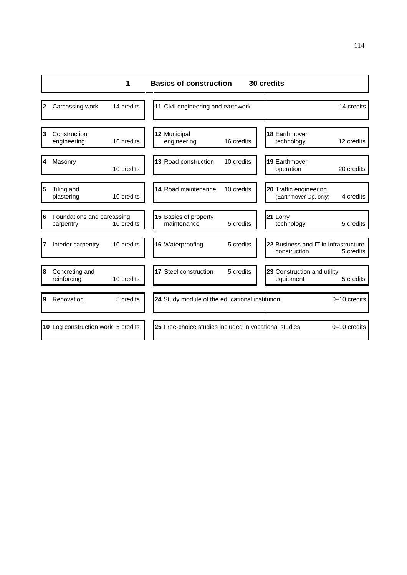|   |                                         | 1          | <b>Basics of construction</b>                         |            | 30 credits                                           |                |
|---|-----------------------------------------|------------|-------------------------------------------------------|------------|------------------------------------------------------|----------------|
| 2 | Carcassing work                         | 14 credits | 11 Civil engineering and earthwork                    |            |                                                      | 14 credits     |
| 3 | Construction<br>engineering             | 16 credits | 12 Municipal<br>engineering                           | 16 credits | 18 Earthmover<br>technology                          | 12 credits     |
| 4 | Masonry                                 | 10 credits | 13 Road construction                                  | 10 credits | 19 Earthmover<br>operation                           | 20 credits     |
| 5 | Tiling and<br>plastering                | 10 credits | 14 Road maintenance                                   | 10 credits | 20 Traffic engineering<br>(Earthmover Op. only)      | 4 credits      |
| 6 | Foundations and carcassing<br>carpentry | 10 credits | 15 Basics of property<br>maintenance                  | 5 credits  | 21 Lorry<br>technology                               | 5 credits      |
| 7 | Interior carpentry                      | 10 credits | 16 Waterproofing                                      | 5 credits  | 22 Business and IT in infrastructure<br>construction | 5 credits      |
| 8 | Concreting and<br>reinforcing           | 10 credits | 17 Steel construction                                 | 5 credits  | 23 Construction and utility<br>equipment             | 5 credits      |
| 9 | Renovation                              | 5 credits  | 24 Study module of the educational institution        |            |                                                      | 0-10 credits   |
|   | 10 Log construction work 5 credits      |            | 25 Free-choice studies included in vocational studies |            |                                                      | $0-10$ credits |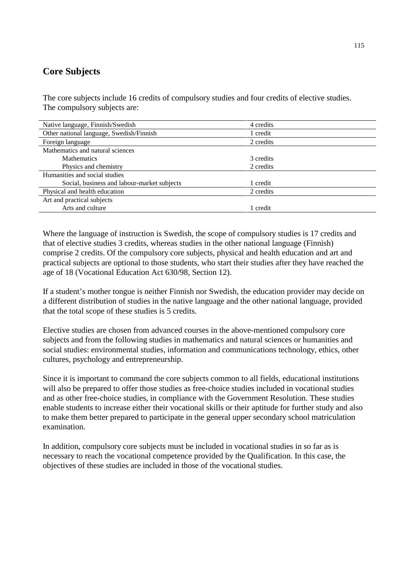# **Core Subjects**

The core subjects include 16 credits of compulsory studies and four credits of elective studies. The compulsory subjects are:

| Native language, Finnish/Swedish            | 4 credits |  |
|---------------------------------------------|-----------|--|
| Other national language, Swedish/Finnish    | 1 credit  |  |
| Foreign language                            | 2 credits |  |
| Mathematics and natural sciences            |           |  |
| <b>Mathematics</b>                          | 3 credits |  |
| Physics and chemistry                       | 2 credits |  |
| Humanities and social studies               |           |  |
| Social, business and labour-market subjects | 1 credit  |  |
| Physical and health education               | 2 credits |  |
| Art and practical subjects                  |           |  |
| Arts and culture                            | 1 credit  |  |

Where the language of instruction is Swedish, the scope of compulsory studies is 17 credits and that of elective studies 3 credits, whereas studies in the other national language (Finnish) comprise 2 credits. Of the compulsory core subjects, physical and health education and art and practical subjects are optional to those students, who start their studies after they have reached the age of 18 (Vocational Education Act 630/98, Section 12).

If a student's mother tongue is neither Finnish nor Swedish, the education provider may decide on a different distribution of studies in the native language and the other national language, provided that the total scope of these studies is 5 credits.

Elective studies are chosen from advanced courses in the above-mentioned compulsory core subjects and from the following studies in mathematics and natural sciences or humanities and social studies: environmental studies, information and communications technology, ethics, other cultures, psychology and entrepreneurship.

Since it is important to command the core subjects common to all fields, educational institutions will also be prepared to offer those studies as free-choice studies included in vocational studies and as other free-choice studies, in compliance with the Government Resolution. These studies enable students to increase either their vocational skills or their aptitude for further study and also to make them better prepared to participate in the general upper secondary school matriculation examination.

In addition, compulsory core subjects must be included in vocational studies in so far as is necessary to reach the vocational competence provided by the Qualification. In this case, the objectives of these studies are included in those of the vocational studies.